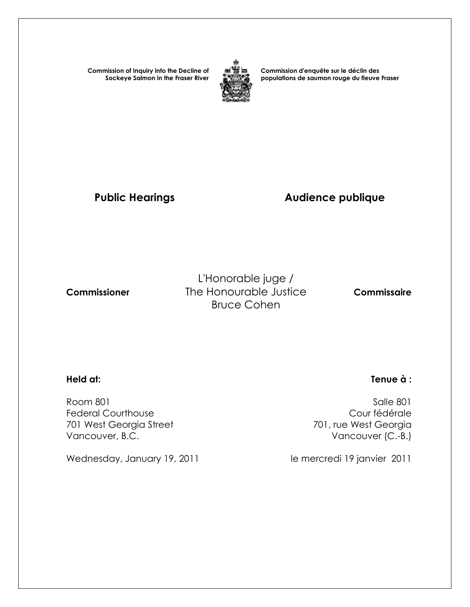**Commission of Inquiry into the Decline of Sockeye Salmon in the Fraser River**



**Commission d'enquête sur le déclin des populations de saumon rouge du fleuve Fraser** 

## Public Hearings **Audience publique**

L'Honorable juge /  **Commissioner** The Honourable Justice **Commissaire** Bruce Cohen

#### **Held at: Tenue à :**

 Room 801 Salle 801 Federal Courthouse Cour fédérale 701 West Georgia Street Vancouver, B.C. **Vancouver (C.-B.)** 

Wednesday, January 19, 2011 le mercredi 19 janvier 2011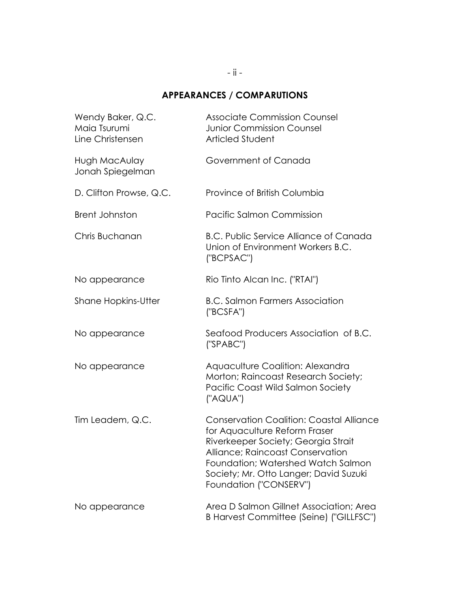### **APPEARANCES / COMPARUTIONS**

| Wendy Baker, Q.C.<br>Maia Tsurumi<br>Line Christensen | <b>Associate Commission Counsel</b><br><b>Junior Commission Counsel</b><br>Articled Student                                                                                                                                                                           |
|-------------------------------------------------------|-----------------------------------------------------------------------------------------------------------------------------------------------------------------------------------------------------------------------------------------------------------------------|
| Hugh MacAulay<br>Jonah Spiegelman                     | Government of Canada                                                                                                                                                                                                                                                  |
| D. Clifton Prowse, Q.C.                               | Province of British Columbia                                                                                                                                                                                                                                          |
| <b>Brent Johnston</b>                                 | Pacific Salmon Commission                                                                                                                                                                                                                                             |
| Chris Buchanan                                        | B.C. Public Service Alliance of Canada<br>Union of Environment Workers B.C.<br>('BCPSAC")                                                                                                                                                                             |
| No appearance                                         | Rio Tinto Alcan Inc. ("RTAI")                                                                                                                                                                                                                                         |
| <b>Shane Hopkins-Utter</b>                            | <b>B.C. Salmon Farmers Association</b><br>("BCSFA")                                                                                                                                                                                                                   |
| No appearance                                         | Seafood Producers Association of B.C.<br>('SPABC")                                                                                                                                                                                                                    |
| No appearance                                         | Aquaculture Coalition: Alexandra<br>Morton; Raincoast Research Society;<br>Pacific Coast Wild Salmon Society<br>("AQUA")                                                                                                                                              |
| Tim Leadem, Q.C.                                      | <b>Conservation Coalition: Coastal Alliance</b><br>for Aquaculture Reform Fraser<br>Riverkeeper Society; Georgia Strait<br>Alliance; Raincoast Conservation<br>Foundation; Watershed Watch Salmon<br>Society; Mr. Otto Langer; David Suzuki<br>Foundation ("CONSERV") |
| No appearance                                         | Area D Salmon Gillnet Association; Area<br>B Harvest Committee (Seine) ("GILLFSC")                                                                                                                                                                                    |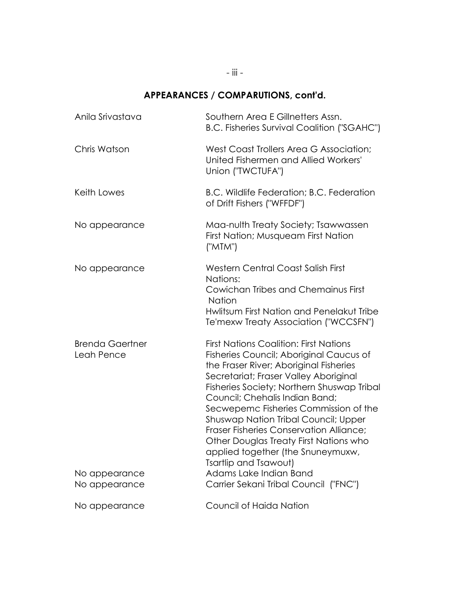# **APPEARANCES / COMPARUTIONS, cont'd.**

| Anila Srivastava                     | Southern Area E Gillnetters Assn.<br><b>B.C. Fisheries Survival Coalition ("SGAHC")</b>                                                                                                                                                                                                                                                                                                                                                                                                                              |
|--------------------------------------|----------------------------------------------------------------------------------------------------------------------------------------------------------------------------------------------------------------------------------------------------------------------------------------------------------------------------------------------------------------------------------------------------------------------------------------------------------------------------------------------------------------------|
| Chris Watson                         | West Coast Trollers Area G Association;<br>United Fishermen and Allied Workers'<br>Union ("TWCTUFA")                                                                                                                                                                                                                                                                                                                                                                                                                 |
| Keith Lowes                          | B.C. Wildlife Federation; B.C. Federation<br>of Drift Fishers ("WFFDF")                                                                                                                                                                                                                                                                                                                                                                                                                                              |
| No appearance                        | Maa-nulth Treaty Society; Tsawwassen<br>First Nation; Musqueam First Nation<br>("MTM")                                                                                                                                                                                                                                                                                                                                                                                                                               |
| No appearance                        | <b>Western Central Coast Salish First</b><br>Nations:<br>Cowichan Tribes and Chemainus First<br><b>Nation</b><br>Hwlitsum First Nation and Penelakut Tribe<br>Te'mexw Treaty Association ("WCCSFN")                                                                                                                                                                                                                                                                                                                  |
| <b>Brenda Gaertner</b><br>Leah Pence | <b>First Nations Coalition: First Nations</b><br>Fisheries Council; Aboriginal Caucus of<br>the Fraser River; Aboriginal Fisheries<br>Secretariat; Fraser Valley Aboriginal<br>Fisheries Society; Northern Shuswap Tribal<br>Council; Chehalis Indian Band;<br>Secwepemc Fisheries Commission of the<br><b>Shuswap Nation Tribal Council; Upper</b><br><b>Fraser Fisheries Conservation Alliance:</b><br>Other Douglas Treaty First Nations who<br>applied together (the Snuneymuxw,<br><b>Tsartlip and Tsawout)</b> |
| No appearance<br>No appearance       | Adams Lake Indian Band<br>Carrier Sekani Tribal Council ("FNC")                                                                                                                                                                                                                                                                                                                                                                                                                                                      |
| No appearance                        | Council of Haida Nation                                                                                                                                                                                                                                                                                                                                                                                                                                                                                              |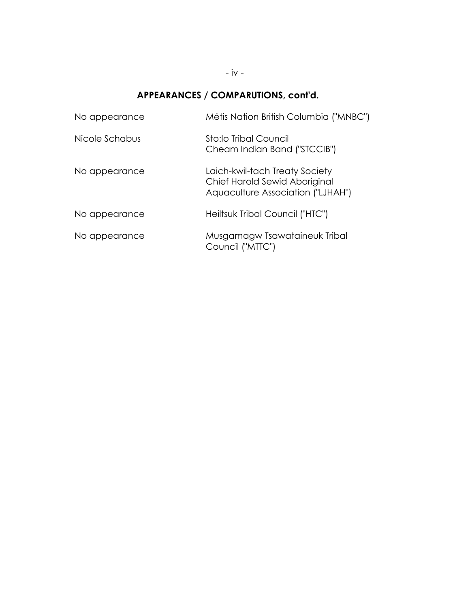# **APPEARANCES / COMPARUTIONS, cont'd.**

| No appearance  | Métis Nation British Columbia ("MNBC")                                                               |
|----------------|------------------------------------------------------------------------------------------------------|
| Nicole Schabus | <b>Sto:lo Tribal Council</b><br>Cheam Indian Band ("STCCIB")                                         |
| No appearance  | Laich-kwil-tach Treaty Society<br>Chief Harold Sewid Aboriginal<br>Aquaculture Association ("LJHAH") |
| No appearance  | Heiltsuk Tribal Council ("HTC")                                                                      |
| No appearance  | Musgamagw Tsawataineuk Tribal<br>Council ("MTTC")                                                    |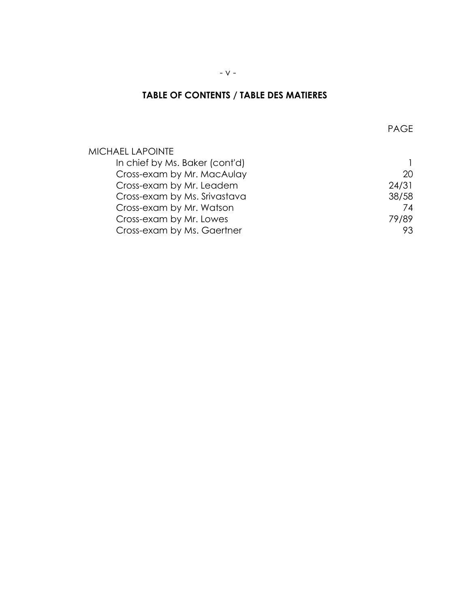### **TABLE OF CONTENTS / TABLE DES MATIERES**

|                                | <b>PAGE</b> |
|--------------------------------|-------------|
| <b>MICHAEL LAPOINTE</b>        |             |
| In chief by Ms. Baker (cont'd) |             |
| Cross-exam by Mr. MacAulay     | 20          |
| Cross-exam by Mr. Leadem       | 24/31       |
| Cross-exam by Ms. Srivastava   | 38/58       |
| Cross-exam by Mr. Watson       | 74          |
| Cross-exam by Mr. Lowes        | 79/89       |
| Cross-exam by Ms. Gaertner     | 93          |
|                                |             |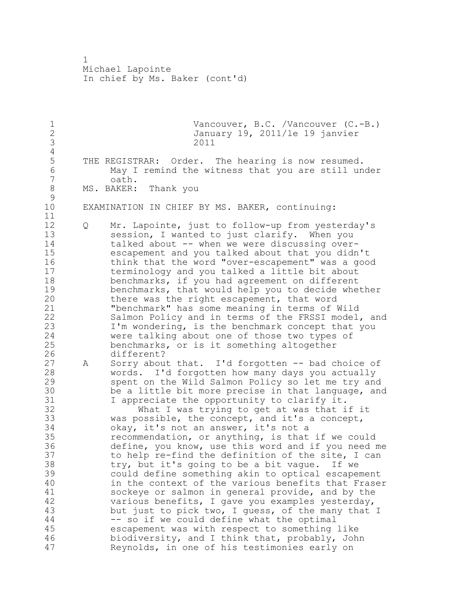1 Vancouver, B.C. /Vancouver (C.-B.)<br>2 January 19, 2011/1e 19 janvier 2 January 19, 2011/le 19 janvier 3 2011  $\frac{4}{5}$ 5 THE REGISTRAR: Order. The hearing is now resumed.<br>6 May I remind the witness that you are still un May I remind the witness that you are still under oath. MS. BAKER: Thank you  $\begin{array}{c} 9 \\ 10 \end{array}$ EXAMINATION IN CHIEF BY MS. BAKER, continuing: Q Mr. Lapointe, just to follow-up from yesterday's session, I wanted to just clarify. When you talked about -- when we were discussing over- escapement and you talked about that you didn't think that the word "over-escapement" was a good terminology and you talked a little bit about benchmarks, if you had agreement on different 19 benchmarks, that would help you to decide whether<br>20 there was the right escapement, that word there was the right escapement, that word "benchmark" has some meaning in terms of Wild Salmon Policy and in terms of the FRSSI model, and I'm wondering, is the benchmark concept that you were talking about one of those two types of benchmarks, or is it something altogether 26 different?<br>27 A Sorry abou A Sorry about that. I'd forgotten -- bad choice of words. I'd forgotten how many days you actually spent on the Wild Salmon Policy so let me try and 30 be a little bit more precise in that language, and<br>31 1 appreciate the opportunity to clarify it. 31 I appreciate the opportunity to clarify it.<br>32 What I was trying to get at was that i What I was trying to get at was that if it was possible, the concept, and it's a concept, okay, it's not an answer, it's not a recommendation, or anything, is that if we could define, you know, use this word and if you need me to help re-find the definition of the site, I can try, but it's going to be a bit vague. If we could define something akin to optical escapement in the context of the various benefits that Fraser 41 sockeye or salmon in general provide, and by the<br>42 various benefits, I gave you examples yesterday, various benefits, I gave you examples yesterday, but just to pick two, I guess, of the many that I -- so if we could define what the optimal escapement was with respect to something like biodiversity, and I think that, probably, John Reynolds, in one of his testimonies early on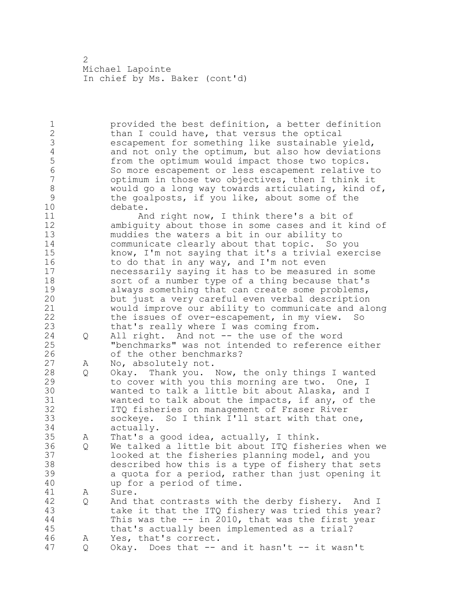1 provided the best definition, a better definition 2 than I could have, that versus the optical 3 escapement for something like sustainable yield,<br>4 and not only the optimum, but also how deviation 4 and not only the optimum, but also how deviations<br>5 from the optimum would impact those two topics. 5 from the optimum would impact those two topics.<br>6 So more escapement or less escapement relative 6 So more escapement or less escapement relative to optimum in those two objectives, then I think it 8 would go a long way towards articulating, kind of,<br>9 the goalposts, if you like, about some of the 9 the goalposts, if you like, about some of the 10 debate. 11 And right now, I think there's a bit of 12 ambiguity about those in some cases and it kind of 13 muddies the waters a bit in our ability to 14 communicate clearly about that topic. So you 15 know, I'm not saying that it's a trivial exercise 16 to do that in any way, and I'm not even 17 necessarily saying it has to be measured in some 18 sort of a number type of a thing because that's 19 always something that can create some problems,<br>20 but just a very careful even verbal description but just a very careful even verbal description 21 would improve our ability to communicate and along 22 the issues of over-escapement, in my view. So 23 that's really where I was coming from. 24 Q All right. And not -- the use of the word 25 "benchmarks" was not intended to reference either 26 of the other benchmarks?<br>27 A No, absolutely not. A No, absolutely not. 28 Q Okay. Thank you. Now, the only things I wanted 29 to cover with you this morning are two. One, I 30 wanted to talk a little bit about Alaska, and I<br>31 wanted to talk about the impacts, if any, of th 31 wanted to talk about the impacts, if any, of the<br>32 1TQ fisheries on management of Fraser River ITQ fisheries on management of Fraser River 33 sockeye. So I think I'll start with that one, 34 actually. 35 A That's a good idea, actually, I think. 36 Q We talked a little bit about ITQ fisheries when we 37 looked at the fisheries planning model, and you 38 described how this is a type of fishery that sets 39 a quota for a period, rather than just opening it 40 up for a period of time. 41 A Sure.<br>42 Q And t 42 Q And that contrasts with the derby fishery. And I 43 take it that the ITQ fishery was tried this year? 44 This was the -- in 2010, that was the first year 45 that's actually been implemented as a trial? 46 A Yes, that's correct. 47 Q Okay. Does that -- and it hasn't -- it wasn't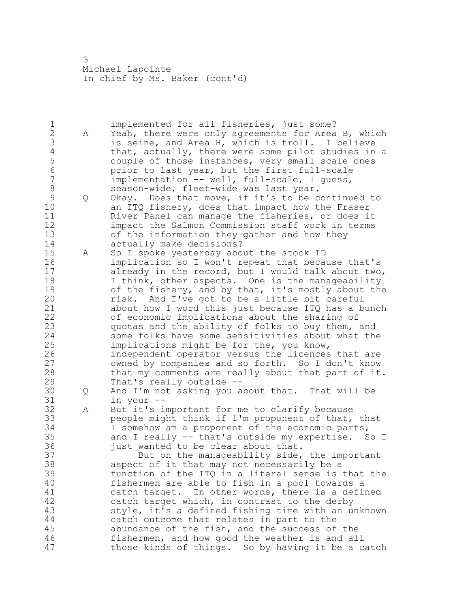implemented for all fisheries, just some? A Yeah, there were only agreements for Area B, which 3 is seine, and Area H, which is troll. I believe<br>4 that, actually, there were some pilot studies in 4 that, actually, there were some pilot studies in a<br>5 couple of those instances, very small scale ones 5 couple of those instances, very small scale ones<br>6 prior to last year, but the first full-scale prior to last year, but the first full-scale implementation -- well, full-scale, I quess, season-wide, fleet-wide was last year. 9 Q Okay. Does that move, if it's to be continued to<br>10 an ITQ fishery, does that impact how the Fraser an ITQ fishery, does that impact how the Fraser River Panel can manage the fisheries, or does it impact the Salmon Commission staff work in terms of the information they gather and how they actually make decisions? A So I spoke yesterday about the stock ID implication so I won't repeat that because that's already in the record, but I would talk about two, 18 I think, other aspects. One is the manageability 19 of the fishery, and by that, it's mostly about the<br>20 misk. And I've got to be a little bit careful risk. And I've got to be a little bit careful about how I word this just because ITQ has a bunch of economic implications about the sharing of quotas and the ability of folks to buy them, and some folks have some sensitivities about what the implications might be for the, you know, 26 independent operator versus the licences that are<br>27 owned by companies and so forth. So I don't know owned by companies and so forth. So I don't know that my comments are really about that part of it. That's really outside -- Q And I'm not asking you about that. That will be in your  $--$  A But it's important for me to clarify because people might think if I'm proponent of that, that I somehow am a proponent of the economic parts, and I really -- that's outside my expertise. So I just wanted to be clear about that. 37 But on the manageability side, the important aspect of it that may not necessarily be a function of the ITQ in a literal sense is that the fishermen are able to fish in a pool towards a 41 catch target. In other words, there is a defined<br>42 catch target which, in contrast to the derby catch target which, in contrast to the derby style, it's a defined fishing time with an unknown catch outcome that relates in part to the abundance of the fish, and the success of the fishermen, and how good the weather is and all those kinds of things. So by having it be a catch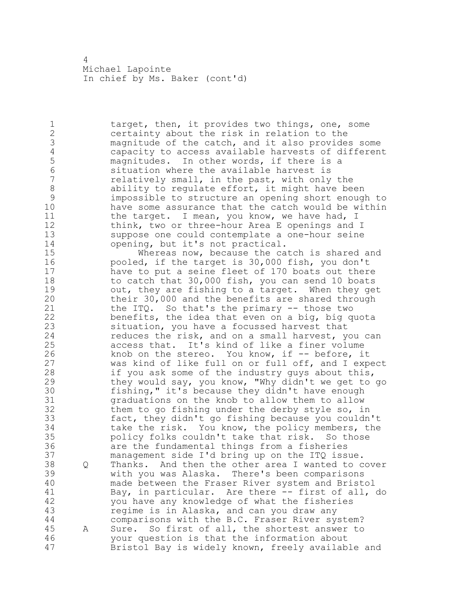1 target, then, it provides two things, one, some certainty about the risk in relation to the magnitude of the catch, and it also provides some capacity to access available harvests of different magnitudes. In other words, if there is a situation where the available harvest is relatively small, in the past, with only the 8 ability to regulate effort, it might have been<br>9 impossible to structure an opening short enoug impossible to structure an opening short enough to have some assurance that the catch would be within 11 the target. I mean, you know, we have had, I 12 think, two or three-hour Area E openings and I suppose one could contemplate a one-hour seine opening, but it's not practical. 15 Whereas now, because the catch is shared and pooled, if the target is 30,000 fish, you don't have to put a seine fleet of 170 boats out there 18 to catch that 30,000 fish, you can send 10 boats 19 out, they are fishing to a target. When they get<br>20 their 30,000 and the benefits are shared through their 30,000 and the benefits are shared through the ITQ. So that's the primary -- those two benefits, the idea that even on a big, big quota situation, you have a focussed harvest that reduces the risk, and on a small harvest, you can access that. It's kind of like a finer volume 26 knob on the stereo. You know, if -- before, it<br>27 was kind of like full on or full off, and I exp was kind of like full on or full off, and I expect if you ask some of the industry guys about this, they would say, you know, "Why didn't we get to go 30 fishing," it's because they didn't have enough<br>31 oraduations on the knob to allow them to allow 31 graduations on the knob to allow them to allow<br>32 them to go fishing under the derby style so, i them to go fishing under the derby style so, in fact, they didn't go fishing because you couldn't take the risk. You know, the policy members, the policy folks couldn't take that risk. So those are the fundamental things from a fisheries management side I'd bring up on the ITQ issue. Q Thanks. And then the other area I wanted to cover with you was Alaska. There's been comparisons made between the Fraser River system and Bristol 41 Bay, in particular. Are there -- first of all, do<br>42 vou have any knowledge of what the fisheries you have any knowledge of what the fisheries regime is in Alaska, and can you draw any comparisons with the B.C. Fraser River system? A Sure. So first of all, the shortest answer to your question is that the information about Bristol Bay is widely known, freely available and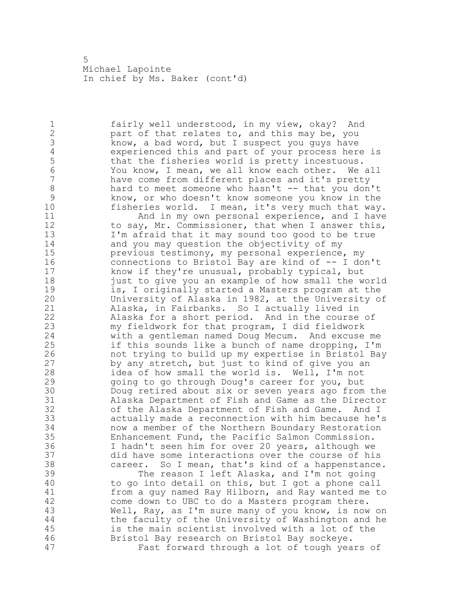fairly well understood, in my view, okay? And part of that relates to, and this may be, you 3 know, a bad word, but I suspect you guys have<br>4 experienced this and part of your process her 4 experienced this and part of your process here is<br>5 that the fisheries world is pretty incestuous. 5 that the fisheries world is pretty incestuous.<br>6 You know, I mean, we all know each other. We You know, I mean, we all know each other. We all have come from different places and it's pretty 8 hard to meet someone who hasn't -- that you don't<br>9 know, or who doesn't know someone you know in the 9 know, or who doesn't know someone you know in the<br>10 fisheries world. I mean, it's very much that way fisheries world. I mean, it's very much that way. 11 And in my own personal experience, and I have to say, Mr. Commissioner, that when I answer this, I'm afraid that it may sound too good to be true and you may question the objectivity of my previous testimony, my personal experience, my connections to Bristol Bay are kind of -- I don't know if they're unusual, probably typical, but just to give you an example of how small the world 19 is, I originally started a Masters program at the<br>20 University of Alaska in 1982, at the University o University of Alaska in 1982, at the University of Alaska, in Fairbanks. So I actually lived in Alaska for a short period. And in the course of my fieldwork for that program, I did fieldwork with a gentleman named Doug Mecum. And excuse me if this sounds like a bunch of name dropping, I'm 26 hot trying to build up my expertise in Bristol Bay<br>27 hy any stretch, but just to kind of give you an by any stretch, but just to kind of give you an idea of how small the world is. Well, I'm not going to go through Doug's career for you, but Doug retired about six or seven years ago from the Alaska Department of Fish and Game as the Director of the Alaska Department of Fish and Game. And I actually made a reconnection with him because he's now a member of the Northern Boundary Restoration Enhancement Fund, the Pacific Salmon Commission. I hadn't seen him for over 20 years, although we did have some interactions over the course of his career. So I mean, that's kind of a happenstance. 39 The reason I left Alaska, and I'm not going to go into detail on this, but I got a phone call 41 from a guy named Ray Hilborn, and Ray wanted me to<br>42 come down to UBC to do a Masters program there. come down to UBC to do a Masters program there.

 Well, Ray, as I'm sure many of you know, is now on the faculty of the University of Washington and he is the main scientist involved with a lot of the Bristol Bay research on Bristol Bay sockeye. 47 Fast forward through a lot of tough years of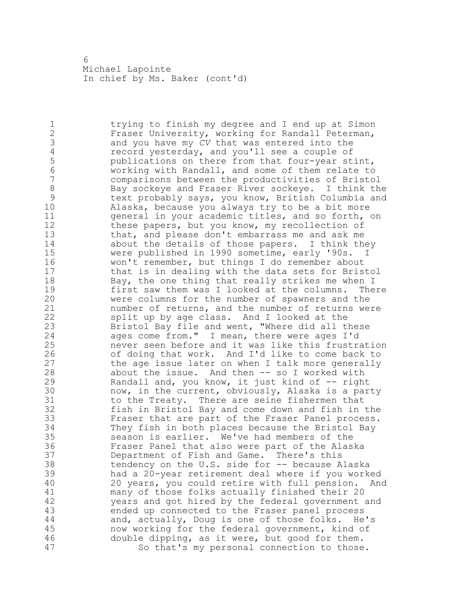1 trying to finish my degree and I end up at Simon 2 Fraser University, working for Randall Peterman, 3 and you have my *CV* that was entered into the 4 record yesterday, and you'll see a couple of<br>5 bublications on there from that four-year st 5 bublications on there from that four-year stint,<br>6 6 working with Randall, and some of them relate to 6 working with Randall, and some of them relate to comparisons between the productivities of Bristol 8 Bay sockeye and Fraser River sockeye. I think the<br>9 text probably says, you know, British Columbia and 9 text probably says, you know, British Columbia and<br>10 10 Alaska, because you always try to be a bit more Alaska, because you always try to be a bit more 11 general in your academic titles, and so forth, on 12 these papers, but you know, my recollection of 13 that, and please don't embarrass me and ask me 14 about the details of those papers. I think they 15 were published in 1990 sometime, early '90s. 16 won't remember, but things I do remember about 17 that is in dealing with the data sets for Bristol 18 Bay, the one thing that really strikes me when I 19 first saw them was I looked at the columns. There<br>20 were columns for the number of spawners and the were columns for the number of spawners and the 21 number of returns, and the number of returns were 22 split up by age class. And I looked at the 23 Bristol Bay file and went, "Where did all these 24 ages come from." I mean, there were ages I'd 25 never seen before and it was like this frustration 26 of doing that work. And I'd like to come back to<br>27 the age issue later on when I talk more generally the age issue later on when I talk more generally 28 about the issue. And then -- so I worked with 29 Randall and, you know, it just kind of -- right 30 now, in the current, obviously, Alaska is a party<br>31 to the Treaty. There are seine fishermen that 31 to the Treaty. There are seine fishermen that<br>32 fish in Bristol Bay and come down and fish in fish in Bristol Bay and come down and fish in the 33 Fraser that are part of the Fraser Panel process. 34 They fish in both places because the Bristol Bay 35 season is earlier. We've had members of the 36 Fraser Panel that also were part of the Alaska<br>37 Department of Fish and Game. There's this 37 Department of Fish and Game. 38 tendency on the U.S. side for -- because Alaska 39 had a 20-year retirement deal where if you worked 40 20 years, you could retire with full pension. And 41 many of those folks actually finished their 20<br>42 vears and got hired by the federal government years and got hired by the federal government and 43 ended up connected to the Fraser panel process 44 and, actually, Doug is one of those folks. He's 45 now working for the federal government, kind of 46 double dipping, as it were, but good for them. 47 So that's my personal connection to those.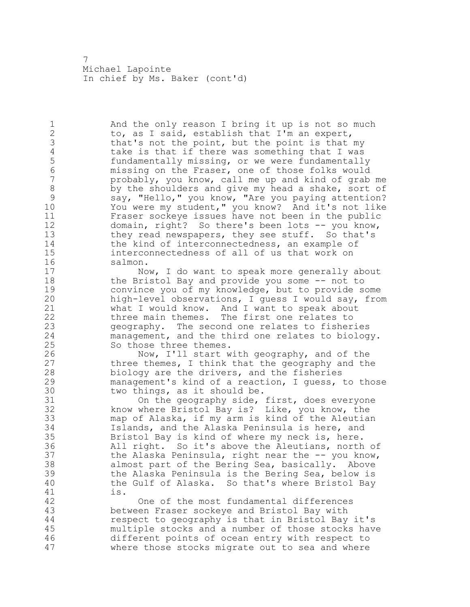1 And the only reason I bring it up is not so much 2 to, as I said, establish that I'm an expert, 3 that's not the point, but the point is that my<br>4 take is that if there was something that I was 4 take is that if there was something that I was<br>5 fundamentally missing, or we were fundamentall 5 fundamentally missing, or we were fundamentally<br>6 missing on the Fraser, one of those folks would 6 missing on the Fraser, one of those folks would probably, you know, call me up and kind of grab me 8 by the shoulders and give my head a shake, sort of<br>9 say, "Hello," you know, "Are you paying attention? 9 say, "Hello," you know, "Are you paying attention?<br>10 You were my student," you know? And it's not like You were my student," you know? And it's not like 11 Fraser sockeye issues have not been in the public 12 domain, right? So there's been lots -- you know, 13 they read newspapers, they see stuff. So that's 14 the kind of interconnectedness, an example of 15 interconnectedness of all of us that work on 16 salmon. 17 Now, I do want to speak more generally about 18 the Bristol Bay and provide you some -- not to 19 convince you of my knowledge, but to provide some<br>20 high-level observations, I quess I would say, from high-level observations, I guess I would say, from 21 what I would know. And I want to speak about 22 three main themes. The first one relates to 23 geography. The second one relates to fisheries 24 management, and the third one relates to biology. 25 So those three themes. 26 Now, I'll start with geography, and of the<br>27 three themes, I think that the geography and the three themes, I think that the geography and the 28 biology are the drivers, and the fisheries 29 management's kind of a reaction, I guess, to those 30 two things, as it should be.<br>31 0n the geography side, 31 On the geography side, first, does everyone 32 know where Bristol Bay is? Like, you know, the 33 map of Alaska, if my arm is kind of the Aleutian 34 Islands, and the Alaska Peninsula is here, and 35 Bristol Bay is kind of where my neck is, here. 36 All right. So it's above the Aleutians, north of 37 the Alaska Peninsula, right near the -- you know, 38 almost part of the Bering Sea, basically. Above 39 the Alaska Peninsula is the Bering Sea, below is 40 the Gulf of Alaska. So that's where Bristol Bay  $41$  is.<br> $42$ One of the most fundamental differences 43 between Fraser sockeye and Bristol Bay with 44 respect to geography is that in Bristol Bay it's 45 multiple stocks and a number of those stocks have 46 different points of ocean entry with respect to 47 where those stocks migrate out to sea and where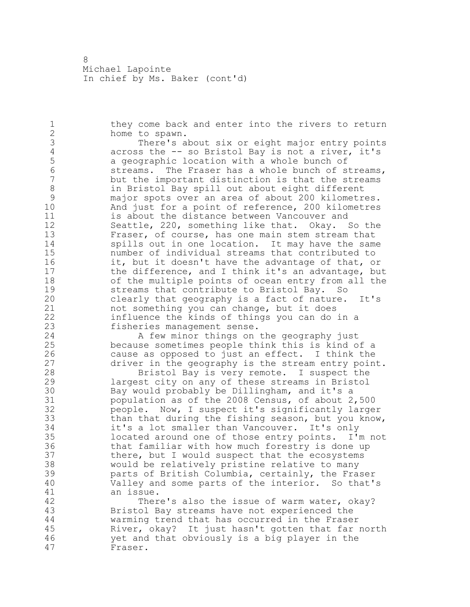1 they come back and enter into the rivers to return 2 home to spawn. 3 There's about six or eight major entry points<br>4 across the -- so Bristol Bay is not a river, it's 4 across the -- so Bristol Bay is not a river, it's<br>5 a qeographic location with a whole bunch of 5 a geographic location with a whole bunch of<br>6 5 Streams. The Fraser has a whole bunch of s 6 streams. The Fraser has a whole bunch of streams,<br>7 but the important distinction is that the streams but the important distinction is that the streams 8 in Bristol Bay spill out about eight different<br>9 major spots over an area of about 200 kilometr 9 major spots over an area of about 200 kilometres.<br>10 And just for a point of reference, 200 kilometres And just for a point of reference, 200 kilometres 11 is about the distance between Vancouver and 12 Seattle, 220, something like that. Okay. So the 13 Fraser, of course, has one main stem stream that 14 spills out in one location. It may have the same 15 number of individual streams that contributed to 16 it, but it doesn't have the advantage of that, or 17 the difference, and I think it's an advantage, but 18 of the multiple points of ocean entry from all the 19 streams that contribute to Bristol Bay. So<br>20 clearly that geography is a fact of nature. clearly that geography is a fact of nature. It's 21 not something you can change, but it does 22 influence the kinds of things you can do in a 23 fisheries management sense. 24 A few minor things on the geography just 25 because sometimes people think this is kind of a 26 cause as opposed to just an effect. I think the<br>27 driver in the geography is the stream entry poin driver in the geography is the stream entry point. 28 Bristol Bay is very remote. I suspect the 29 largest city on any of these streams in Bristol 30 Bay would probably be Dillingham, and it's a<br>31 population as of the 2008 Census, of about 2 31 population as of the 2008 Census, of about 2,500<br>32 people. Now, I suspect it's significantly large people. Now, I suspect it's significantly larger 33 than that during the fishing season, but you know, 34 it's a lot smaller than Vancouver. It's only 35 located around one of those entry points. I'm not 36 that familiar with how much forestry is done up 37 there, but I would suspect that the ecosystems 38 would be relatively pristine relative to many 39 parts of British Columbia, certainly, the Fraser 40 Valley and some parts of the interior. So that's 41 an issue.<br>42 Ther There's also the issue of warm water, okay? 43 Bristol Bay streams have not experienced the 44 warming trend that has occurred in the Fraser 45 River, okay? It just hasn't gotten that far north 46 yet and that obviously is a big player in the 47 Fraser.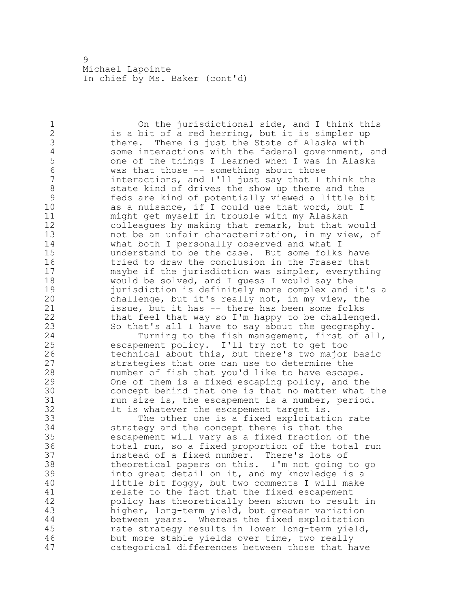1 On the jurisdictional side, and I think this 2 is a bit of a red herring, but it is simpler up 3 there. There is just the State of Alaska with<br>4 some interactions with the federal government, 4 some interactions with the federal government, and<br>5 one of the things I learned when I was in Alaska 5 one of the things I learned when I was in Alaska<br>6 was that those -- something about those 6 was that those -- something about those<br>7 interactions, and I'll just say that I interactions, and I'll just say that I think the 8 state kind of drives the show up there and the<br>9 feds are kind of potentially viewed a little b 9 feds are kind of potentially viewed a little bit<br>10 as a nuisance, if I could use that word, but I as a nuisance, if I could use that word, but I 11 might get myself in trouble with my Alaskan 12 colleagues by making that remark, but that would 13 not be an unfair characterization, in my view, of 14 what both I personally observed and what I 15 understand to be the case. But some folks have 16 tried to draw the conclusion in the Fraser that<br>17 maybe if the jurisdiction was simpler, everythi maybe if the jurisdiction was simpler, everything 18 would be solved, and I guess I would say the 19 iurisdiction is definitely more complex and it's a<br>20 challenge, but it's really not, in my view, the challenge, but it's really not, in my view, the 21 issue, but it has -- there has been some folks 22 that feel that way so I'm happy to be challenged. 23 So that's all I have to say about the geography. 24 Turning to the fish management, first of all, 25 escapement policy. I'll try not to get too 26 technical about this, but there's two major basic<br>27 strategies that one can use to determine the strategies that one can use to determine the 28 number of fish that you'd like to have escape. 29 One of them is a fixed escaping policy, and the 30 concept behind that one is that no matter what the<br>31 cun size is, the escapement is a number, period. 31 Tun size is, the escapement is a number, period.<br>32 This whatever the escapement target is. It is whatever the escapement target is. 33 The other one is a fixed exploitation rate 34 strategy and the concept there is that the 35 escapement will vary as a fixed fraction of the 36 total run, so a fixed proportion of the total run 37 instead of a fixed number. There's lots of 38 theoretical papers on this. I'm not going to go 39 into great detail on it, and my knowledge is a 40 little bit foggy, but two comments I will make 41 relate to the fact that the fixed escapement<br>42 policy has theoretically been shown to resul policy has theoretically been shown to result in 43 higher, long-term yield, but greater variation 44 between years. Whereas the fixed exploitation 45 rate strategy results in lower long-term yield, 46 but more stable yields over time, two really 47 categorical differences between those that have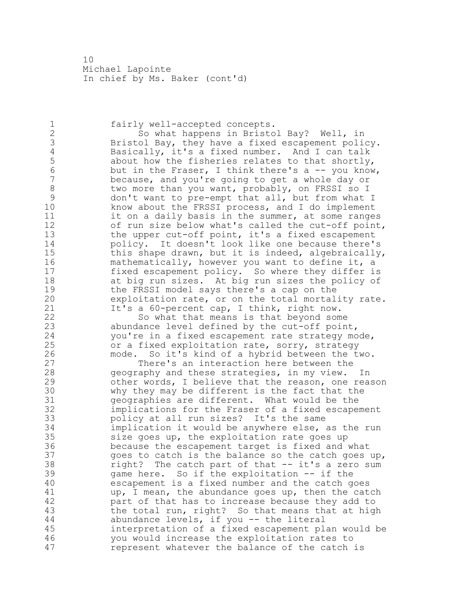1 fairly well-accepted concepts. 2 So what happens in Bristol Bay? Well, in 3 Bristol Bay, they have a fixed escapement policy.<br>4 Basically, it's a fixed number. And I can talk 4 Basically, it's a fixed number. And I can talk<br>5 about how the fisheries relates to that shortly, 5 about how the fisheries relates to that shortly,<br>6 but in the Fraser, I think there's a -- you know 6 but in the Fraser, I think there's a -- you know,<br>7 because, and you're going to get a whole day or because, and you're going to get a whole day or 8 two more than you want, probably, on FRSSI so I 9 don't want to pre-empt that all, but from what I<br>10 know about the FRSSI process, and I do implement know about the FRSSI process, and I do implement 11 it on a daily basis in the summer, at some ranges 12 of run size below what's called the cut-off point, 13 the upper cut-off point, it's a fixed escapement<br>14 policy. It doesn't look like one because there' policy. It doesn't look like one because there's 15 this shape drawn, but it is indeed, algebraically, 16 mathematically, however you want to define it, a 17 fixed escapement policy. So where they differ is 18 at big run sizes. At big run sizes the policy of 19 the FRSSI model says there's a cap on the<br>20 exploitation rate, or on the total mortal exploitation rate, or on the total mortality rate. 21 It's a 60-percent cap, I think, right now. 22 So what that means is that beyond some 23 abundance level defined by the cut-off point, 24 you're in a fixed escapement rate strategy mode, 25 or a fixed exploitation rate, sorry, strategy 26 mode. So it's kind of a hybrid between the two.<br>27 There's an interaction here between the There's an interaction here between the 28 geography and these strategies, in my view. In 29 other words, I believe that the reason, one reason 30 why they may be different is the fact that the<br>31 opeographies are different. What would be the 31 geographies are different. What would be the<br>32 implications for the Fraser of a fixed escape implications for the Fraser of a fixed escapement 33 policy at all run sizes? It's the same 34 implication it would be anywhere else, as the run 35 size goes up, the exploitation rate goes up 36 because the escapement target is fixed and what 37 goes to catch is the balance so the catch goes up, 38 right? The catch part of that -- it's a zero sum 39 game here. So if the exploitation -- if the 40 escapement is a fixed number and the catch goes 41 up, I mean, the abundance goes up, then the catch<br>42 bart of that has to increase because they add to part of that has to increase because they add to 43 the total run, right? So that means that at high 44 abundance levels, if you -- the literal 45 interpretation of a fixed escapement plan would be 46 you would increase the exploitation rates to 47 represent whatever the balance of the catch is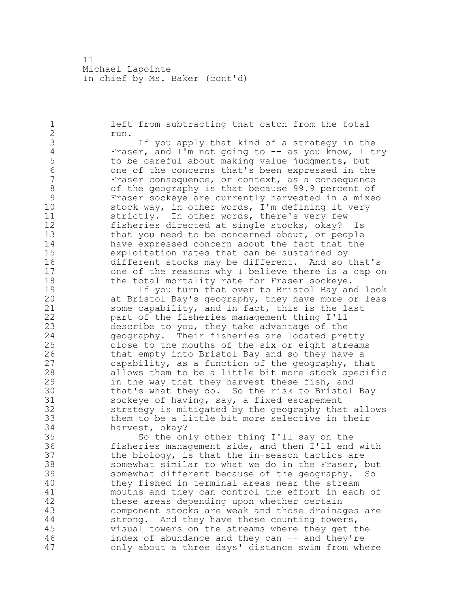1 left from subtracting that catch from the total 2 run.

3 If you apply that kind of a strategy in the<br>4 Fraser, and I'm not going to -- as you know, I t 4 Fraser, and I'm not going to -- as you know, I try<br>5 to be careful about making value judgments, but 5 to be careful about making value judgments, but<br>6 0 000 one of the concerns that's been expressed in the 6 one of the concerns that's been expressed in the Fraser consequence, or context, as a consequence 8 of the geography is that because 99.9 percent of<br>9 Fraser sockeye are currently harvested in a mixe 9 Fraser sockeye are currently harvested in a mixed<br>10 stock way, in other words, I'm defining it very stock way, in other words, I'm defining it very 11 strictly. In other words, there's very few 12 fisheries directed at single stocks, okay? Is 13 that you need to be concerned about, or people 14 have expressed concern about the fact that the 15 exploitation rates that can be sustained by 16 different stocks may be different. And so that's 17 one of the reasons why I believe there is a cap on 18 the total mortality rate for Fraser sockeye.

19 19 If you turn that over to Bristol Bay and look<br>20 at Bristol Bay's geography, they have more or less at Bristol Bay's geography, they have more or less some capability, and in fact, this is the last part of the fisheries management thing I'll describe to you, they take advantage of the geography. Their fisheries are located pretty close to the mouths of the six or eight streams 26 that empty into Bristol Bay and so they have a<br>27 capability, as a function of the geography, the  $capability,$  as a function of the geography, that allows them to be a little bit more stock specific in the way that they harvest these fish, and 30 that's what they do. So the risk to Bristol Bay<br>31 sockeye of having, say, a fixed escapement sockeye of having, say, a fixed escapement strategy is mitigated by the geography that allows them to be a little bit more selective in their harvest, okay?

35 So the only other thing I'll say on the fisheries management side, and then I'll end with the biology, is that the in-season tactics are somewhat similar to what we do in the Fraser, but somewhat different because of the geography. So they fished in terminal areas near the stream 41 mouths and they can control the effort in each of<br>42 these areas depending upon whether certain these areas depending upon whether certain component stocks are weak and those drainages are strong. And they have these counting towers, visual towers on the streams where they get the index of abundance and they can -- and they're only about a three days' distance swim from where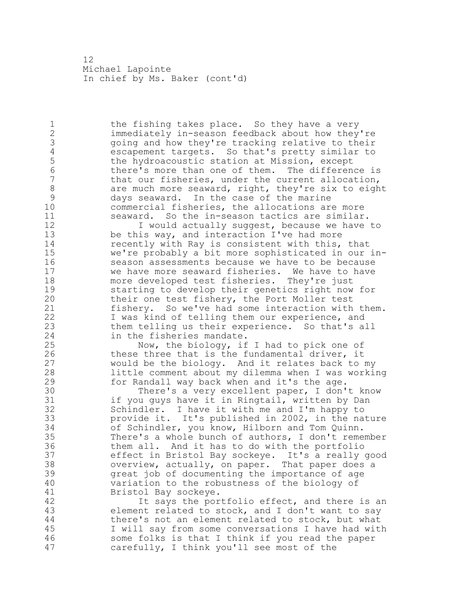1 the fishing takes place. So they have a very immediately in-season feedback about how they're 3 going and how they're tracking relative to their<br>4 escapement targets. So that's pretty similar to 4 escapement targets. So that's pretty similar to<br>5 the hydroacoustic station at Mission, except 5 the hydroacoustic station at Mission, except<br>6 there's more than one of them. The differen 6 there's more than one of them. The difference is<br>7 that our fisheries, under the current allocation, that our fisheries, under the current allocation, 8 are much more seaward, right, they're six to eight days seaward. In the case of the marine commercial fisheries, the allocations are more seaward. So the in-season tactics are similar. 12 I would actually suggest, because we have to be this way, and interaction I've had more recently with Ray is consistent with this, that we're probably a bit more sophisticated in our in- season assessments because we have to be because we have more seaward fisheries. We have to have more developed test fisheries. They're just 19 starting to develop their genetics right now for<br>20 their one test fishery, the Port Moller test their one test fishery, the Port Moller test fishery. So we've had some interaction with them. I was kind of telling them our experience, and them telling us their experience. So that's all in the fisheries mandate. 25 Now, the biology, if I had to pick one of 26 these three that is the fundamental driver, it<br>27 would be the biology. And it relates back to would be the biology. And it relates back to my little comment about my dilemma when I was working for Randall way back when and it's the age. 30 There's a very excellent paper, I don't know<br>31 if you quys have it in Ringtail, written by Dan if you guys have it in Ringtail, written by Dan Schindler. I have it with me and I'm happy to provide it. It's published in 2002, in the nature of Schindler, you know, Hilborn and Tom Quinn. There's a whole bunch of authors, I don't remember them all. And it has to do with the portfolio effect in Bristol Bay sockeye. It's a really good overview, actually, on paper. That paper does a great job of documenting the importance of age variation to the robustness of the biology of 41 Bristol Bay sockeye.<br>42 It says the por It says the portfolio effect, and there is an element related to stock, and I don't want to say there's not an element related to stock, but what I will say from some conversations I have had with some folks is that I think if you read the paper carefully, I think you'll see most of the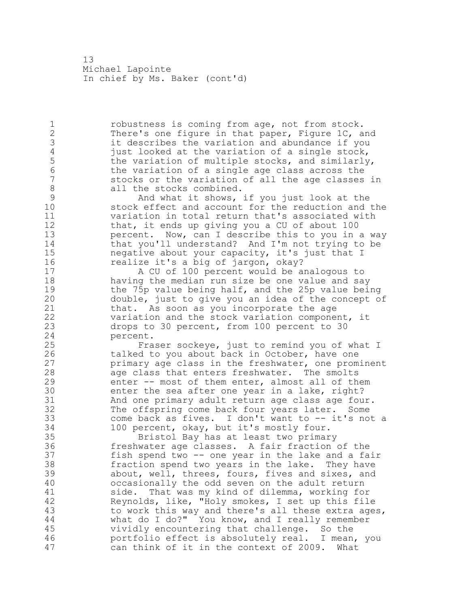1 robustness is coming from age, not from stock. 2 There's one figure in that paper, Figure 1C, and 3 it describes the variation and abundance if you<br>4 iust looked at the variation of a single stock, 4 just looked at the variation of a single stock,<br>5 the variation of multiple stocks, and similarly 5 the variation of multiple stocks, and similarly,<br>6 the variation of a single age class across the 6 the variation of a single age class across the stocks or the variation of all the age classes in 8 all the stocks combined.<br>9 and what it shows, 9 And what it shows, if you just look at the<br>10 stock effect and account for the reduction and stock effect and account for the reduction and the 11 variation in total return that's associated with 12 that, it ends up giving you a CU of about 100 13 percent. Now, can I describe this to you in a way 14 that you'll understand? And I'm not trying to be 15 negative about your capacity, it's just that I 16 realize it's a big of jargon, okay? 17 A CU of 100 percent would be analogous to 18 having the median run size be one value and say 19 the 75p value being half, and the 25p value being<br>20 double, just to give you an idea of the concept o: double, just to give you an idea of the concept of 21 that. As soon as you incorporate the age 22 variation and the stock variation component, it 23 drops to 30 percent, from 100 percent to 30 24 percent. 25 Fraser sockeye, just to remind you of what I 26 talked to you about back in October, have one<br>27 primary age class in the freshwater, one prom primary age class in the freshwater, one prominent 28 age class that enters freshwater. The smolts 29 enter -- most of them enter, almost all of them 30 enter the sea after one year in a lake, right?<br>31 And one primary adult return age class age fou And one primary adult return age class age four. 32 The offspring come back four years later. Some 33 come back as fives. I don't want to -- it's not a 34 100 percent, okay, but it's mostly four. 35 Bristol Bay has at least two primary 36 freshwater age classes. A fair fraction of the 37 fish spend two -- one year in the lake and a fair 38 fraction spend two years in the lake. They have 39 about, well, threes, fours, fives and sixes, and 40 occasionally the odd seven on the adult return 41 side. That was my kind of dilemma, working for<br>42 Reynolds, like, "Holy smokes, I set up this fil Reynolds, like, "Holy smokes, I set up this file 43 to work this way and there's all these extra ages, 44 what do I do?" You know, and I really remember 45 vividly encountering that challenge. So the 46 portfolio effect is absolutely real. I mean, you 47 can think of it in the context of 2009. What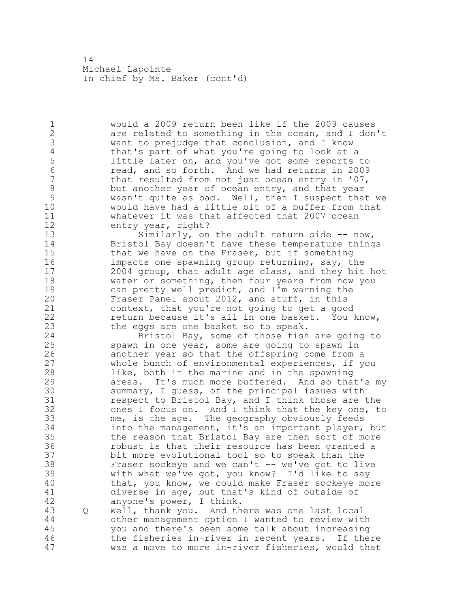1 would a 2009 return been like if the 2009 causes 2 are related to something in the ocean, and I don't 3 want to prejudge that conclusion, and I know<br>4 that's part of what you're going to look at 4 that's part of what you're going to look at a<br>5 little later on, and you've got some reports 5 little later on, and you've got some reports to<br>6 mead, and so forth. And we had returns in 2009 6 read, and so forth. And we had returns in 2009 that resulted from not just ocean entry in  $'07$ , 8 but another year of ocean entry, and that year<br>9 wasn't quite as bad. Well, then I suspect tha 9 wasn't quite as bad. Well, then I suspect that we<br>10 would have had a little bit of a buffer from that would have had a little bit of a buffer from that 11 whatever it was that affected that 2007 ocean 12 entry year, right? 13 Similarly, on the adult return side -- now, 14 Bristol Bay doesn't have these temperature things 15 that we have on the Fraser, but if something 16 impacts one spawning group returning, say, the 17 2004 group, that adult age class, and they hit hot 18 water or something, then four years from now you 19 can pretty well predict, and I'm warning the<br>20 Fraser Panel about 2012, and stuff, in this Fraser Panel about 2012, and stuff, in this 21 context, that you're not going to get a good 22 return because it's all in one basket. You know, 23 the eggs are one basket so to speak. 24 Bristol Bay, some of those fish are going to 25 spawn in one year, some are going to spawn in 26 another year so that the offspring come from a<br>27 whole bunch of environmental experiences, if ye whole bunch of environmental experiences, if you 28 like, both in the marine and in the spawning 29 areas. It's much more buffered. And so that's my 30 summary, I guess, of the principal issues with<br>31 sespect to Bristol Bay, and I think those are t 31 respect to Bristol Bay, and I think those are the<br>32 ones I focus on. And I think that the kev one, to ones I focus on. And I think that the key one, to 33 me, is the age. The geography obviously feeds 34 into the management, it's an important player, but 35 the reason that Bristol Bay are then sort of more 36 robust is that their resource has been granted a 37 bit more evolutional tool so to speak than the 38 Fraser sockeye and we can't -- we've got to live 39 with what we've got, you know? I'd like to say 40 that, you know, we could make Fraser sockeye more 41 diverse in age, but that's kind of outside of<br>42 anyone's power, I think. anyone's power, I think. 43 Q Well, thank you. And there was one last local 44 other management option I wanted to review with

45 you and there's been some talk about increasing 46 the fisheries in-river in recent years. If there 47 was a move to more in-river fisheries, would that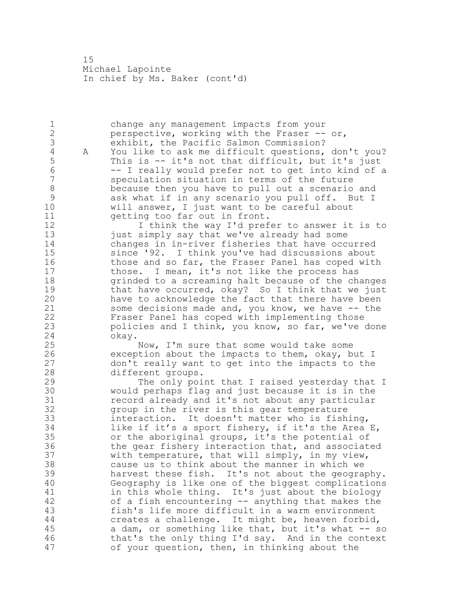1 change any management impacts from your 2 perspective, working with the Fraser -- or, 3 exhibit, the Pacific Salmon Commission?<br>4 A You like to ask me difficult questions, 4 A You like to ask me difficult questions, don't you?<br>5 This is -- it's not that difficult, but it's just 5 This is -- it's not that difficult, but it's just 6 -- I really would prefer not to get into kind of a speculation situation in terms of the future 8 because then you have to pull out a scenario and 9 ask what if in any scenario you pull off. But I<br>10 will answer, I just want to be careful about will answer, I just want to be careful about 11 getting too far out in front. 12 I think the way I'd prefer to answer it is to

 just simply say that we've already had some changes in in-river fisheries that have occurred since '92. I think you've had discussions about 16 those and so far, the Fraser Panel has coped with those. I mean, it's not like the process has grinded to a screaming halt because of the changes 19 that have occurred, okay? So I think that we just<br>20 have to acknowledge the fact that there have been have to acknowledge the fact that there have been some decisions made and, you know, we have -- the Fraser Panel has coped with implementing those policies and I think, you know, so far, we've done 24 okay.

25 Now, I'm sure that some would take some 26 exception about the impacts to them, okay, but I<br>27 don't really want to get into the impacts to the don't really want to get into the impacts to the 28 different groups.

29 The only point that I raised yesterday that I would perhaps flag and just because it is in the 31 record already and it's not about any particular<br>32 oroup in the river is this gear temperature group in the river is this gear temperature interaction. It doesn't matter who is fishing, like if it's a sport fishery, if it's the Area E, or the aboriginal groups, it's the potential of the gear fishery interaction that, and associated with temperature, that will simply, in my view, cause us to think about the manner in which we harvest these fish. It's not about the geography. Geography is like one of the biggest complications 41 in this whole thing. It's just about the biology<br>42 of a fish encountering -- anything that makes the of a fish encountering -- anything that makes the fish's life more difficult in a warm environment creates a challenge. It might be, heaven forbid, 45 a dam, or something like that, but it's what -- so that's the only thing I'd say. And in the context of your question, then, in thinking about the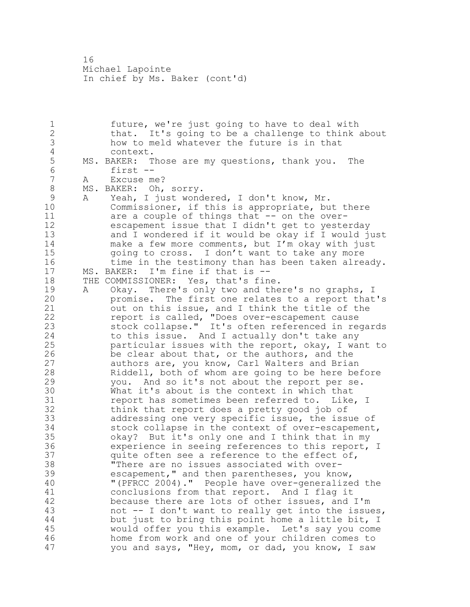future, we're just going to have to deal with that. It's going to be a challenge to think about how to meld whatever the future is in that 4 context.<br>5 MS. BAKER: T MS. BAKER: Those are my questions, thank you. The 6 first --<br>7 A Excuse m A Excuse me? 8 MS. BAKER: Oh, sorry. 9 A Yeah, I just wondered, I don't know, Mr.<br>10 Commissioner, if this is appropriate, bu Commissioner, if this is appropriate, but there 11 are a couple of things that -- on the over- escapement issue that I didn't get to yesterday and I wondered if it would be okay if I would just make a few more comments, but I'm okay with just going to cross. I don't want to take any more 16 time in the testimony than has been taken already. MS. BAKER: I'm fine if that is -- THE COMMISSIONER: Yes, that's fine. 19 A Okay. There's only two and there's no graphs, I<br>20 bromise. The first one relates to a report that promise. The first one relates to a report that's out on this issue, and I think the title of the report is called, "Does over-escapement cause stock collapse." It's often referenced in regards to this issue. And I actually don't take any particular issues with the report, okay, I want to 26 be clear about that, or the authors, and the<br>27 authors are, you know, Carl Walters and Bria authors are, you know, Carl Walters and Brian Riddell, both of whom are going to be here before you. And so it's not about the report per se. 30 What it's about is the context in which that<br>31 eport has sometimes been referred to. Like report has sometimes been referred to. Like, I think that report does a pretty good job of addressing one very specific issue, the issue of stock collapse in the context of over-escapement, okay? But it's only one and I think that in my experience in seeing references to this report, I quite often see a reference to the effect of, "There are no issues associated with over- escapement," and then parentheses, you know, "(PFRCC 2004)." People have over-generalized the 41 conclusions from that report. And I flag it<br>42 because there are lots of other issues, and because there are lots of other issues, and I'm not -- I don't want to really get into the issues, but just to bring this point home a little bit, I would offer you this example. Let's say you come home from work and one of your children comes to you and says, "Hey, mom, or dad, you know, I saw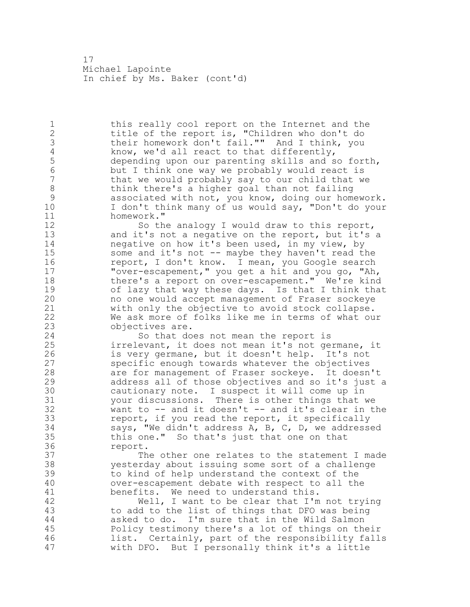1 this really cool report on the Internet and the 2 title of the report is, "Children who don't do 3 their homework don't fail."" And I think, you<br>4 know, we'd all react to that differently, 4 know, we'd all react to that differently,<br>5 depending upon our parenting skills and s 5 depending upon our parenting skills and so forth,<br>6 but I think one way we probably would react is 6 but I think one way we probably would react is that we would probably say to our child that we 8 think there's a higher goal than not failing 9 associated with not, you know, doing our homework.<br>10 1 don't think many of us would sav, "Don't do vour I don't think many of us would say, "Don't do your 11 homework."

12 So the analogy I would draw to this report, and it's not a negative on the report, but it's a negative on how it's been used, in my view, by some and it's not -- maybe they haven't read the report, I don't know. I mean, you Google search "over-escapement," you get a hit and you go, "Ah, there's a report on over-escapement." We're kind 19 of lazy that way these days. Is that I think that<br>20 one would accept management of Fraser sockeye no one would accept management of Fraser sockeye with only the objective to avoid stock collapse. We ask more of folks like me in terms of what our objectives are.

24 So that does not mean the report is 25 irrelevant, it does not mean it's not germane, it 26 is very germane, but it doesn't help. It's not<br>27 specific enough towards whatever the objectives specific enough towards whatever the objectives 28 are for management of Fraser sockeye. It doesn't 29 address all of those objectives and so it's just a 30 cautionary note. I suspect it will come up in<br>31 vour discussions. There is other things that 31 your discussions. There is other things that we<br>32 want to -- and it doesn't -- and it's clear in t want to  $-$  and it doesn't  $-$  and it's clear in the 33 report, if you read the report, it specifically 34 says, "We didn't address A, B, C, D, we addressed 35 this one." So that's just that one on that 36 report.

37 The other one relates to the statement I made 38 yesterday about issuing some sort of a challenge 39 to kind of help understand the context of the 40 over-escapement debate with respect to all the 41 benefits. We need to understand this.<br>42 Well, I want to be clear that I'm

Well, I want to be clear that I'm not trying to add to the list of things that DFO was being asked to do. I'm sure that in the Wild Salmon Policy testimony there's a lot of things on their list. Certainly, part of the responsibility falls with DFO. But I personally think it's a little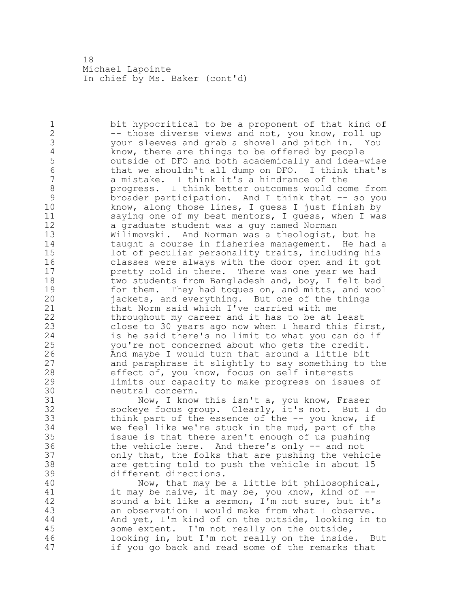bit hypocritical to be a proponent of that kind of 2 -- those diverse views and not, you know, roll up your sleeves and grab a shovel and pitch in. You 4 know, there are things to be offered by people<br>5 outside of DFO and both academically and idea-5 outside of DFO and both academically and idea-wise<br>6 that we shouldn't all dump on DFO. I think that's that we shouldn't all dump on DFO. I think that's a mistake. I think it's a hindrance of the 8 progress. I think better outcomes would come from<br>9 broader participation. And I think that -- so you 9 broader participation. And I think that -- so you<br>10 know, along those lines, I quess I just finish by know, along those lines, I guess I just finish by saying one of my best mentors, I guess, when I was a graduate student was a guy named Norman Wilimovski. And Norman was a theologist, but he taught a course in fisheries management. He had a lot of peculiar personality traits, including his classes were always with the door open and it got pretty cold in there. There was one year we had 18 two students from Bangladesh and, boy, I felt bad 19 for them. They had toques on, and mitts, and wool<br>20 fackets, and everything. But one of the things jackets, and everything. But one of the things that Norm said which I've carried with me throughout my career and it has to be at least close to 30 years ago now when I heard this first, is he said there's no limit to what you can do if you're not concerned about who gets the credit. 26 And maybe I would turn that around a little bit<br>27 and paraphrase it slightly to say something to and paraphrase it slightly to say something to the effect of, you know, focus on self interests limits our capacity to make progress on issues of 30 neutral concern.<br>31 Now, I know 31 Now, I know this isn't a, you know, Fraser<br>32 sockeye focus group. Clearly, it's not. But I sockeye focus group. Clearly, it's not. But I do think part of the essence of the -- you know, if we feel like we're stuck in the mud, part of the issue is that there aren't enough of us pushing the vehicle here. And there's only -- and not only that, the folks that are pushing the vehicle are getting told to push the vehicle in about 15 different directions. 40 Now, that may be a little bit philosophical, 41 it may be naive, it may be, you know, kind of --<br>42 sound a bit like a sermon, I'm not sure, but it's sound a bit like a sermon, I'm not sure, but it's an observation I would make from what I observe. And yet, I'm kind of on the outside, looking in to some extent. I'm not really on the outside, looking in, but I'm not really on the inside. But

47 if you go back and read some of the remarks that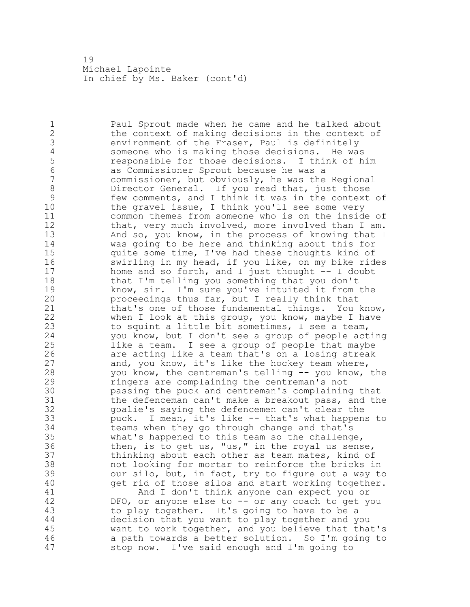Paul Sprout made when he came and he talked about 2 the context of making decisions in the context of environment of the Fraser, Paul is definitely 4 someone who is making those decisions. He was<br>5 sesponsible for those decisions. I think of h 5 responsible for those decisions. I think of him<br>6 as Commissioner Sprout because he was a as Commissioner Sprout because he was a commissioner, but obviously, he was the Regional 8 Director General. If you read that, just those<br>9 few comments, and I think it was in the context 9 few comments, and I think it was in the context of<br>10 the gravel issue, I think you'll see some very the gravel issue, I think you'll see some very common themes from someone who is on the inside of that, very much involved, more involved than I am. And so, you know, in the process of knowing that I was going to be here and thinking about this for quite some time, I've had these thoughts kind of swirling in my head, if you like, on my bike rides 17 home and so forth, and I just thought -- I doubt that I'm telling you something that you don't 19 know, sir. I'm sure you've intuited it from the<br>20 proceedings thus far, but I really think that proceedings thus far, but I really think that that's one of those fundamental things. You know, when I look at this group, you know, maybe I have to squint a little bit sometimes, I see a team, you know, but I don't see a group of people acting like a team. I see a group of people that maybe 26 are acting like a team that's on a losing streak<br>27 and, you know, it's like the hockey team where, and, you know, it's like the hockey team where, you know, the centreman's telling -- you know, the ringers are complaining the centreman's not 30 passing the puck and centreman's complaining that<br>31 the defenceman can't make a breakout pass, and the 31 the defenceman can't make a breakout pass, and the<br>32 opalie's saying the defencemen can't clear the goalie's saying the defencemen can't clear the puck. I mean, it's like -- that's what happens to teams when they go through change and that's what's happened to this team so the challenge, then, is to get us, "us," in the royal us sense, thinking about each other as team mates, kind of not looking for mortar to reinforce the bricks in our silo, but, in fact, try to figure out a way to get rid of those silos and start working together. 41 And I don't think anyone can expect you or<br>42 DFO, or anyone else to -- or any coach to get y DFO, or anyone else to -- or any coach to get you to play together. It's going to have to be a decision that you want to play together and you want to work together, and you believe that that's a path towards a better solution. So I'm going to stop now. I've said enough and I'm going to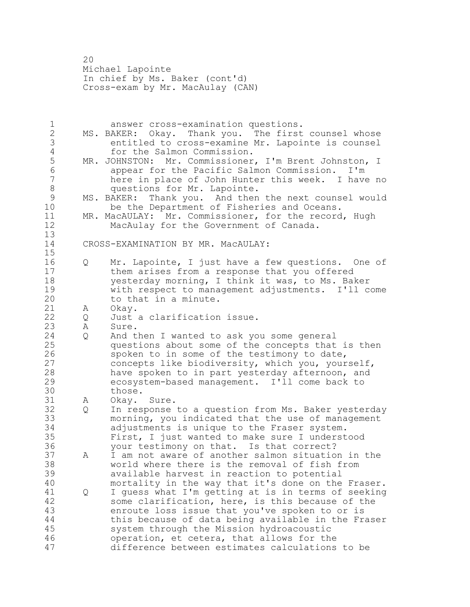Michael Lapointe In chief by Ms. Baker (cont'd) Cross-exam by Mr. MacAulay (CAN)

 answer cross-examination questions. MS. BAKER: Okay. Thank you. The first counsel whose entitled to cross-examine Mr. Lapointe is counsel 4 for the Salmon Commission.<br>5 MR. JOHNSTON: Mr. Commissioner 5 MR. JOHNSTON: Mr. Commissioner, I'm Brent Johnston, I<br>6 appear for the Pacific Salmon Commission. I'm appear for the Pacific Salmon Commission. I'm here in place of John Hunter this week. I have no 8 questions for Mr. Lapointe.<br>9 MS. BAKER: Thank you. And then 9 MS. BAKER: Thank you. And then the next counsel would<br>10 be the Department of Fisheries and Oceans. be the Department of Fisheries and Oceans. MR. MacAULAY: Mr. Commissioner, for the record, Hugh MacAulay for the Government of Canada. CROSS-EXAMINATION BY MR. MacAULAY: Q Mr. Lapointe, I just have a few questions. One of them arises from a response that you offered yesterday morning, I think it was, to Ms. Baker with respect to management adjustments. I'll come to that in a minute. A Okay. Q Just a clarification issue. A Sure. Q And then I wanted to ask you some general questions about some of the concepts that is then 26 spoken to in some of the testimony to date,<br>27 concepts like biodiversity, which you, your concepts like biodiversity, which you, yourself, have spoken to in part yesterday afternoon, and ecosystem-based management. I'll come back to 30 those.<br>31 A Okav. A Okay. Sure. Q In response to a question from Ms. Baker yesterday morning, you indicated that the use of management adjustments is unique to the Fraser system. First, I just wanted to make sure I understood your testimony on that. Is that correct? A I am not aware of another salmon situation in the world where there is the removal of fish from available harvest in reaction to potential mortality in the way that it's done on the Fraser. 41 Q I guess what I'm getting at is in terms of seeking<br>42 Some clarification, here, is this because of the some clarification, here, is this because of the enroute loss issue that you've spoken to or is this because of data being available in the Fraser system through the Mission hydroacoustic operation, et cetera, that allows for the difference between estimates calculations to be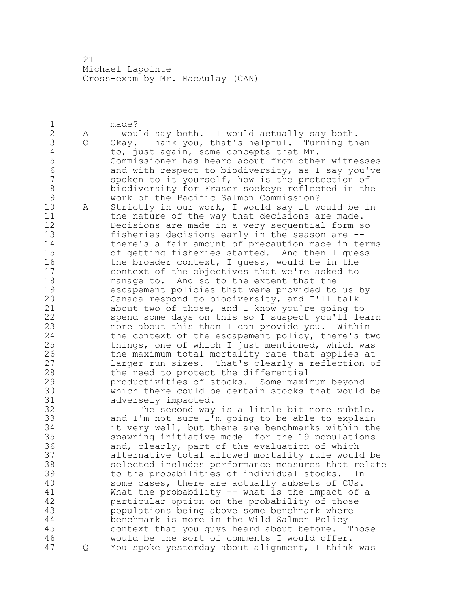Michael Lapointe Cross-exam by Mr. MacAulay (CAN)

 made? A I would say both. I would actually say both. 3 Q Okay. Thank you, that's helpful. Turning then<br>4 to, just again, some concepts that Mr. 4 to, just again, some concepts that Mr.<br>5 Commissioner has heard about from othe Commissioner has heard about from other witnesses 6 and with respect to biodiversity, as I say you've<br>7 spoken to it vourself, how is the protection of spoken to it yourself, how is the protection of biodiversity for Fraser sockeye reflected in the 9 work of the Pacific Salmon Commission?<br>10 A Strictly in our work, I would say it w A Strictly in our work, I would say it would be in the nature of the way that decisions are made. Decisions are made in a very sequential form so fisheries decisions early in the season are -- there's a fair amount of precaution made in terms of getting fisheries started. And then I guess 16 the broader context, I guess, would be in the context of the objectives that we're asked to manage to. And so to the extent that the 19 escapement policies that were provided to us by<br>20 Canada respond to biodiversity, and I'll talk Canada respond to biodiversity, and I'll talk about two of those, and I know you're going to spend some days on this so I suspect you'll learn more about this than I can provide you. Within the context of the escapement policy, there's two things, one of which I just mentioned, which was 26 the maximum total mortality rate that applies at<br>27 1arger run sizes. That's clearly a reflection o larger run sizes. That's clearly a reflection of the need to protect the differential productivities of stocks. Some maximum beyond 30 which there could be certain stocks that would be 31 31 adversely impacted.<br>32 The second wav The second way is a little bit more subtle, and I'm not sure I'm going to be able to explain it very well, but there are benchmarks within the spawning initiative model for the 19 populations and, clearly, part of the evaluation of which alternative total allowed mortality rule would be selected includes performance measures that relate to the probabilities of individual stocks. In some cases, there are actually subsets of CUs. 41 What the probability -- what is the impact of a<br>42 particular option on the probability of those particular option on the probability of those populations being above some benchmark where benchmark is more in the Wild Salmon Policy context that you guys heard about before. Those would be the sort of comments I would offer. Q You spoke yesterday about alignment, I think was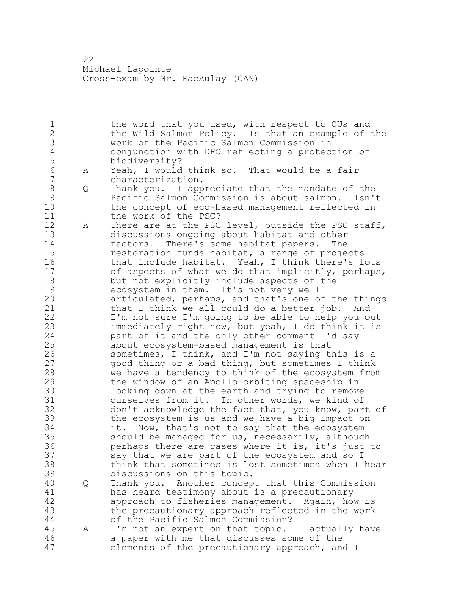Michael Lapointe Cross-exam by Mr. MacAulay (CAN)

1 the word that you used, with respect to CUs and the Wild Salmon Policy. Is that an example of the work of the Pacific Salmon Commission in conjunction with DFO reflecting a protection of 5 biodiversity?<br>6 A Yeah, I would A Yeah, I would think so. That would be a fair characterization. 8 Q Thank you. I appreciate that the mandate of the<br>9 Pacific Salmon Commission is about salmon. Isn' Pacific Salmon Commission is about salmon. Isn't the concept of eco-based management reflected in 11 the work of the PSC? 12 A There are at the PSC level, outside the PSC staff, discussions ongoing about habitat and other factors. There's some habitat papers. The restoration funds habitat, a range of projects 16 that include habitat. Yeah, I think there's lots of aspects of what we do that implicitly, perhaps, but not explicitly include aspects of the 19 ecosystem in them. It's not very well<br>20 articulated, perhaps, and that's one o articulated, perhaps, and that's one of the things that I think we all could do a better job. And I'm not sure I'm going to be able to help you out immediately right now, but yeah, I do think it is part of it and the only other comment I'd say about ecosystem-based management is that 26 sometimes, I think, and I'm not saying this is a<br>27 sqood thing or a bad thing, but sometimes I think good thing or a bad thing, but sometimes I think we have a tendency to think of the ecosystem from the window of an Apollo-orbiting spaceship in 30 looking down at the earth and trying to remove<br>31 ourselves from it. In other words, we kind of 31 ourselves from it. In other words, we kind of<br>32 don't acknowledge the fact that, you know, par don't acknowledge the fact that, you know, part of the ecosystem is us and we have a big impact on it. Now, that's not to say that the ecosystem should be managed for us, necessarily, although perhaps there are cases where it is, it's just to say that we are part of the ecosystem and so I think that sometimes is lost sometimes when I hear discussions on this topic. Q Thank you. Another concept that this Commission 41 has heard testimony about is a precautionary<br>42 approach to fisheries management. Again, ho approach to fisheries management. Again, how is the precautionary approach reflected in the work of the Pacific Salmon Commission? A I'm not an expert on that topic. I actually have a paper with me that discusses some of the elements of the precautionary approach, and I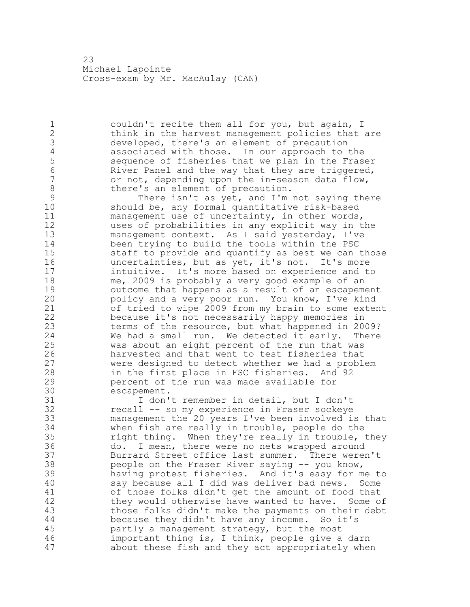23 Michael Lapointe Cross-exam by Mr. MacAulay (CAN)

1 couldn't recite them all for you, but again, I 2 think in the harvest management policies that are 3 developed, there's an element of precaution<br>4 associated with those. In our approach to 4 associated with those. In our approach to the<br>5 sequence of fisheries that we plan in the Fras 5 5 sequence of fisheries that we plan in the Fraser<br>6 6 River Panel and the way that they are triggered. 6 River Panel and the way that they are triggered,<br>7 6 or not, depending upon the in-season data flow, or not, depending upon the in-season data flow, 8 there's an element of precaution.<br>9 There isn't as yet, and I'm

9 There isn't as yet, and I'm not saying there<br>10 should be, any formal quantitative risk-based should be, any formal quantitative risk-based management use of uncertainty, in other words, uses of probabilities in any explicit way in the management context. As I said yesterday, I've been trying to build the tools within the PSC staff to provide and quantify as best we can those uncertainties, but as yet, it's not. It's more intuitive. It's more based on experience and to me, 2009 is probably a very good example of an 19 outcome that happens as a result of an escapement<br>20 bolicy and a very poor run. You know, I've kind policy and a very poor run. You know, I've kind of tried to wipe 2009 from my brain to some extent because it's not necessarily happy memories in terms of the resource, but what happened in 2009? We had a small run. We detected it early. There was about an eight percent of the run that was 26 harvested and that went to test fisheries that<br>27 were designed to detect whether we had a probl were designed to detect whether we had a problem in the first place in FSC fisheries. And 92 percent of the run was made available for

30 escapement.<br>31 I don' 31 I don't remember in detail, but I don't<br>32 Tecall -- so my experience in Fraser sockeve recall -- so my experience in Fraser sockeye management the 20 years I've been involved is that 34 when fish are really in trouble, people do the<br>35 fight thing. When they're really in trouble, right thing. When they're really in trouble, they do. I mean, there were no nets wrapped around Burrard Street office last summer. There weren't people on the Fraser River saying -- you know, having protest fisheries. And it's easy for me to say because all I did was deliver bad news. Some 41 of those folks didn't get the amount of food that<br>42 they would otherwise have wanted to have. Some o they would otherwise have wanted to have. Some of those folks didn't make the payments on their debt because they didn't have any income. So it's partly a management strategy, but the most important thing is, I think, people give a darn about these fish and they act appropriately when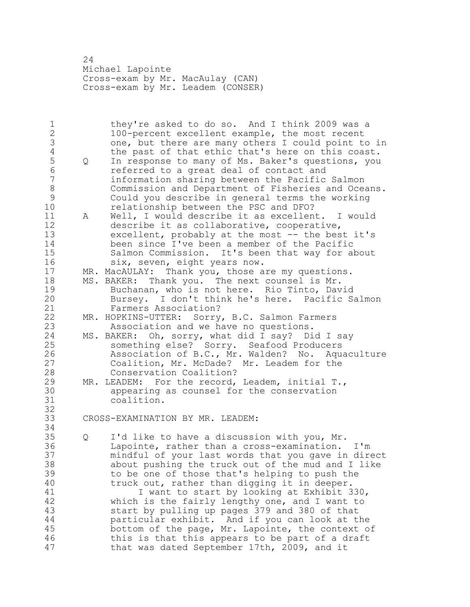Michael Lapointe Cross-exam by Mr. MacAulay (CAN) Cross-exam by Mr. Leadem (CONSER)

 they're asked to do so. And I think 2009 was a 100-percent excellent example, the most recent 3 one, but there are many others I could point to in<br>4 the past of that ethic that's here on this coast. 4 the past of that ethic that's here on this coast.<br>5 0 In response to many of Ms. Baker's questions, you 5 Q In response to many of Ms. Baker's questions, you<br>6 efferred to a great deal of contact and referred to a great deal of contact and information sharing between the Pacific Salmon 8 Commission and Department of Fisheries and Oceans.<br>9 Could you describe in general terms the working Could you describe in general terms the working relationship between the PSC and DFO? A Well, I would describe it as excellent. I would describe it as collaborative, cooperative, excellent, probably at the most -- the best it's been since I've been a member of the Pacific Salmon Commission. It's been that way for about 16 six, seven, eight years now. MR. MacAULAY: Thank you, those are my questions. MS. BAKER: Thank you. The next counsel is Mr. 19 Buchanan, who is not here. Rio Tinto, David<br>20 Bursey. I don't think he's here. Pacific S. Bursey. I don't think he's here. Pacific Salmon Farmers Association? MR. HOPKINS-UTTER: Sorry, B.C. Salmon Farmers Association and we have no questions. MS. BAKER: Oh, sorry, what did I say? Did I say something else? Sorry. Seafood Producers 26 Association of B.C., Mr. Walden? No. Aquaculture<br>27 Coalition, Mr. McDade? Mr. Leadem for the Coalition, Mr. McDade? Mr. Leadem for the Conservation Coalition? MR. LEADEM: For the record, Leadem, initial T., 30 appearing as counsel for the conservation<br>31 coalition. coalition. CROSS-EXAMINATION BY MR. LEADEM: Q I'd like to have a discussion with you, Mr. Lapointe, rather than a cross-examination. I'm mindful of your last words that you gave in direct about pushing the truck out of the mud and I like to be one of those that's helping to push the truck out, rather than digging it in deeper. 41 I want to start by looking at Exhibit 330,<br>42 which is the fairly lengthy one, and I want to which is the fairly lengthy one, and I want to start by pulling up pages 379 and 380 of that particular exhibit. And if you can look at the bottom of the page, Mr. Lapointe, the context of this is that this appears to be part of a draft that was dated September 17th, 2009, and it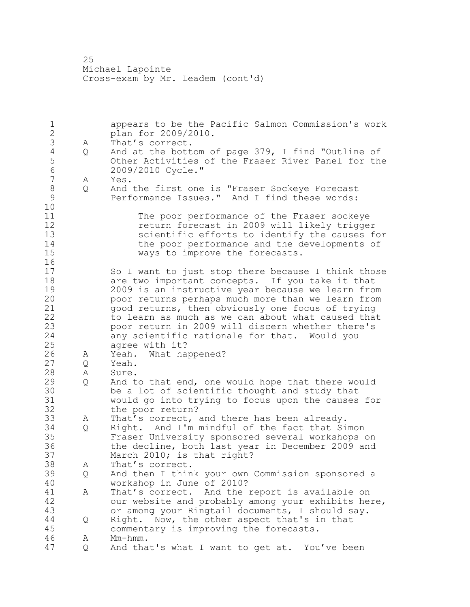appears to be the Pacific Salmon Commission's work plan for 2009/2010. 3 A That's correct.<br>4 Q And at the bott Q And at the bottom of page 379, I find "Outline of Other Activities of the Fraser River Panel for the 6 2009/2010 Cycle."<br>7 A Yes. A Yes. 8 Q And the first one is "Fraser Sockeye Forecast<br>9 Performance Issues." And I find these words: Performance Issues." And I find these words: The poor performance of the Fraser sockeye return forecast in 2009 will likely trigger scientific efforts to identify the causes for 14 the poor performance and the developments of<br>15 ways to improve the forecasts. ways to improve the forecasts. 17 So I want to just stop there because I think those are two important concepts. If you take it that 19 2009 is an instructive year because we learn from<br>20 boor returns perhaps much more than we learn from poor returns perhaps much more than we learn from good returns, then obviously one focus of trying to learn as much as we can about what caused that poor return in 2009 will discern whether there's any scientific rationale for that. Would you agree with it? 26 A Yeah. What happened?<br>27 Q Yeah. Q Yeah. A Sure. Q And to that end, one would hope that there would 30 be a lot of scientific thought and study that<br>31 would go into trving to focus upon the causes would go into trying to focus upon the causes for the poor return? A That's correct, and there has been already. Q Right. And I'm mindful of the fact that Simon Fraser University sponsored several workshops on the decline, both last year in December 2009 and March 2010; is that right? A That's correct. Q And then I think your own Commission sponsored a workshop in June of 2010? 41 A That's correct. And the report is available on<br>42 our website and probably among your exhibits he: our website and probably among your exhibits here, or among your Ringtail documents, I should say. Q Right. Now, the other aspect that's in that commentary is improving the forecasts. A Mm-hmm. Q And that's what I want to get at. You've been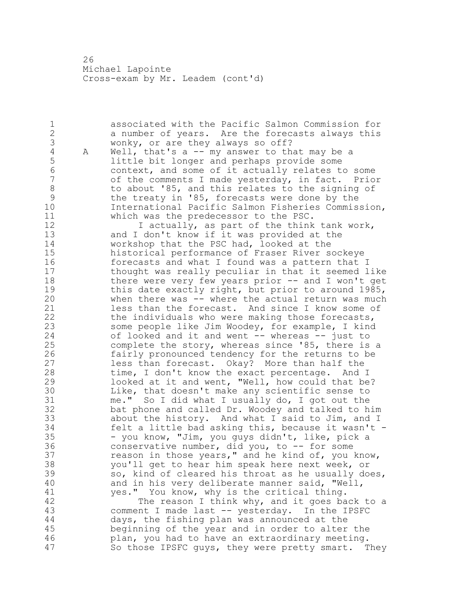1 associated with the Pacific Salmon Commission for 2 a number of years. Are the forecasts always this 3 wonky, or are they always so off?<br>4 A Well, that's a -- my answer to the

4 A Well, that's a -- my answer to that may be a<br>5 little bit longer and perhaps provide some 5 little bit longer and perhaps provide some<br>6 (context, and some of it actually relates to 6 context, and some of it actually relates to some of the comments I made yesterday, in fact. Prior 8 to about '85, and this relates to the signing of 9 the treaty in '85, forecasts were done by the<br>10 10 International Pacific Salmon Fisheries Commis International Pacific Salmon Fisheries Commission, 11 which was the predecessor to the PSC.

12 I actually, as part of the think tank work, and I don't know if it was provided at the workshop that the PSC had, looked at the historical performance of Fraser River sockeye 16 forecasts and what I found was a pattern that I thought was really peculiar in that it seemed like 18 there were very few years prior -- and I won't get 19 this date exactly right, but prior to around 1985,<br>20 when there was -- where the actual return was much when there was -- where the actual return was much less than the forecast. And since I know some of the individuals who were making those forecasts, some people like Jim Woodey, for example, I kind of looked and it and went -- whereas -- just to complete the story, whereas since '85, there is a 26 fairly pronounced tendency for the returns to be<br>27 less than forecast. Okay? More than half the less than forecast. Okay? More than half the time, I don't know the exact percentage. And I looked at it and went, "Well, how could that be? 30 Like, that doesn't make any scientific sense to<br>31 me." So I did what I usually do, I got out the 31 me." So I did what I usually do, I got out the<br>32 bat phone and called Dr. Woodey and talked to h bat phone and called Dr. Woodey and talked to him about the history. And what I said to Jim, and I felt a little bad asking this, because it wasn't - - you know, "Jim, you guys didn't, like, pick a conservative number, did you, to -- for some reason in those years," and he kind of, you know, you'll get to hear him speak here next week, or so, kind of cleared his throat as he usually does, and in his very deliberate manner said, "Well, 41 yes." You know, why is the critical thing.<br>42 The reason I think why, and it goes ba The reason I think why, and it goes back to a comment I made last -- yesterday. In the IPSFC

 days, the fishing plan was announced at the beginning of the year and in order to alter the plan, you had to have an extraordinary meeting. So those IPSFC guys, they were pretty smart. They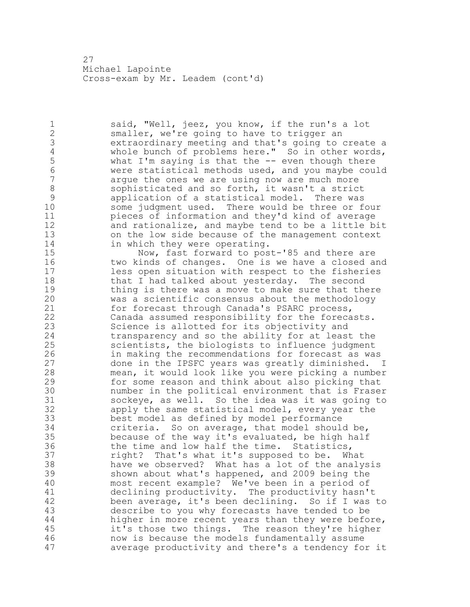said, "Well, jeez, you know, if the run's a lot smaller, we're going to have to trigger an 3 extraordinary meeting and that's going to create a<br>4 whole bunch of problems here." So in other words, 4 whole bunch of problems here." So in other words,<br>5 what I'm saying is that the -- even though there 5 what I'm saying is that the -- even though there<br>6 were statistical methods used, and you maybe cou were statistical methods used, and you maybe could arque the ones we are using now are much more 8 sophisticated and so forth, it wasn't a strict<br>9 application of a statistical model. There was application of a statistical model. There was some judgment used. There would be three or four pieces of information and they'd kind of average and rationalize, and maybe tend to be a little bit on the low side because of the management context 14 in which they were operating. 15 Now, fast forward to post-'85 and there are two kinds of changes. One is we have a closed and less open situation with respect to the fisheries 18 that I had talked about yesterday. The second 19 thing is there was a move to make sure that there<br>20 was a scientific consensus about the methodology was a scientific consensus about the methodology for forecast through Canada's PSARC process, Canada assumed responsibility for the forecasts. Science is allotted for its objectivity and transparency and so the ability for at least the scientists, the biologists to influence judgment 26 10 in making the recommendations for forecast as was<br>27 done in the IPSFC years was greatly diminished. done in the IPSFC years was greatly diminished. I mean, it would look like you were picking a number for some reason and think about also picking that 30 number in the political environment that is Fraser<br>31 sockeye, as well. So the idea was it was going to 31 sockeye, as well. So the idea was it was going to<br>32 apply the same statistical model, every year the apply the same statistical model, every year the best model as defined by model performance criteria. So on average, that model should be, because of the way it's evaluated, be high half the time and low half the time. Statistics, right? That's what it's supposed to be. What have we observed? What has a lot of the analysis shown about what's happened, and 2009 being the most recent example? We've been in a period of 41 declining productivity. The productivity hasn't<br>42 been average, it's been declining. So if I was been average, it's been declining. So if I was to describe to you why forecasts have tended to be higher in more recent years than they were before, it's those two things. The reason they're higher now is because the models fundamentally assume average productivity and there's a tendency for it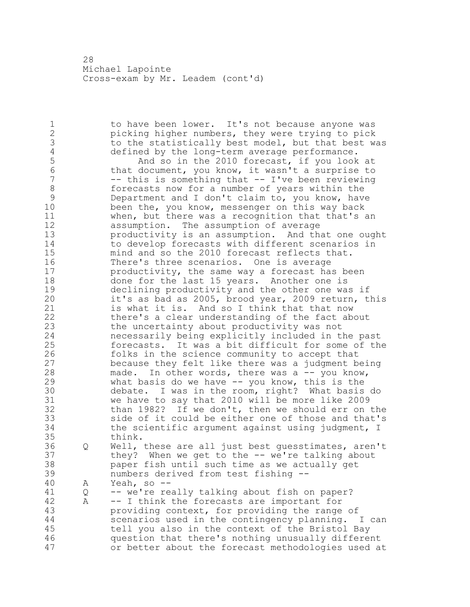1 to have been lower. It's not because anyone was 2 picking higher numbers, they were trying to pick 3 to the statistically best model, but that best was<br>4 defined by the long-term average performance. 4 defined by the long-term average performance.<br>5 hnd so in the 2010 forecast, if you look 5 And so in the 2010 forecast, if you look at<br>6 that document, you know, it wasn't a surprise to 6 that document, you know, it wasn't a surprise to  $--$  this is something that  $--$  I've been reviewing 8 forecasts now for a number of years within the<br>9 Department and I don't claim to, you know, have 9 Department and I don't claim to, you know, have<br>10 been the, you know, messenger on this way back been the, you know, messenger on this way back 11 when, but there was a recognition that that's an 12 assumption. The assumption of average 13 productivity is an assumption. And that one ought 14 to develop forecasts with different scenarios in 15 mind and so the 2010 forecast reflects that. 16 There's three scenarios. One is average<br>17 The productivity, the same way a forecast ha productivity, the same way a forecast has been 18 done for the last 15 years. Another one is 19 declining productivity and the other one was if<br>20 it's as bad as 2005, brood year, 2009 return, t it's as bad as 2005, brood year, 2009 return, this 21 is what it is. And so I think that that now 22 there's a clear understanding of the fact about 23 the uncertainty about productivity was not 24 necessarily being explicitly included in the past 25 forecasts. It was a bit difficult for some of the 26 folks in the science community to accept that<br>27 because they felt like there was a judgment b because they felt like there was a judgment being 28 made. In other words, there was a -- you know, 29 what basis do we have -- you know, this is the 30 debate. I was in the room, right? What basis do<br>31 we have to say that 2010 will be more like 2009 31 we have to say that 2010 will be more like 2009<br>32 than 1982? If we don't, then we should err on than 1982? If we don't, then we should err on the 33 side of it could be either one of those and that's 34 the scientific argument against using judgment, I 35 think. 36 Q Well, these are all just best guesstimates, aren't 37 they? When we get to the -- we're talking about 38 paper fish until such time as we actually get 39 numbers derived from test fishing -- 40 A Yeah, so -- 41 Q -- we're really talking about fish on paper?<br>42 A -- I think the forecasts are important for A -- I think the forecasts are important for 43 providing context, for providing the range of 44 scenarios used in the contingency planning. I can 45 tell you also in the context of the Bristol Bay 46 question that there's nothing unusually different 47 or better about the forecast methodologies used at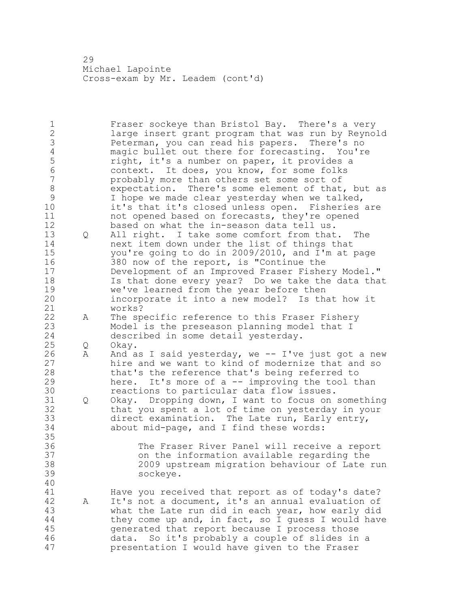Fraser sockeye than Bristol Bay. There's a very large insert grant program that was run by Reynold Peterman, you can read his papers. There's no 4 magic bullet out there for forecasting. You're<br>5 fight, it's a number on paper, it provides a 5 5 right, it's a number on paper, it provides a<br>6 6 context. It does, you know, for some folks context. It does, you know, for some folks probably more than others set some sort of 8 expectation. There's some element of that, but as<br>9 1 hope we made clear yesterday when we talked, 9 I hope we made clear yesterday when we talked,<br>10 it's that it's closed unless open. Fisheries it's that it's closed unless open. Fisheries are not opened based on forecasts, they're opened based on what the in-season data tell us. Q All right. I take some comfort from that. The next item down under the list of things that you're going to do in 2009/2010, and I'm at page 380 now of the report, is "Continue the Development of an Improved Fraser Fishery Model." Is that done every year? Do we take the data that 19 we've learned from the year before then<br>20 incorporate it into a new model? Is that incorporate it into a new model? Is that how it works? A The specific reference to this Fraser Fishery Model is the preseason planning model that I described in some detail yesterday. Q Okay. 26 A And as I said yesterday, we -- I've just got a new<br>27 hire and we want to kind of modernize that and so hire and we want to kind of modernize that and so that's the reference that's being referred to here. It's more of a -- improving the tool than **reactions to particular data flow issues.**<br>31 0 Okav. Dropping down, I want to focus on Q Okay. Dropping down, I want to focus on something that you spent a lot of time on yesterday in your direct examination. The Late run, Early entry, about mid-page, and I find these words: The Fraser River Panel will receive a report on the information available regarding the 2009 upstream migration behaviour of Late run sockeye. 41 Have you received that report as of today's date?<br>42 A It's not a document, it's an annual evaluation of A It's not a document, it's an annual evaluation of what the Late run did in each year, how early did they come up and, in fact, so I guess I would have generated that report because I process those data. So it's probably a couple of slides in a presentation I would have given to the Fraser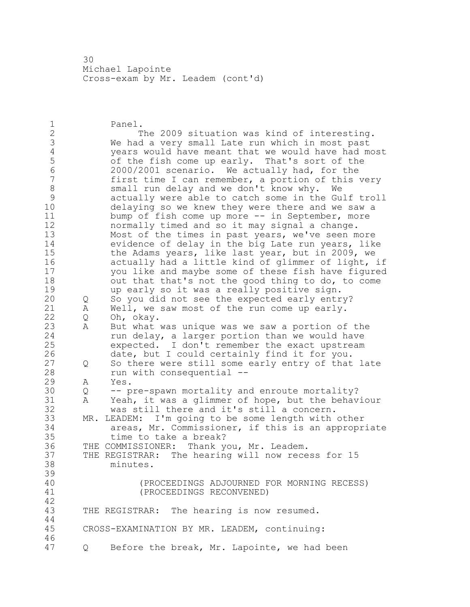Panel. 2 The 2009 situation was kind of interesting. We had a very small Late run which in most past 4 years would have meant that we would have had most<br>5 of the fish come up early. That's sort of the 5 of the fish come up early. That's sort of the<br>6 2000/2001 scenario. We actually had, for the 2000/2001 scenario. We actually had, for the first time I can remember, a portion of this very 8 small run delay and we don't know why. We<br>9 actually were able to catch some in the Gu. actually were able to catch some in the Gulf troll delaying so we knew they were there and we saw a bump of fish come up more -- in September, more normally timed and so it may signal a change. Most of the times in past years, we've seen more evidence of delay in the big Late run years, like the Adams years, like last year, but in 2009, we actually had a little kind of glimmer of light, if you like and maybe some of these fish have figured out that that's not the good thing to do, to come 19 up early so it was a really positive sign.<br>20 0 So you did not see the expected early entr Q So you did not see the expected early entry? A Well, we saw most of the run come up early. Q Oh, okay. A But what was unique was we saw a portion of the run delay, a larger portion than we would have expected. I don't remember the exact upstream 26 date, but I could certainly find it for you.<br>27 0 So there were still some early entry of that Q So there were still some early entry of that late run with consequential -- A Yes. 30 Q -- pre-spawn mortality and enroute mortality?<br>31 A Yeah, it was a glimmer of hope, but the behav 31 A Yeah, it was a glimmer of hope, but the behaviour<br>32 was still there and it's still a concern. was still there and it's still a concern. MR. LEADEM: I'm going to be some length with other areas, Mr. Commissioner, if this is an appropriate time to take a break? THE COMMISSIONER: Thank you, Mr. Leadem. THE REGISTRAR: The hearing will now recess for 15 minutes. (PROCEEDINGS ADJOURNED FOR MORNING RECESS) 41 (PROCEEDINGS RECONVENED) THE REGISTRAR: The hearing is now resumed. CROSS-EXAMINATION BY MR. LEADEM, continuing: Q Before the break, Mr. Lapointe, we had been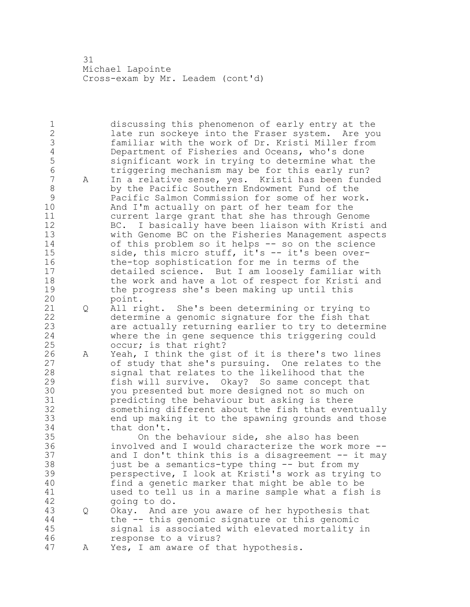discussing this phenomenon of early entry at the late run sockeye into the Fraser system. Are you 3 familiar with the work of Dr. Kristi Miller from<br>4 Department of Fisheries and Oceans, who's done 4 Department of Fisheries and Oceans, who's done<br>5 Significant work in trying to determine what t significant work in trying to determine what the triggering mechanism may be for this early run? A In a relative sense, yes. Kristi has been funded by the Pacific Southern Endowment Fund of the 9 Pacific Salmon Commission for some of her work.<br>10 And I'm actually on part of her team for the And I'm actually on part of her team for the current large grant that she has through Genome BC. I basically have been liaison with Kristi and with Genome BC on the Fisheries Management aspects of this problem so it helps -- so on the science side, this micro stuff, it's -- it's been over- the-top sophistication for me in terms of the detailed science. But I am loosely familiar with 18 the work and have a lot of respect for Kristi and 19 the progress she's been making up until this<br>20 point. point. Q All right. She's been determining or trying to determine a genomic signature for the fish that are actually returning earlier to try to determine where the in gene sequence this triggering could occur; is that right? 26 A Yeah, I think the gist of it is there's two lines<br>27 of study that she's pursuing. One relates to the of study that she's pursuing. One relates to the signal that relates to the likelihood that the fish will survive. Okay? So same concept that 30 you presented but more designed not so much on<br>31 bredicting the behaviour but asking is there 31 predicting the behaviour but asking is there<br>32 something different about the fish that event something different about the fish that eventually end up making it to the spawning grounds and those that don't. 35 On the behaviour side, she also has been involved and I would characterize the work more -- 37 and I don't think this is a disagreement -- it may just be a semantics-type thing -- but from my perspective, I look at Kristi's work as trying to find a genetic marker that might be able to be 41 used to tell us in a marine sample what a fish is<br>42 oping to do. going to do. Q Okay. And are you aware of her hypothesis that the -- this genomic signature or this genomic signal is associated with elevated mortality in response to a virus? A Yes, I am aware of that hypothesis.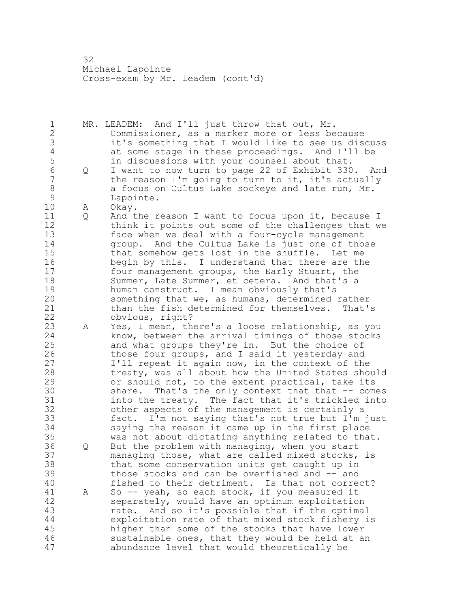MR. LEADEM: And I'll just throw that out, Mr. Commissioner, as a marker more or less because it's something that I would like to see us discuss 4 at some stage in these proceedings. And I'll be<br>5 in discussions with your counsel about that. 5 in discussions with your counsel about that.<br>6 0 1 want to now turn to page 22 of Exhibit 330 Q I want to now turn to page 22 of Exhibit 330. And the reason I'm going to turn to it, it's actually 8 a focus on Cultus Lake sockeye and late run, Mr.<br>9 Lapointe. 9 Lapointe.<br>10 A Okav. A Okay. Q And the reason I want to focus upon it, because I think it points out some of the challenges that we face when we deal with a four-cycle management group. And the Cultus Lake is just one of those that somehow gets lost in the shuffle. Let me begin by this. I understand that there are the four management groups, the Early Stuart, the Summer, Late Summer, et cetera. And that's a 19 human construct. I mean obviously that's<br>20 something that we, as humans, determined something that we, as humans, determined rather than the fish determined for themselves. That's obvious, right? A Yes, I mean, there's a loose relationship, as you know, between the arrival timings of those stocks and what groups they're in. But the choice of 26 those four groups, and I said it yesterday and<br>27 I'll repeat it again now, in the context of the I'll repeat it again now, in the context of the treaty, was all about how the United States should or should not, to the extent practical, take its 30 share. That's the only context that that -- comes<br>31 into the treaty. The fact that it's trickled into into the treaty. The fact that it's trickled into other aspects of the management is certainly a fact. I'm not saying that's not true but I'm just saying the reason it came up in the first place was not about dictating anything related to that. Q But the problem with managing, when you start managing those, what are called mixed stocks, is that some conservation units get caught up in those stocks and can be overfished and -- and fished to their detriment. Is that not correct? 41 A So -- yeah, so each stock, if you measured it<br>42 separately, would have an optimum exploitatio separately, would have an optimum exploitation rate. And so it's possible that if the optimal exploitation rate of that mixed stock fishery is higher than some of the stocks that have lower sustainable ones, that they would be held at an abundance level that would theoretically be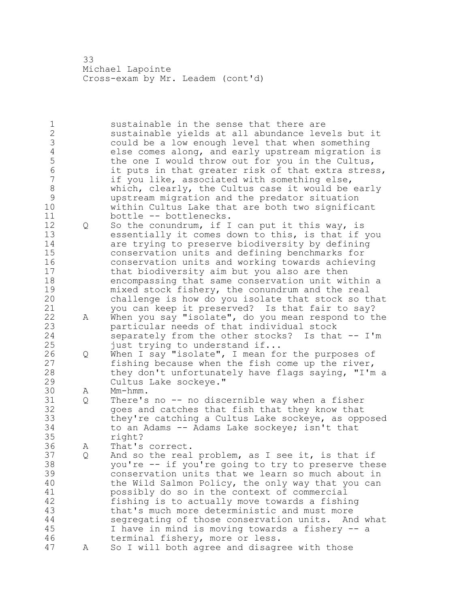sustainable in the sense that there are sustainable yields at all abundance levels but it 3 could be a low enough level that when something<br>4 else comes along, and early upstream migration: 4 else comes along, and early upstream migration is<br>5 the one I would throw out for you in the Cultus, 5 the one I would throw out for you in the Cultus,<br>6 it puts in that greater risk of that extra stres 6 it puts in that greater risk of that extra stress,<br>7 if you like, associated with something else, if you like, associated with something else, 8 which, clearly, the Cultus case it would be early<br>9 wpstream migration and the predator situation upstream migration and the predator situation within Cultus Lake that are both two significant bottle -- bottlenecks. Q So the conundrum, if I can put it this way, is essentially it comes down to this, is that if you are trying to preserve biodiversity by defining conservation units and defining benchmarks for conservation units and working towards achieving that biodiversity aim but you also are then encompassing that same conservation unit within a 19 mixed stock fishery, the conundrum and the real<br>20 challenge is how do you isolate that stock so ti challenge is how do you isolate that stock so that you can keep it preserved? Is that fair to say? A When you say "isolate", do you mean respond to the particular needs of that individual stock separately from the other stocks? Is that -- I'm 25 just trying to understand if... 26 Q When I say "isolate", I mean for the purposes of<br>27 fishing because when the fish come up the river, fishing because when the fish come up the river, they don't unfortunately have flags saying, "I'm a Cultus Lake sockeye." 30 A Mm-hmm.<br>31 Q There's 31 Q There's no -- no discernible way when a fisher<br>32 ages and catches that fish that they know that goes and catches that fish that they know that they're catching a Cultus Lake sockeye, as opposed to an Adams -- Adams Lake sockeye; isn't that right? A That's correct. Q And so the real problem, as I see it, is that if you're -- if you're going to try to preserve these conservation units that we learn so much about in the Wild Salmon Policy, the only way that you can 41 possibly do so in the context of commercial<br>42 fishing is to actually move towards a fishi fishing is to actually move towards a fishing that's much more deterministic and must more segregating of those conservation units. And what I have in mind is moving towards a fishery -- a terminal fishery, more or less. A So I will both agree and disagree with those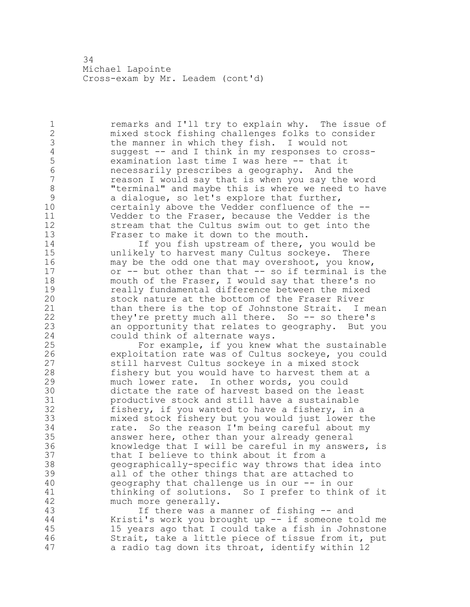1 1 1 remarks and I'll try to explain why. The issue of 2 mixed stock fishing challenges folks to consider 3 the manner in which they fish. I would not<br>4 suggest -- and I think in my responses to c 4 suggest -- and I think in my responses to cross-<br>5 examination last time I was here -- that it 5 examination last time I was here -- that it 6 necessarily prescribes a geography. And the reason I would say that is when you say the word 8 "terminal" and maybe this is where we need to have<br>9 a dialoque, so let's explore that further, 9 a dialogue, so let's explore that further,<br>10 certainly above the Vedder confluence of t certainly above the Vedder confluence of the --11 Vedder to the Fraser, because the Vedder is the 12 stream that the Cultus swim out to get into the<br>13 Fraser to make it down to the mouth. Fraser to make it down to the mouth. 14 If you fish upstream of there, you would be 15 unlikely to harvest many Cultus sockeye. There 16 may be the odd one that may overshoot, you know, 17 or -- but other than that -- so if terminal is the 18 mouth of the Fraser, I would say that there's no 19 **19** really fundamental difference between the mixed<br>20 stock nature at the bottom of the Fraser River stock nature at the bottom of the Fraser River 21 than there is the top of Johnstone Strait. I mean 22 they're pretty much all there. So -- so there's 23 an opportunity that relates to geography. But you 24 could think of alternate ways. 25 For example, if you knew what the sustainable 26 exploitation rate was of Cultus sockeye, you could<br>27 still harvest Cultus sockeye in a mixed stock still harvest Cultus sockeye in a mixed stock 28 fishery but you would have to harvest them at a 29 much lower rate. In other words, you could 30 dictate the rate of harvest based on the least<br>31 productive stock and still have a sustainable 31 productive stock and still have a sustainable<br>32 fishery, if you wanted to have a fishery, in fishery, if you wanted to have a fishery, in a 33 mixed stock fishery but you would just lower the 34 rate. So the reason I'm being careful about my 35 answer here, other than your already general 36 knowledge that I will be careful in my answers, is 37 that I believe to think about it from a 38 geographically-specific way throws that idea into 39 all of the other things that are attached to 40 geography that challenge us in our -- in our 41 thinking of solutions. So I prefer to think of it<br>42 much more qenerally. much more generally. 43 If there was a manner of fishing -- and 44 Kristi's work you brought up -- if someone told me 45 15 years ago that I could take a fish in Johnstone 46 Strait, take a little piece of tissue from it, put 47 a radio tag down its throat, identify within 12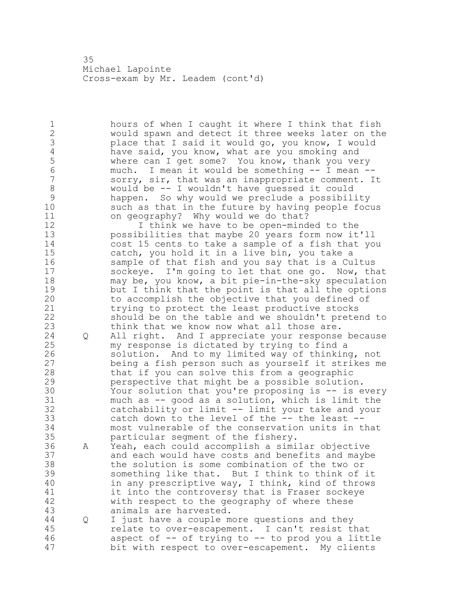hours of when I caught it where I think that fish would spawn and detect it three weeks later on the 3 place that I said it would go, you know, I would<br>4 have said, you know, what are you smoking and 4 have said, you know, what are you smoking and<br>5 where can I get some? You know, thank you ve 5 where can I get some? You know, thank you very<br>6 much. I mean it would be something -- I mean - much. I mean it would be something -- I mean - sorry, sir, that was an inappropriate comment. It would be -- I wouldn't have guessed it could happen. So why would we preclude a possibility such as that in the future by having people focus on geography? Why would we do that? 12 12 I think we have to be open-minded to the possibilities that maybe 20 years form now it'll cost 15 cents to take a sample of a fish that you catch, you hold it in a live bin, you take a sample of that fish and you say that is a Cultus sockeye. I'm going to let that one go. Now, that may be, you know, a bit pie-in-the-sky speculation 19 but I think that the point is that all the options<br>20 bo accomplish the objective that you defined of to accomplish the objective that you defined of trying to protect the least productive stocks should be on the table and we shouldn't pretend to think that we know now what all those are. Q All right. And I appreciate your response because my response is dictated by trying to find a 26 solution. And to my limited way of thinking, not<br>27 being a fish person such as yourself it strikes me being a fish person such as yourself it strikes me that if you can solve this from a geographic perspective that might be a possible solution. 30 Your solution that you're proposing is -- is every<br>31 much as -- good as a solution, which is limit the much as  $-$  good as a solution, which is limit the catchability or limit -- limit your take and your catch down to the level of the -- the least -- most vulnerable of the conservation units in that particular segment of the fishery. A Yeah, each could accomplish a similar objective and each would have costs and benefits and maybe the solution is some combination of the two or something like that. But I think to think of it in any prescriptive way, I think, kind of throws 41 it into the controversy that is Fraser sockeye<br>42 with respect to the geography of where these with respect to the geography of where these animals are harvested. Q I just have a couple more questions and they relate to over-escapement. I can't resist that aspect of -- of trying to -- to prod you a little bit with respect to over-escapement. My clients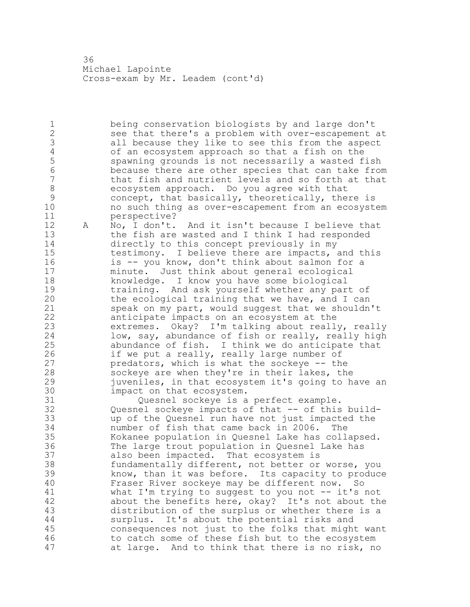being conservation biologists by and large don't see that there's a problem with over-escapement at 3 all because they like to see this from the aspect<br>4 of an ecosystem approach so that a fish on the of an ecosystem approach so that a fish on the spawning grounds is not necessarily a wasted fish because there are other species that can take from that fish and nutrient levels and so forth at that ecosystem approach. Do you agree with that 9 concept, that basically, theoretically, there is<br>10 mo such thing as over-escapement from an ecosyst no such thing as over-escapement from an ecosystem perspective?

 A No, I don't. And it isn't because I believe that the fish are wasted and I think I had responded directly to this concept previously in my testimony. I believe there are impacts, and this is -- you know, don't think about salmon for a minute. Just think about general ecological knowledge. I know you have some biological 19 training. And ask yourself whether any part of<br>20 the ecological training that we have, and I can the ecological training that we have, and I can speak on my part, would suggest that we shouldn't anticipate impacts on an ecosystem at the extremes. Okay? I'm talking about really, really low, say, abundance of fish or really, really high abundance of fish. I think we do anticipate that 26 if we put a really, really large number of<br>27 bredators, which is what the sockeye -- th predators, which is what the sockeye  $-$ - the sockeye are when they're in their lakes, the juveniles, in that ecosystem it's going to have an 30 impact on that ecosystem.<br>31 Ouesnel sockeye is a

31 Quesnel sockeye is a perfect example.<br>32 Ouesnel sockeye impacts of that -- of this Quesnel sockeye impacts of that -- of this build- up of the Quesnel run have not just impacted the number of fish that came back in 2006. The Kokanee population in Quesnel Lake has collapsed. The large trout population in Quesnel Lake has also been impacted. That ecosystem is fundamentally different, not better or worse, you know, than it was before. Its capacity to produce Fraser River sockeye may be different now. So 41 what I'm trying to suggest to you not -- it's not<br>42 about the benefits here, okay? It's not about the about the benefits here, okay? It's not about the distribution of the surplus or whether there is a surplus. It's about the potential risks and consequences not just to the folks that might want to catch some of these fish but to the ecosystem at large. And to think that there is no risk, no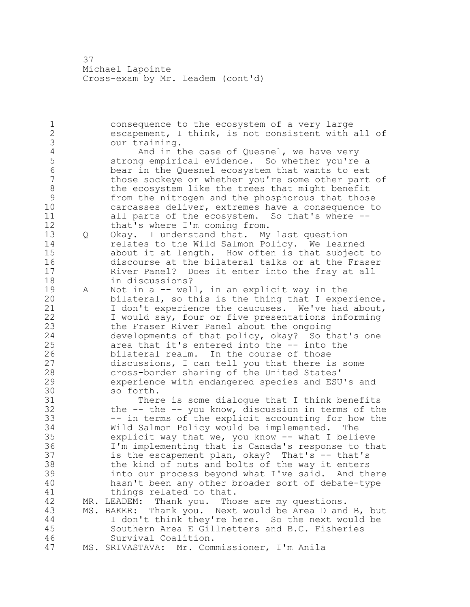consequence to the ecosystem of a very large escapement, I think, is not consistent with all of 3 our training.<br>4 And in t 4 And in the case of Quesnel, we have very<br>5 Strong empirical evidence. So whether you're strong empirical evidence. So whether you're a bear in the Quesnel ecosystem that wants to eat those sockeye or whether you're some other part of 8 the ecosystem like the trees that might benefit 9 from the nitrogen and the phosphorous that those<br>10 carcasses deliver, extremes have a consequence t carcasses deliver, extremes have a consequence to all parts of the ecosystem. So that's where -- 12 that's where I'm coming from. Q Okay. I understand that. My last question **relates to the Wild Salmon Policy.** We learned about it at length. How often is that subject to discourse at the bilateral talks or at the Fraser River Panel? Does it enter into the fray at all in discussions? 19 A Not in a -- well, in an explicit way in the<br>20 bilateral, so this is the thing that I expe bilateral, so this is the thing that I experience. 21 I don't experience the caucuses. We've had about, I would say, four or five presentations informing the Fraser River Panel about the ongoing developments of that policy, okay? So that's one area that it's entered into the -- into the 26 bilateral realm. In the course of those<br>27 discussions, I can tell you that there i. discussions, I can tell you that there is some cross-border sharing of the United States' experience with endangered species and ESU's and so forth. 31 There is some dialogue that I think benefits<br>32 the -- the -- you know, discussion in terms of the the  $--$  the  $--$  you know, discussion in terms of the -- in terms of the explicit accounting for how the Wild Salmon Policy would be implemented. The explicit way that we, you know -- what I believe I'm implementing that is Canada's response to that is the escapement plan, okay? That's -- that's the kind of nuts and bolts of the way it enters into our process beyond what I've said. And there hasn't been any other broader sort of debate-type 41 things related to that.<br>42 MR. LEADEM: Thank you. Tho MR. LEADEM: Thank you. Those are my questions. MS. BAKER: Thank you. Next would be Area D and B, but I don't think they're here. So the next would be Southern Area E Gillnetters and B.C. Fisheries Survival Coalition. MS. SRIVASTAVA: Mr. Commissioner, I'm Anila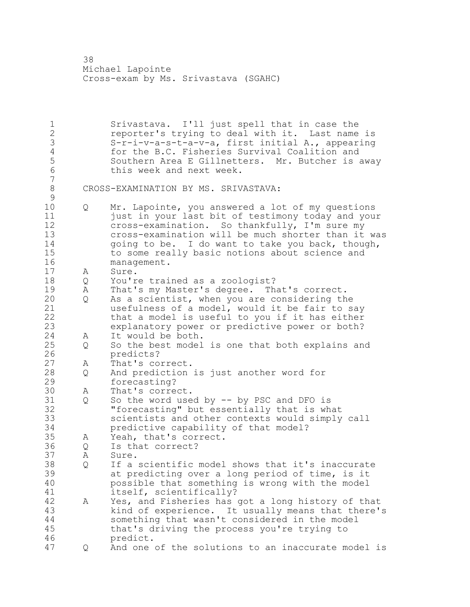Srivastava. I'll just spell that in case the reporter's trying to deal with it. Last name is S-r-i-v-a-s-t-a-v-a, first initial A., appearing 4 for the B.C. Fisheries Survival Coalition and<br>5 Southern Area E Gillnetters. Mr. Butcher is 5 Southern Area E Gillnetters. Mr. Butcher is away<br>6 this week and next week. this week and next week. CROSS-EXAMINATION BY MS. SRIVASTAVA:  $\begin{array}{c} 9 \\ 10 \end{array}$  Q Mr. Lapointe, you answered a lot of my questions 11 iust in your last bit of testimony today and your cross-examination. So thankfully, I'm sure my cross-examination will be much shorter than it was 14 going to be. I do want to take you back, though, to some really basic notions about science and management. A Sure. Q You're trained as a zoologist? 19 A That's my Master's degree. That's correct.<br>20 O As a scientist, when you are considering th Q As a scientist, when you are considering the usefulness of a model, would it be fair to say that a model is useful to you if it has either explanatory power or predictive power or both? A It would be both. Q So the best model is one that both explains and 26 predicts?<br>27 A That's co A That's correct. Q And prediction is just another word for forecasting? 30 A That's correct.<br>31 O So the word use 31 Q So the word used by -- by PSC and DFO is<br>32 "forecasting" but essentially that is wh "forecasting" but essentially that is what scientists and other contexts would simply call predictive capability of that model? A Yeah, that's correct. Q Is that correct? A Sure. Q If a scientific model shows that it's inaccurate at predicting over a long period of time, is it possible that something is wrong with the model 41 itself, scientifically?<br>42 A Yes, and Fisheries has A Yes, and Fisheries has got a long history of that kind of experience. It usually means that there's something that wasn't considered in the model that's driving the process you're trying to predict. Q And one of the solutions to an inaccurate model is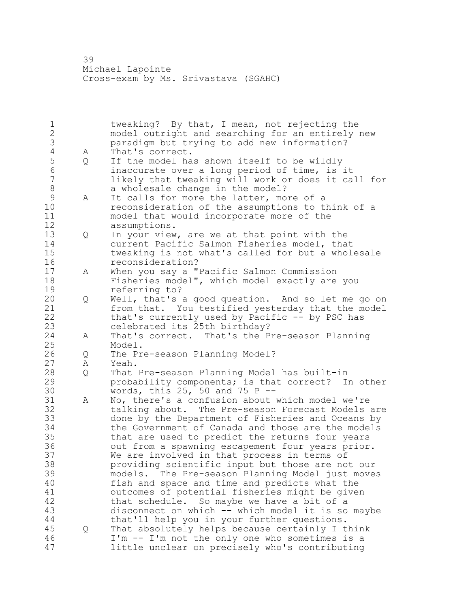tweaking? By that, I mean, not rejecting the model outright and searching for an entirely new 3 paradigm but trying to add new information?<br>4 A That's correct. 4 A That's correct.<br>5 Q If the model ha 5 Q If the model has shown itself to be wildly<br>6 inaccurate over a long period of time, is inaccurate over a long period of time, is it likely that tweaking will work or does it call for 8 a wholesale change in the model?<br>9 A It calls for more the latter, mo 9 A It calls for more the latter, more of a<br>10 reconsideration of the assumptions to t reconsideration of the assumptions to think of a model that would incorporate more of the assumptions. Q In your view, are we at that point with the current Pacific Salmon Fisheries model, that tweaking is not what's called for but a wholesale reconsideration? A When you say a "Pacific Salmon Commission Fisheries model", which model exactly are you 19 referring to?<br>20 0 Well, that's Q Well, that's a good question. And so let me go on from that. You testified yesterday that the model that's currently used by Pacific -- by PSC has celebrated its 25th birthday? A That's correct. That's the Pre-season Planning Model. 26 Q The Pre-season Planning Model?<br>27 A Yeah. A Yeah. Q That Pre-season Planning Model has built-in probability components; is that correct? In other 30 words, this 25, 50 and 75 P --<br>31 A No, there's a confusion about 31 A No, there's a confusion about which model we're<br>32 talking about. The Pre-season Forecast Models talking about. The Pre-season Forecast Models are done by the Department of Fisheries and Oceans by the Government of Canada and those are the models that are used to predict the returns four years out from a spawning escapement four years prior. We are involved in that process in terms of providing scientific input but those are not our models. The Pre-season Planning Model just moves fish and space and time and predicts what the 41 outcomes of potential fisheries might be given<br>42 that schedule. So maybe we have a bit of a that schedule. So maybe we have a bit of a disconnect on which -- which model it is so maybe that'll help you in your further questions. Q That absolutely helps because certainly I think I'm -- I'm not the only one who sometimes is a little unclear on precisely who's contributing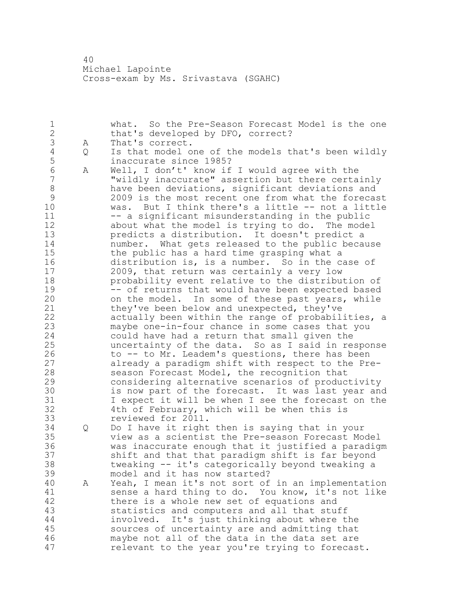what. So the Pre-Season Forecast Model is the one that's developed by DFO, correct? 3 A That's correct.<br>4 Q Is that model o Q Is that model one of the models that's been wildly 5 inaccurate since 1985?<br>6 A Well, I don't' know if A Well, I don't' know if I would agree with the "wildly inaccurate" assertion but there certainly 8 have been deviations, significant deviations and<br>9 2009 is the most recent one from what the forecas 9 2009 is the most recent one from what the forecast<br>10 was. But I think there's a little -- not a little was. But I think there's a little -- not a little -- a significant misunderstanding in the public about what the model is trying to do. The model predicts a distribution. It doesn't predict a number. What gets released to the public because the public has a hard time grasping what a distribution is, is a number. So in the case of 2009, that return was certainly a very low probability event relative to the distribution of 19 -- of returns that would have been expected based<br>20 00 the model. In some of these past years, while on the model. In some of these past years, while they've been below and unexpected, they've actually been within the range of probabilities, a maybe one-in-four chance in some cases that you could have had a return that small given the uncertainty of the data. So as I said in response 26 to -- to Mr. Leadem's questions, there has been<br>27 already a paradigm shift with respect to the Pre already a paradigm shift with respect to the Pre- season Forecast Model, the recognition that considering alternative scenarios of productivity 30 is now part of the forecast. It was last year and<br>31 I expect it will be when I see the forecast on the 31 I expect it will be when I see the forecast on the<br>32 4th of February, which will be when this is 4th of February, which will be when this is reviewed for 2011. Q Do I have it right then is saying that in your view as a scientist the Pre-season Forecast Model was inaccurate enough that it justified a paradigm shift and that that paradigm shift is far beyond tweaking -- it's categorically beyond tweaking a model and it has now started? A Yeah, I mean it's not sort of in an implementation 41 sense a hard thing to do. You know, it's not like<br>42 there is a whole new set of equations and there is a whole new set of equations and statistics and computers and all that stuff involved. It's just thinking about where the sources of uncertainty are and admitting that maybe not all of the data in the data set are relevant to the year you're trying to forecast.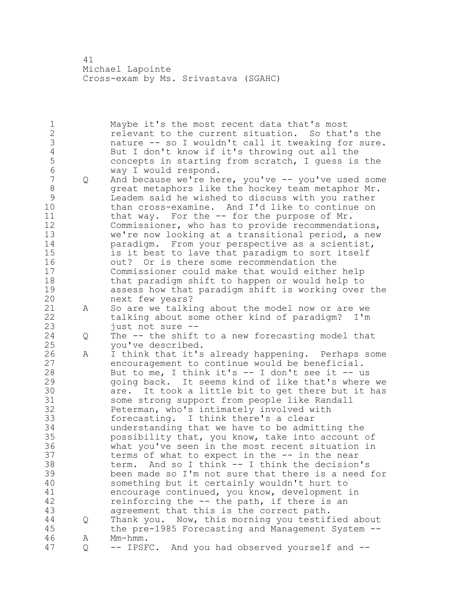Maybe it's the most recent data that's most relevant to the current situation. So that's the 3 nature -- so I wouldn't call it tweaking for sure.<br>4 But I don't know if it's throwing out all the 4 But I don't know if it's throwing out all the<br>5 concepts in starting from scratch, I quess is 5 concepts in starting from scratch, I guess is the<br>6 way I would respond. 6 way I would respond.<br>7 0 And because we're he Q And because we're here, you've -- you've used some 8 9 3 9 great metaphors like the hockey team metaphor Mr. Leadem said he wished to discuss with you rather than cross-examine. And I'd like to continue on 11 that way. For the -- for the purpose of Mr. Commissioner, who has to provide recommendations, we're now looking at a transitional period, a new paradigm. From your perspective as a scientist, is it best to lave that paradigm to sort itself out? Or is there some recommendation the Commissioner could make that would either help 18 that paradigm shift to happen or would help to assess how that paradigm shift is working over the next few years? A So are we talking about the model now or are we talking about some other kind of paradigm? I'm just not sure -- Q The -- the shift to a new forecasting model that you've described. 26 A I think that it's already happening. Perhaps some<br>27 encouragement to continue would be beneficial. encouragement to continue would be beneficial. But to me, I think it's -- I don't see it -- us going back. It seems kind of like that's where we 30 are. It took a little bit to get there but it has<br>31 some strong support from people like Randall 31 some strong support from people like Randall<br>32 Peterman, who's intimately involved with Peterman, who's intimately involved with forecasting. I think there's a clear understanding that we have to be admitting the possibility that, you know, take into account of what you've seen in the most recent situation in terms of what to expect in the -- in the near term. And so I think -- I think the decision's been made so I'm not sure that there is a need for something but it certainly wouldn't hurt to 41 encourage continued, you know, development in<br>42 encourage continued, you know, development in reinforcing the  $-$ - the path, if there is an agreement that this is the correct path. Q Thank you. Now, this morning you testified about the pre-1985 Forecasting and Management System -- A Mm-hmm. Q -- IPSFC. And you had observed yourself and --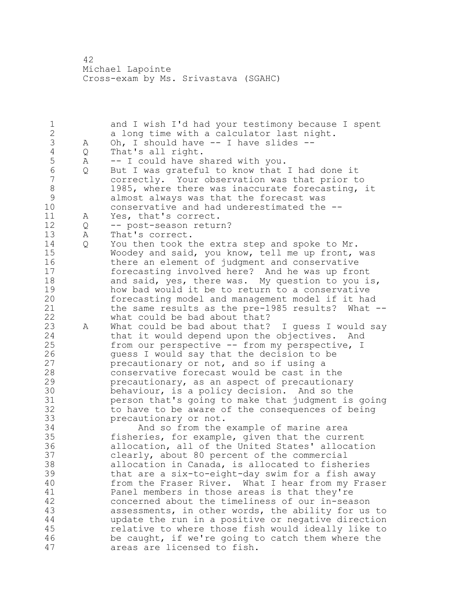and I wish I'd had your testimony because I spent 2 a long time with a calculator last night. 3 A Oh, I should have -- I have slides --<br>4 Q That's all right. 4 Q That's all right.<br>5 A -- I could have s 5 A -- I could have shared with you.<br>6 O But I was grateful to know that Q But I was grateful to know that I had done it correctly. Your observation was that prior to 8 1985, where there was inaccurate forecasting, it<br>9 almost always was that the forecast was almost always was that the forecast was conservative and had underestimated the -- A Yes, that's correct. Q -- post-season return? A That's correct. Q You then took the extra step and spoke to Mr. Woodey and said, you know, tell me up front, was there an element of judgment and conservative forecasting involved here? And he was up front 18 and said, yes, there was. My question to you is, 19 how bad would it be to return to a conservative<br>20 forecasting model and management model if it had forecasting model and management model if it had the same results as the pre-1985 results? What -- what could be bad about that? A What could be bad about that? I guess I would say that it would depend upon the objectives. And from our perspective -- from my perspective, I 26 guess I would say that the decision to be<br>27 precautionary or not, and so if using a precautionary or not, and so if using a conservative forecast would be cast in the precautionary, as an aspect of precautionary 30 behaviour, is a policy decision. And so the<br>31 berson that's going to make that judgment is person that's going to make that judgment is going to have to be aware of the consequences of being precautionary or not. 34 And so from the example of marine area fisheries, for example, given that the current allocation, all of the United States' allocation clearly, about 80 percent of the commercial allocation in Canada, is allocated to fisheries that are a six-to-eight-day swim for a fish away from the Fraser River. What I hear from my Fraser 41 Panel members in those areas is that they're<br>42 concerned about the timeliness of our in-sea concerned about the timeliness of our in-season assessments, in other words, the ability for us to update the run in a positive or negative direction relative to where those fish would ideally like to be caught, if we're going to catch them where the areas are licensed to fish.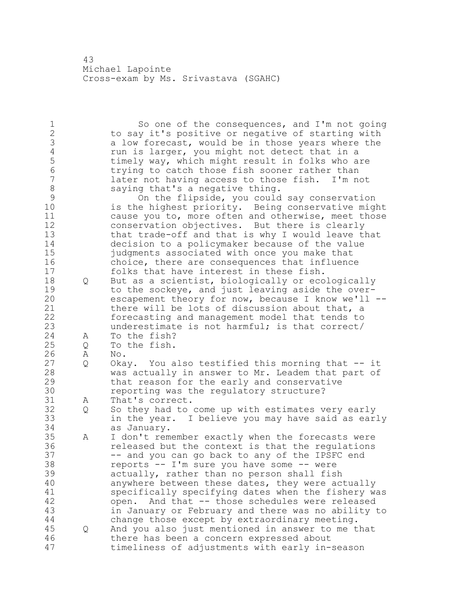1 So one of the consequences, and I'm not going to say it's positive or negative of starting with 3 a low forecast, would be in those years where the<br>4 run is larger, you might not detect that in a 4 run is larger, you might not detect that in a<br>5 timely way, which might result in folks who a 5 timely way, which might result in folks who are<br>6 trying to catch those fish sooner rather than trying to catch those fish sooner rather than later not having access to those fish. I'm not 8 saying that's a negative thing.<br>9 0n the flipside, you could 9 On the flipside, you could say conservation<br>10 is the highest priority. Being conservative migl is the highest priority. Being conservative might cause you to, more often and otherwise, meet those conservation objectives. But there is clearly that trade-off and that is why I would leave that decision to a policymaker because of the value judgments associated with once you make that choice, there are consequences that influence folks that have interest in these fish. Q But as a scientist, biologically or ecologically 19 to the sockeye, and just leaving aside the over-<br>20 escapement theory for now, because I know we'll escapement theory for now, because I know we'll  $--$  there will be lots of discussion about that, a forecasting and management model that tends to underestimate is not harmful; is that correct/ A To the fish? Q To the fish. 26 A No.<br>27 Q Oka Q Okay. You also testified this morning that -- it was actually in answer to Mr. Leadem that part of that reason for the early and conservative 30 reporting was the regulatory structure?<br>31 A That's correct. 31 A That's correct.<br>32 O So they had to Q So they had to come up with estimates very early in the year. I believe you may have said as early as January. A I don't remember exactly when the forecasts were released but the context is that the regulations -- and you can go back to any of the IPSFC end reports -- I'm sure you have some -- were actually, rather than no person shall fish anywhere between these dates, they were actually 41 specifically specifying dates when the fishery was<br>42 open. And that -- those schedules were released open. And that -- those schedules were released in January or February and there was no ability to change those except by extraordinary meeting. Q And you also just mentioned in answer to me that there has been a concern expressed about timeliness of adjustments with early in-season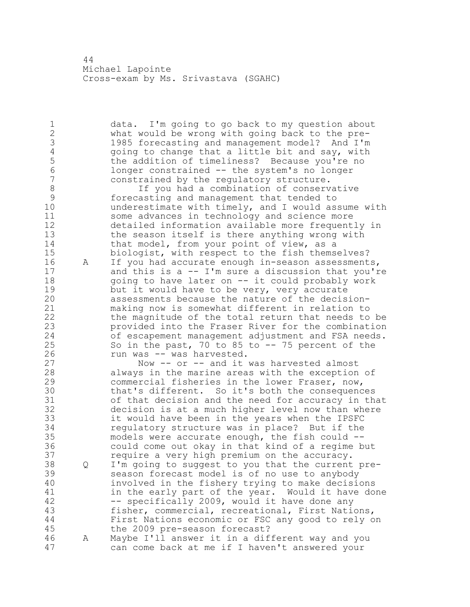data. I'm going to go back to my question about what would be wrong with going back to the pre- 1985 forecasting and management model? And I'm 4 going to change that a little bit and say, with<br>5 the addition of timeliness? Because you're no 5 the addition of timeliness? Because you're no<br>6 10nger constrained -- the system's no longer longer constrained -- the system's no longer constrained by the regulatory structure. 8 If you had a combination of conservative<br>9 forecasting and management that tended to 9 forecasting and management that tended to<br>10 mderestimate with timely, and I would as: underestimate with timely, and I would assume with some advances in technology and science more detailed information available more frequently in the season itself is there anything wrong with 14 that model, from your point of view, as a biologist, with respect to the fish themselves? A If you had accurate enough in-season assessments, and this is a -- I'm sure a discussion that you're going to have later on -- it could probably work 19 but it would have to be very, very accurate<br>20 assessments because the nature of the decis assessments because the nature of the decision- making now is somewhat different in relation to the magnitude of the total return that needs to be provided into the Fraser River for the combination of escapement management adjustment and FSA needs. So in the past, 70 to 85 to -- 75 percent of the 26 run was -- was harvested.<br>27 Now -- or -- and it Now -- or -- and it was harvested almost always in the marine areas with the exception of commercial fisheries in the lower Fraser, now, 30 that's different. So it's both the consequences<br>31 of that decision and the need for accuracy in the of that decision and the need for accuracy in that decision is at a much higher level now than where it would have been in the years when the IPSFC regulatory structure was in place? But if the models were accurate enough, the fish could -- could come out okay in that kind of a regime but require a very high premium on the accuracy. Q I'm going to suggest to you that the current pre- season forecast model is of no use to anybody involved in the fishery trying to make decisions 41 in the early part of the year. Would it have done<br>42 - specifically 2009, would it have done any -- specifically 2009, would it have done any fisher, commercial, recreational, First Nations, First Nations economic or FSC any good to rely on the 2009 pre-season forecast? A Maybe I'll answer it in a different way and you can come back at me if I haven't answered your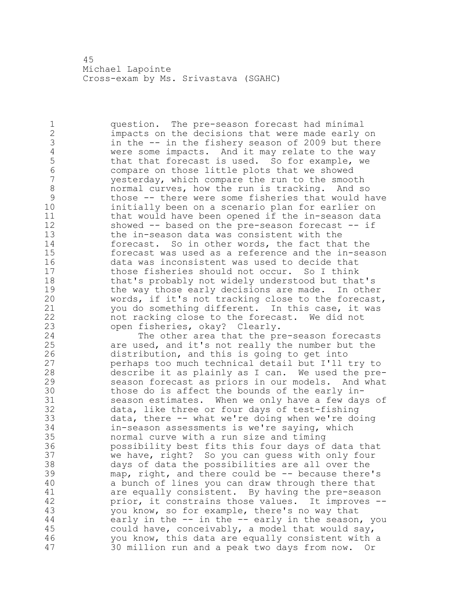question. The pre-season forecast had minimal impacts on the decisions that were made early on 3 in the -- in the fishery season of 2009 but there<br>4 were some impacts. And it may relate to the way 4 were some impacts. And it may relate to the way<br>5 that that forecast is used. So for example, we 5 that that forecast is used. So for example, we<br>6 compare on those little plots that we showed compare on those little plots that we showed yesterday, which compare the run to the smooth 8 normal curves, how the run is tracking. And so<br>9 those -- there were some fisheries that would h those -- there were some fisheries that would have initially been on a scenario plan for earlier on that would have been opened if the in-season data showed -- based on the pre-season forecast -- if the in-season data was consistent with the forecast. So in other words, the fact that the forecast was used as a reference and the in-season data was inconsistent was used to decide that those fisheries should not occur. So I think that's probably not widely understood but that's 19 the way those early decisions are made. In other<br>20 words, if it's not tracking close to the forecast words, if it's not tracking close to the forecast, you do something different. In this case, it was not racking close to the forecast. We did not open fisheries, okay? Clearly. 24 The other area that the pre-season forecasts are used, and it's not really the number but the 26 distribution, and this is going to get into<br>27 berhaps too much technical detail but I'll perhaps too much technical detail but I'll try to describe it as plainly as I can. We used the pre- season forecast as priors in our models. And what 30 those do is affect the bounds of the early in-<br>31 season estimates. When we only have a few day season estimates. When we only have a few days of data, like three or four days of test-fishing data, there -- what we're doing when we're doing in-season assessments is we're saying, which normal curve with a run size and timing possibility best fits this four days of data that we have, right? So you can guess with only four days of data the possibilities are all over the map, right, and there could be -- because there's a bunch of lines you can draw through there that 41 are equally consistent. By having the pre-season<br>42 brior, it constrains those values. It improves prior, it constrains those values. It improves -- you know, so for example, there's no way that early in the -- in the -- early in the season, you could have, conceivably, a model that would say, you know, this data are equally consistent with a 30 million run and a peak two days from now. Or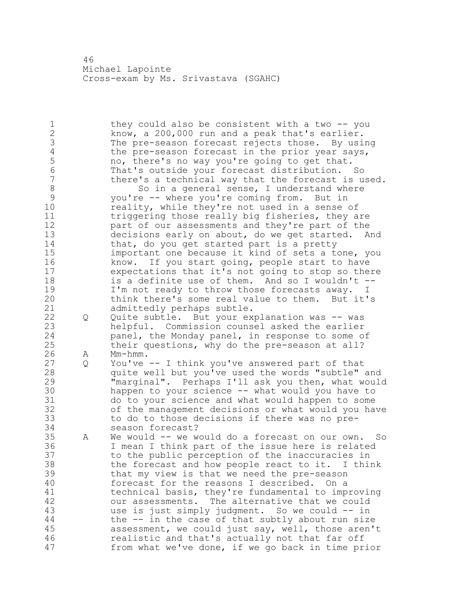1 they could also be consistent with a two -- you know, a 200,000 run and a peak that's earlier. 3 The pre-season forecast rejects those. By using<br>4 the pre-season forecast in the prior year says, 4 the pre-season forecast in the prior year says,<br>5 mo, there's no way you're going to get that. 5 how there's no way you're going to get that.<br>6 That's outside your forecast distribution. That's outside your forecast distribution. So there's a technical way that the forecast is used. 8 So in a general sense, I understand where<br>9 you're -- where you're coming from. But in 9 you're -- where you're coming from. But in<br>10 meality, while they're not used in a sense reality, while they're not used in a sense of triggering those really big fisheries, they are part of our assessments and they're part of the decisions early on about, do we get started. And 14 that, do you get started part is a pretty important one because it kind of sets a tone, you know. If you start going, people start to have expectations that it's not going to stop so there is a definite use of them. And so I wouldn't -- 19 I'm not ready to throw those forecasts away. I<br>20 think there's some real value to them. But it's think there's some real value to them. But it's admittedly perhaps subtle. Q Quite subtle. But your explanation was -- was helpful. Commission counsel asked the earlier panel, the Monday panel, in response to some of their questions, why do the pre-season at all? 26 A Mm-hmm.<br>27 Q You've  $Q$  You've  $-$ - I think you've answered part of that quite well but you've used the words "subtle" and "marginal". Perhaps I'll ask you then, what would 30 happen to your science -- what would you have to<br>31 do to your science and what would happen to some do to your science and what would happen to some of the management decisions or what would you have to do to those decisions if there was no pre- season forecast? A We would -- we would do a forecast on our own. So I mean I think part of the issue here is related to the public perception of the inaccuracies in the forecast and how people react to it. I think that my view is that we need the pre-season forecast for the reasons I described. On a 41 technical basis, they're fundamental to improving<br>42 our assessments. The alternative that we could our assessments. The alternative that we could use is just simply judgment. So we could -- in the -- in the case of that subtly about run size assessment, we could just say, well, those aren't realistic and that's actually not that far off from what we've done, if we go back in time prior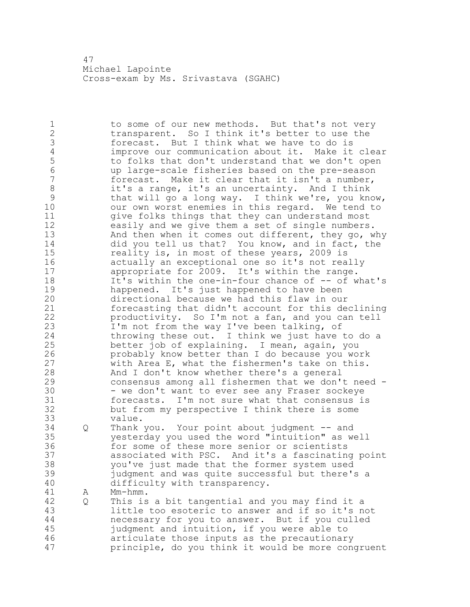1 to some of our new methods. But that's not very 2 transparent. So I think it's better to use the 3 forecast. But I think what we have to do is<br>4 improve our communication about it. Make it 4 improve our communication about it. Make it clear<br>5 to folks that don't understand that we don't open 5 to folks that don't understand that we don't open<br>6 up large-scale fisheries based on the pre-season 6 up large-scale fisheries based on the pre-season forecast. Make it clear that it isn't a number, 8 it's a range, it's an uncertainty. And I think<br>9 that will go a long way. I think we're, you know 9 that will go a long way. I think we're, you know,<br>10 our own worst enemies in this regard. We tend to our own worst enemies in this regard. We tend to 11 give folks things that they can understand most 12 easily and we give them a set of single numbers. 13 And then when it comes out different, they go, why 14 did you tell us that? You know, and in fact, the 15 reality is, in most of these years, 2009 is 16 actually an exceptional one so it's not really<br>17 appropriate for 2009. It's within the range. appropriate for 2009. It's within the range. 18 It's within the one-in-four chance of -- of what's 19 happened. It's just happened to have been<br>20 directional because we had this flaw in ou: directional because we had this flaw in our 21 forecasting that didn't account for this declining 22 productivity. So I'm not a fan, and you can tell 23 I'm not from the way I've been talking, of 24 throwing these out. I think we just have to do a 25 better job of explaining. I mean, again, you 26 probably know better than I do because you work<br>27 with Area E, what the fishermen's take on this. with Area E, what the fishermen's take on this. 28 And I don't know whether there's a general 29 consensus among all fishermen that we don't need - 30 - we don't want to ever see any Fraser sockeye<br>31 forecasts. I'm not sure what that consensus i 31 forecasts. I'm not sure what that consensus is<br>32 but from my perspective I think there is some but from my perspective I think there is some 33 value. 34 Q Thank you. Your point about judgment -- and 35 yesterday you used the word "intuition" as well 36 for some of these more senior or scientists 37 associated with PSC. And it's a fascinating point 38 you've just made that the former system used 39 judgment and was quite successful but there's a 40 difficulty with transparency. 41 A Mm-hmm.<br>42 Q This is 42 Q This is a bit tangential and you may find it a 43 little too esoteric to answer and if so it's not 44 necessary for you to answer. But if you culled 45 judgment and intuition, if you were able to 46 articulate those inputs as the precautionary 47 principle, do you think it would be more congruent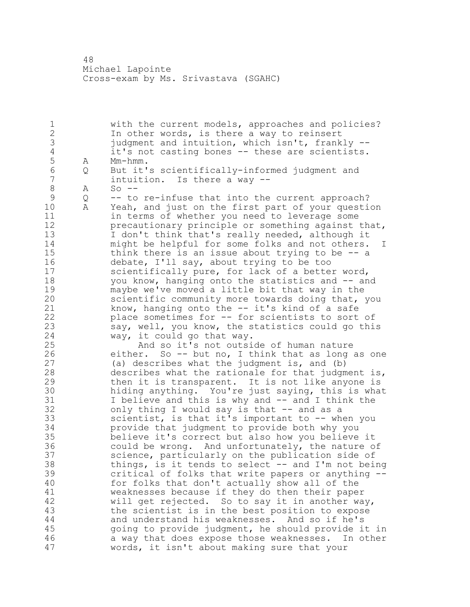with the current models, approaches and policies? In other words, is there a way to reinsert 3 judgment and intuition, which isn't, frankly --<br>4 it's not casting bones -- these are scientists. 4 it's not casting bones -- these are scientists.<br>5 A Mm-hmm. 5 A Mm-hmm.<br>6 O But it' Q But it's scientifically-informed judgment and intuition. Is there a way --8 A So --<br>9 Q -- to 9 Q -- to re-infuse that into the current approach?<br>10 A Yeah, and just on the first part of your questi A Yeah, and just on the first part of your question in terms of whether you need to leverage some precautionary principle or something against that, I don't think that's really needed, although it might be helpful for some folks and not others. I think there is an issue about trying to be -- a debate, I'll say, about trying to be too scientifically pure, for lack of a better word, you know, hanging onto the statistics and -- and 19 maybe we've moved a little bit that way in the<br>20 scientific community more towards doing that, scientific community more towards doing that, you know, hanging onto the -- it's kind of a safe place sometimes for -- for scientists to sort of say, well, you know, the statistics could go this way, it could go that way. 25 And so it's not outside of human nature 26 either. So -- but no, I think that as long as one<br>27 (a) describes what the judgment is, and (b) (a) describes what the judgment is, and  $(b)$  describes what the rationale for that judgment is, then it is transparent. It is not like anyone is hiding anything. You're just saying, this is what I believe and this is why and -- and I think the only thing I would say is that -- and as a scientist, is that it's important to -- when you provide that judgment to provide both why you believe it's correct but also how you believe it could be wrong. And unfortunately, the nature of science, particularly on the publication side of things, is it tends to select -- and I'm not being critical of folks that write papers or anything -- for folks that don't actually show all of the weaknesses because if they do then their paper will get rejected. So to say it in another way, the scientist is in the best position to expose and understand his weaknesses. And so if he's going to provide judgment, he should provide it in a way that does expose those weaknesses. In other words, it isn't about making sure that your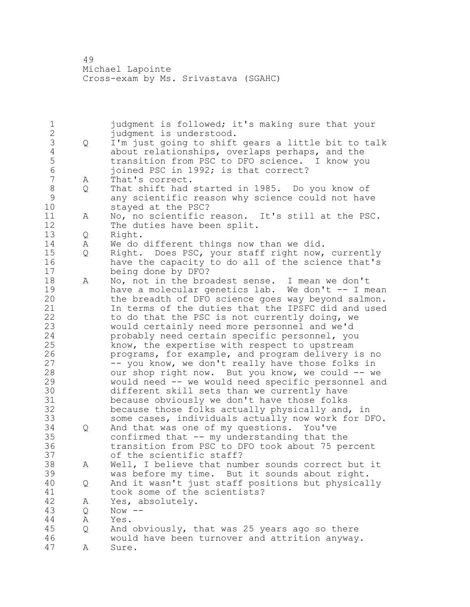judgment is followed; it's making sure that your judgment is understood. 3 Q I'm just going to shift gears a little bit to talk<br>4 about relationships, overlaps perhaps, and the 4 about relationships, overlaps perhaps, and the<br>5 transition from PSC to DFO science. I know you 5 transition from PSC to DFO science. I know you<br>6 ioined PSC in 1992: is that correct? 6 joined PSC in 1992; is that correct?<br>
7 A That's correct. A That's correct. 8 Q That shift had started in 1985. Do you know of<br>9 any scientific reason why science could not hav any scientific reason why science could not have stayed at the PSC? A No, no scientific reason. It's still at the PSC. The duties have been split. Q Right. A We do different things now than we did. Q Right. Does PSC, your staff right now, currently have the capacity to do all of the science that's being done by DFO? A No, not in the broadest sense. I mean we don't 19 have a molecular genetics lab. We don't -- I mean<br>20 the breadth of DFO science goes way beyond salmon. the breadth of DFO science goes way beyond salmon. In terms of the duties that the IPSFC did and used to do that the PSC is not currently doing, we would certainly need more personnel and we'd probably need certain specific personnel, you know, the expertise with respect to upstream 26 programs, for example, and program delivery is no<br>27 - you know, we don't really have those folks in -- you know, we don't really have those folks in our shop right now. But you know, we could -- we would need -- we would need specific personnel and 30 different skill sets than we currently have<br>31 because obviously we don't have those folks because obviously we don't have those folks because those folks actually physically and, in some cases, individuals actually now work for DFO. Q And that was one of my questions. You've confirmed that -- my understanding that the transition from PSC to DFO took about 75 percent of the scientific staff? A Well, I believe that number sounds correct but it was before my time. But it sounds about right. Q And it wasn't just staff positions but physically 41 took some of the scientists?<br>42 A Yes, absolutely. A Yes, absolutely. Q Now -- A Yes. Q And obviously, that was 25 years ago so there would have been turnover and attrition anyway. A Sure.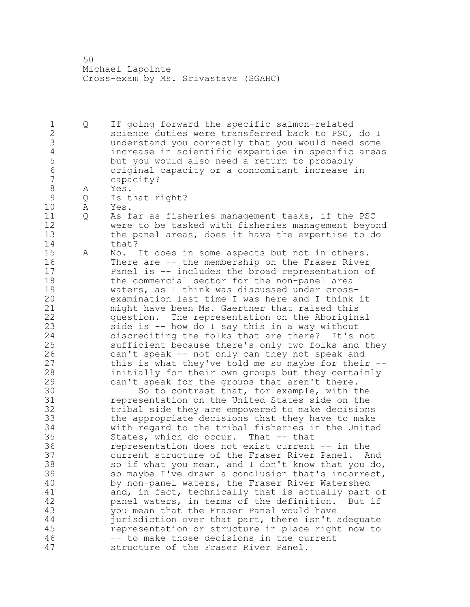Q If going forward the specific salmon-related 2 3 Science duties were transferred back to PSC, do I understand you correctly that you would need some increase in scientific expertise in specific areas but you would also need a return to probably original capacity or a concomitant increase in capacity? 8 A Yes.<br>9 Q Ist 9 Q Is that right?<br>10 A Yes. A Yes. Q As far as fisheries management tasks, if the PSC were to be tasked with fisheries management beyond the panel areas, does it have the expertise to do 14 that? A No. It does in some aspects but not in others. There are -- the membership on the Fraser River Panel is -- includes the broad representation of the commercial sector for the non-panel area 19 waters, as I think was discussed under cross-<br>20 examination last time I was here and I think examination last time I was here and I think it might have been Ms. Gaertner that raised this question. The representation on the Aboriginal side is -- how do I say this in a way without discrediting the folks that are there? It's not sufficient because there's only two folks and they 26 can't speak -- not only can they not speak and<br>27 this is what they've told me so maybe for their this is what they've told me so maybe for their  $-$ - initially for their own groups but they certainly can't speak for the groups that aren't there. 30 So to contrast that, for example, with the<br>31 So to contrast that, for example, with the representation on the United States side on the tribal side they are empowered to make decisions the appropriate decisions that they have to make with regard to the tribal fisheries in the United States, which do occur. That -- that representation does not exist current -- in the current structure of the Fraser River Panel. And so if what you mean, and I don't know that you do, so maybe I've drawn a conclusion that's incorrect, by non-panel waters, the Fraser River Watershed 41 and, in fact, technically that is actually part of<br>42 panel waters, in terms of the definition. But if panel waters, in terms of the definition. But if you mean that the Fraser Panel would have jurisdiction over that part, there isn't adequate representation or structure in place right now to -- to make those decisions in the current structure of the Fraser River Panel.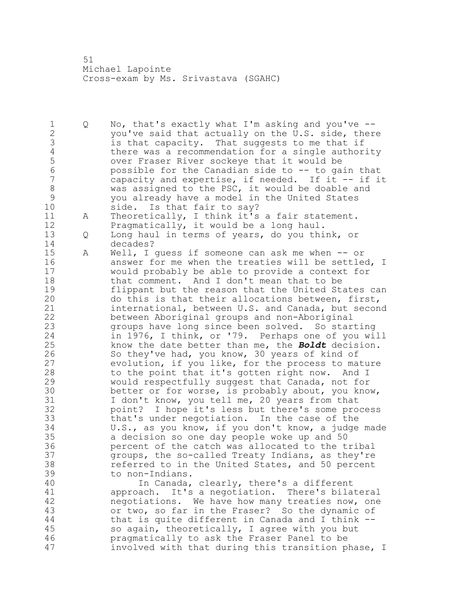Q No, that's exactly what I'm asking and you've -- you've said that actually on the U.S. side, there 3 is that capacity. That suggests to me that if<br>4 there was a recommendation for a single author 4 there was a recommendation for a single authority<br>5 over Fraser River sockeye that it would be over Fraser River sockeye that it would be possible for the Canadian side to -- to gain that capacity and expertise, if needed. If it -- if it 8 was assigned to the PSC, it would be doable and<br>9 vou already have a model in the United States 9 you already have a model in the United States<br>10 side. Is that fair to sav? side. Is that fair to say? A Theoretically, I think it's a fair statement. Pragmatically, it would be a long haul. Q Long haul in terms of years, do you think, or decades? A Well, I guess if someone can ask me when -- or 16 answer for me when the treaties will be settled, I would probably be able to provide a context for that comment. And I don't mean that to be 19 flippant but the reason that the United States can<br>20 do this is that their allocations between, first, do this is that their allocations between, first, international, between U.S. and Canada, but second between Aboriginal groups and non-Aboriginal groups have long since been solved. So starting in 1976, I think, or '79. Perhaps one of you will know the date better than me, the *Boldt* decision. 26 So they've had, you know, 30 years of kind of<br>27 evolution, if you like, for the process to ma evolution, if you like, for the process to mature to the point that it's gotten right now. And I would respectfully suggest that Canada, not for 30 better or for worse, is probably about, you know,<br>31 I don't know, you tell me, 20 years from that 31 I don't know, you tell me, 20 years from that<br>32 boint? I hope it's less but there's some pro point? I hope it's less but there's some process that's under negotiation. In the case of the U.S., as you know, if you don't know, a judge made a decision so one day people woke up and 50 percent of the catch was allocated to the tribal groups, the so-called Treaty Indians, as they're referred to in the United States, and 50 percent to non-Indians. 40 In Canada, clearly, there's a different 41 approach. It's a negotiation. There's bilateral<br>42 megotiations. We have how many treaties now, one negotiations. We have how many treaties now, one or two, so far in the Fraser? So the dynamic of

 that is quite different in Canada and I think -- so again, theoretically, I agree with you but pragmatically to ask the Fraser Panel to be involved with that during this transition phase, I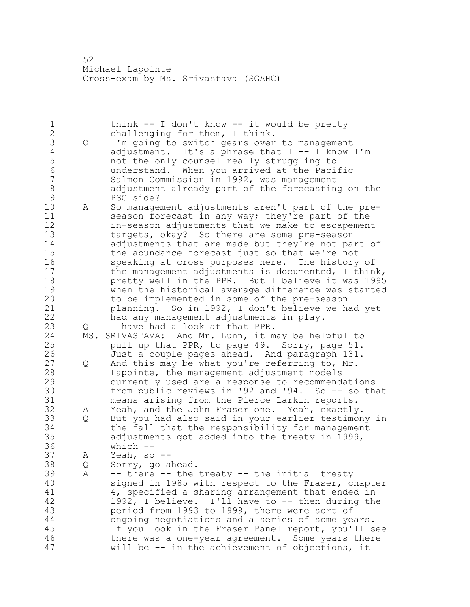1 think -- I don't know -- it would be pretty<br>2 challenging for them, I think. 2 challenging for them, I think.<br>3 Q I'm going to switch gears over 3 Q I'm going to switch gears over to management<br>4 adjustment. It's a phrase that I -- I know 4 adjustment. It's a phrase that I -- I know I'm<br>5 hot the only counsel really struggling to 5 hot the only counsel really struggling to<br>6 hounderstand. When you arrived at the Paci understand. When you arrived at the Pacific Salmon Commission in 1992, was management adjustment already part of the forecasting on the 9 PSC side?<br>10 A So manage A So management adjustments aren't part of the pre- season forecast in any way; they're part of the in-season adjustments that we make to escapement targets, okay? So there are some pre-season adjustments that are made but they're not part of the abundance forecast just so that we're not speaking at cross purposes here. The history of 17 the management adjustments is documented, I think, pretty well in the PPR. But I believe it was 1995 19 when the historical average difference was started<br>20 to be implemented in some of the pre-season to be implemented in some of the pre-season planning. So in 1992, I don't believe we had yet had any management adjustments in play. Q I have had a look at that PPR. MS. SRIVASTAVA: And Mr. Lunn, it may be helpful to pull up that PPR, to page 49. Sorry, page 51. 26 Just a couple pages ahead. And paragraph 131.<br>27 Q And this may be what you're referring to, Mr. Q And this may be what you're referring to, Mr. Lapointe, the management adjustment models currently used are a response to recommendations 30 from public reviews in '92 and '94. So -- so that<br>31 means arising from the Pierce Larkin reports. 31 means arising from the Pierce Larkin reports.<br>32 A Yeah, and the John Fraser one. Yeah, exactly A Yeah, and the John Fraser one. Yeah, exactly. Q But you had also said in your earlier testimony in the fall that the responsibility for management adjustments got added into the treaty in 1999, which -- A Yeah, so -- Q Sorry, go ahead. A -- there -- the treaty -- the initial treaty signed in 1985 with respect to the Fraser, chapter 41 4, specified a sharing arrangement that ended in<br>42 1992, I believe. I'll have to -- then during the 1992, I believe. I'll have to -- then during the period from 1993 to 1999, there were sort of ongoing negotiations and a series of some years. If you look in the Fraser Panel report, you'll see there was a one-year agreement. Some years there will be -- in the achievement of objections, it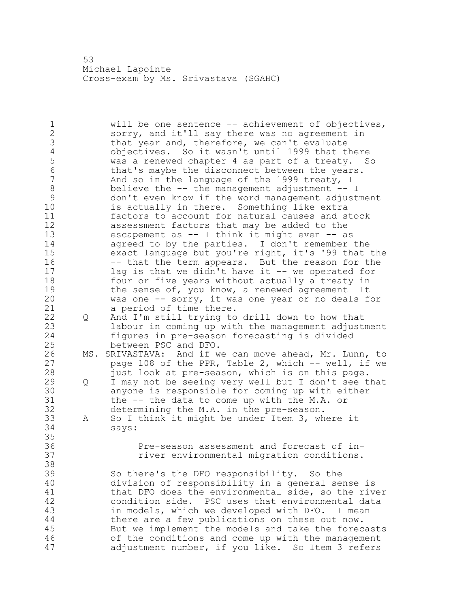1 will be one sentence -- achievement of objectives, 2 sorry, and it'll say there was no agreement in 3 that year and, therefore, we can't evaluate<br>4 objectives. So it wasn't until 1999 that t 4 objectives. So it wasn't until 1999 that there<br>5 was a renewed chapter 4 as part of a treaty. So 5 was a renewed chapter 4 as part of a treaty. So<br>6 that's maybe the disconnect between the vears. 6 that's maybe the disconnect between the years.<br>7 and so in the language of the 1999 treaty, I And so in the language of the 1999 treaty, I 8 believe the -- the management adjustment -- I<br>9 don't even know if the word management adjust 9 don't even know if the word management adjustment<br>10 is actually in there. Something like extra is actually in there. Something like extra 11 factors to account for natural causes and stock 12 assessment factors that may be added to the 13 escapement as -- I think it might even -- as 14 agreed to by the parties. I don't remember the 15 exact language but you're right, it's '99 that the 16 -- that the term appears. But the reason for the 17 lag is that we didn't have it -- we operated for 18 four or five years without actually a treaty in 19 the sense of, you know, a renewed agreement It<br>20 was one -- sorry, it was one year or no deals f was one -- sorry, it was one year or no deals for 21 a period of time there. 22 Q And I'm still trying to drill down to how that 23 labour in coming up with the management adjustment 24 figures in pre-season forecasting is divided 25 between PSC and DFO. 26 MS. SRIVASTAVA: And if we can move ahead, Mr. Lunn, to<br>27 hage 108 of the PPR, Table 2, which -- well, if we page 108 of the PPR, Table 2, which  $--$  well, if we 28 just look at pre-season, which is on this page. 29 Q I may not be seeing very well but I don't see that 30 anyone is responsible for coming up with either<br>31 the -- the data to come up with the M.A. or 31 the -- the data to come up with the M.A. or<br>32 determining the M.A. in the pre-season. determining the M.A. in the pre-season. 33 A So I think it might be under Item 3, where it 34 says: 35 36 Pre-season assessment and forecast of in-37 **river environmental migration conditions.** 38 39 So there's the DFO responsibility. So the 40 division of responsibility in a general sense is 41 that DFO does the environmental side, so the river<br>42 condition side. PSC uses that environmental data condition side. PSC uses that environmental data 43 in models, which we developed with DFO. I mean 44 there are a few publications on these out now. 45 But we implement the models and take the forecasts 46 of the conditions and come up with the management 47 adjustment number, if you like. So Item 3 refers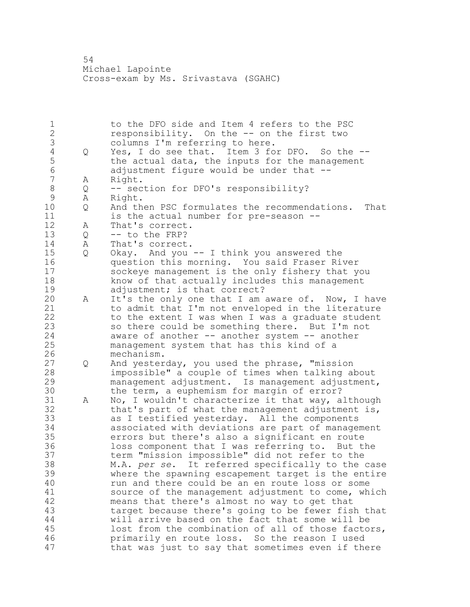to the DFO side and Item 4 refers to the PSC responsibility. On the -- on the first two 3 columns I'm referring to here.<br>4 Q Yes, I do see that. Item 3 fo 4 Q Yes, I do see that. Item 3 for DFO. So the --<br>5 the actual data, the inputs for the management 5 the actual data, the inputs for the management<br>6 adjustment figure would be under that --6 adjustment figure would be under that --<br>7 A Right. A Right. 8 Q -- section for DFO's responsibility?<br>9 A Right. 9 A Right.<br>10 O And th Q And then PSC formulates the recommendations. That is the actual number for pre-season -- A That's correct. Q -- to the FRP? A That's correct. Q Okay. And you -- I think you answered the question this morning. You said Fraser River sockeye management is the only fishery that you know of that actually includes this management 19 adjustment; is that correct?<br>20 A It's the only one that I am A It's the only one that I am aware of. Now, I have to admit that I'm not enveloped in the literature to the extent I was when I was a graduate student so there could be something there. But I'm not aware of another -- another system -- another management system that has this kind of a 26 mechanism.<br>27 Q And yester Q And yesterday, you used the phrase, "mission impossible" a couple of times when talking about management adjustment. Is management adjustment, 30 the term, a euphemism for margin of error?<br>31 A No, I wouldn't characterize it that way, a 31 A No, I wouldn't characterize it that way, although<br>32 that's part of what the management adjustment is, that's part of what the management adjustment is, as I testified yesterday. All the components associated with deviations are part of management errors but there's also a significant en route loss component that I was referring to. But the term "mission impossible" did not refer to the M.A. *per se*. It referred specifically to the case where the spawning escapement target is the entire run and there could be an en route loss or some 41 source of the management adjustment to come, which<br>42 means that there's almost no way to get that means that there's almost no way to get that target because there's going to be fewer fish that will arrive based on the fact that some will be lost from the combination of all of those factors, primarily en route loss. So the reason I used that was just to say that sometimes even if there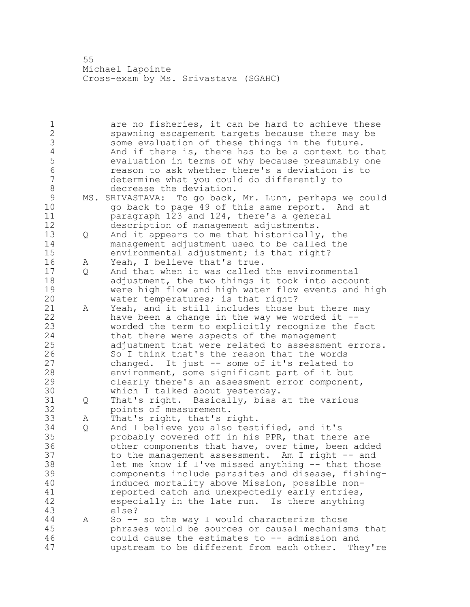are no fisheries, it can be hard to achieve these spawning escapement targets because there may be 3 some evaluation of these things in the future.<br>4 and if there is, there has to be a context to 4 And if there is, there has to be a context to that<br>5 evaluation in terms of why because presumably one 5 evaluation in terms of why because presumably one<br>6 exage on to ask whether there's a deviation is to reason to ask whether there's a deviation is to determine what you could do differently to 8 decrease the deviation.<br>9 MS. SRIVASTAVA: To go back, 9 MS. SRIVASTAVA: To go back, Mr. Lunn, perhaps we could<br>10 00 back to page 49 of this same report. And at go back to page 49 of this same report. And at paragraph 123 and 124, there's a general description of management adjustments. Q And it appears to me that historically, the management adjustment used to be called the environmental adjustment; is that right? A Yeah, I believe that's true. Q And that when it was called the environmental adjustment, the two things it took into account 19 were high flow and high water flow events and high<br>20 water temperatures; is that right? water temperatures; is that right? A Yeah, and it still includes those but there may have been a change in the way we worded it -- worded the term to explicitly recognize the fact that there were aspects of the management adjustment that were related to assessment errors. 26 So I think that's the reason that the words<br>27 changed. It just -- some of it's related to changed. It just -- some of it's related to environment, some significant part of it but clearly there's an assessment error component, 30 which I talked about yesterday.<br>31 0 That's right. Basically, bias 31 Q That's right. Basically, bias at the various<br>32 boints of measurement. points of measurement. A That's right, that's right. Q And I believe you also testified, and it's probably covered off in his PPR, that there are other components that have, over time, been added to the management assessment. Am I right -- and let me know if I've missed anything -- that those components include parasites and disease, fishing- induced mortality above Mission, possible non-41 reported catch and unexpectedly early entries,<br>42 especially in the late run. Is there anything especially in the late run. Is there anything else? A So -- so the way I would characterize those phrases would be sources or causal mechanisms that could cause the estimates to -- admission and upstream to be different from each other. They're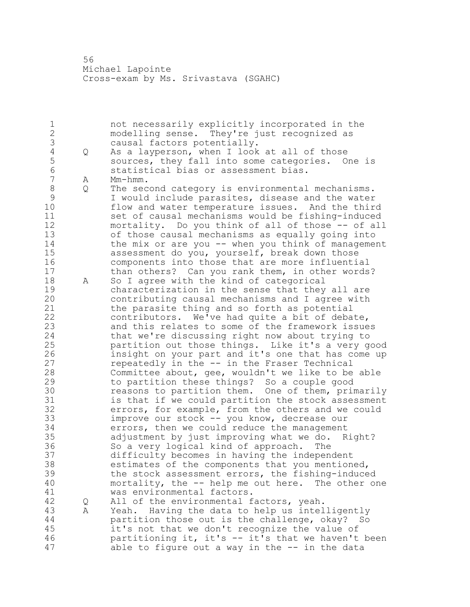not necessarily explicitly incorporated in the modelling sense. They're just recognized as 3 causal factors potentially.<br>4 Q As a layperson, when I look 4 Q As a layperson, when I look at all of those<br>5 sources, they fall into some categories. On 5 sources, they fall into some categories. One is<br>6 statistical bias or assessment bias. 6 statistical bias or assessment bias.<br>7 A Mm-hmm. A Mm-hmm. 8 Q The second category is environmental mechanisms.<br>9 1 would include parasites, disease and the water 9 I would include parasites, disease and the water<br>10 10 I flow and water temperature issues. And the thir flow and water temperature issues. And the third set of causal mechanisms would be fishing-induced mortality. Do you think of all of those -- of all of those causal mechanisms as equally going into the mix or are you -- when you think of management assessment do you, yourself, break down those components into those that are more influential than others? Can you rank them, in other words? A So I agree with the kind of categorical 19 characterization in the sense that they all are<br>20 contributing causal mechanisms and I agree with contributing causal mechanisms and I agree with the parasite thing and so forth as potential contributors. We've had quite a bit of debate, and this relates to some of the framework issues that we're discussing right now about trying to partition out those things. Like it's a very good 26 insight on your part and it's one that has come up<br>27 epeatedly in the -- in the Fraser Technical repeatedly in the -- in the Fraser Technical Committee about, gee, wouldn't we like to be able to partition these things? So a couple good 30 reasons to partition them. One of them, primarily<br>31 is that if we could partition the stock assessment 31 is that if we could partition the stock assessment<br>32 errors, for example, from the others and we could errors, for example, from the others and we could improve our stock -- you know, decrease our errors, then we could reduce the management adjustment by just improving what we do. Right? So a very logical kind of approach. The difficulty becomes in having the independent estimates of the components that you mentioned, the stock assessment errors, the fishing-induced mortality, the -- help me out here. The other one 41 was environmental factors.<br>42 Q All of the environmental f Q All of the environmental factors, yeah. A Yeah. Having the data to help us intelligently partition those out is the challenge, okay? So it's not that we don't recognize the value of partitioning it, it's -- it's that we haven't been

able to figure out a way in the -- in the data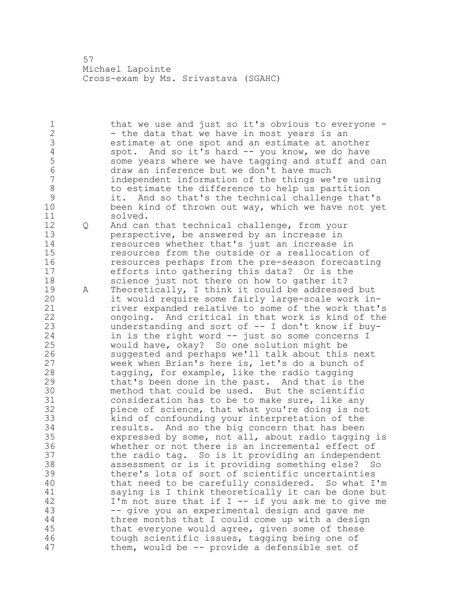1 that we use and just so it's obvious to everyone -2 - the data that we have in most years is an 3 estimate at one spot and an estimate at another<br>4 spot. And so it's hard -- you know, we do have 4 spot. And so it's hard -- you know, we do have<br>5 some years where we have tagging and stuff and 5 some years where we have tagging and stuff and can<br>6 draw an inference but we don't have much draw an inference but we don't have much independent information of the things we're using 8 to estimate the difference to help us partition<br>9 it. And so that's the technical challenge that it. And so that's the technical challenge that's been kind of thrown out way, which we have not yet solved. Q And can that technical challenge, from your perspective, be answered by an increase in resources whether that's just an increase in resources from the outside or a reallocation of resources perhaps from the pre-season forecasting efforts into gathering this data? Or is the science just not there on how to gather it? 19 A Theoretically, I think it could be addressed but<br>20 it would require some fairly large-scale work in it would require some fairly large-scale work in- river expanded relative to some of the work that's ongoing. And critical in that work is kind of the understanding and sort of -- I don't know if buy- in is the right word -- just so some concerns I would have, okay? So one solution might be 26 suggested and perhaps we'll talk about this next<br>27 week when Brian's here is, let's do a bunch of week when Brian's here is, let's do a bunch of tagging, for example, like the radio tagging that's been done in the past. And that is the 30 method that could be used. But the scientific<br>31 consideration has to be to make sure, like any 31 consideration has to be to make sure, like any<br>32 piece of science, that what vou're doing is no piece of science, that what you're doing is not kind of confounding your interpretation of the results. And so the big concern that has been expressed by some, not all, about radio tagging is whether or not there is an incremental effect of the radio tag. So is it providing an independent assessment or is it providing something else? So there's lots of sort of scientific uncertainties that need to be carefully considered. So what I'm 41 saying is I think theoretically it can be done but<br>42 I'm not sure that if I -- if you ask me to give me I'm not sure that if  $I$  -- if you ask me to give me -- give you an experimental design and gave me three months that I could come up with a design that everyone would agree, given some of these tough scientific issues, tagging being one of them, would be -- provide a defensible set of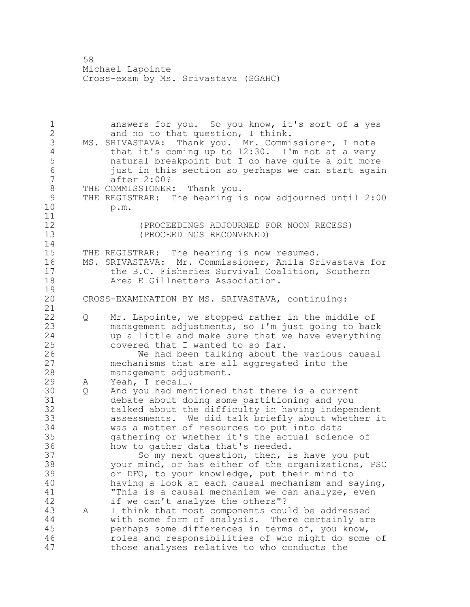1 answers for you. So you know, it's sort of a yes 2 and no to that question, I think. 3 MS. SRIVASTAVA: Thank you. Mr. Commissioner, I note<br>4 that it's coming up to 12:30. I'm not at a very 4 that it's coming up to 12:30. I'm not at a very<br>5 hatural breakpoint but I do have quite a bit more 5 natural breakpoint but I do have quite a bit more 6 just in this section so perhaps we can start again after 2:00? 8 THE COMMISSIONER: Thank you.<br>9 THE REGISTRAR: The hearing i 9 THE REGISTRAR: The hearing is now adjourned until 2:00<br>10  $p.m.$  $p.m.$ 11 12 (PROCEEDINGS ADJOURNED FOR NOON RECESS) 13 (PROCEEDINGS RECONVENED)  $\frac{14}{15}$ THE REGISTRAR: The hearing is now resumed. 16 MS. SRIVASTAVA: Mr. Commissioner, Anila Srivastava for<br>17 the B.C. Fisheries Survival Coalition, Southern the B.C. Fisheries Survival Coalition, Southern 18 Area E Gillnetters Association.  $\frac{19}{20}$ CROSS-EXAMINATION BY MS. SRIVASTAVA, continuing: 21 22 Q Mr. Lapointe, we stopped rather in the middle of 23 management adjustments, so I'm just going to back 24 up a little and make sure that we have everything 25 covered that I wanted to so far. 26 We had been talking about the various causal<br>27 mechanisms that are all aggregated into the mechanisms that are all aggregated into the 28 management adjustment. 29 A Yeah, I recall. 30 Q And you had mentioned that there is a current 31 debate about doing some partitioning and you talked about the difficulty in having independent 33 assessments. We did talk briefly about whether it 34 was a matter of resources to put into data 35 gathering or whether it's the actual science of 36 how to gather data that's needed. 37 So my next question, then, is have you put 38 your mind, or has either of the organizations, PSC 39 or DFO, to your knowledge, put their mind to 40 having a look at each causal mechanism and saying, 41 This is a causal mechanism we can analyze, even<br>42 if we can't analyze the others"? if we can't analyze the others"? 43 A I think that most components could be addressed 44 with some form of analysis. There certainly are 45 perhaps some differences in terms of, you know, 46 roles and responsibilities of who might do some of 47 those analyses relative to who conducts the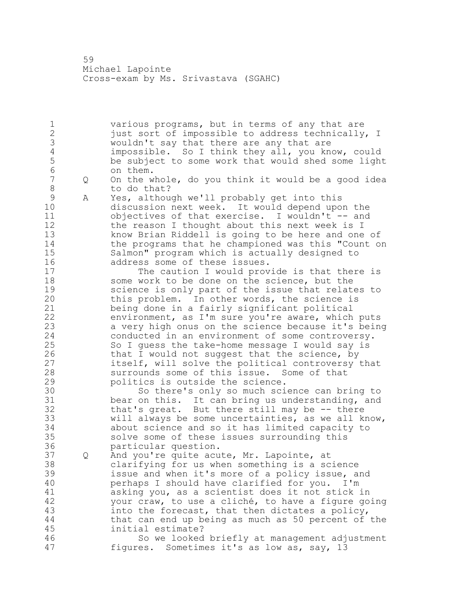1 various programs, but in terms of any that are 2 **just sort of impossible to address technically, I** 3 wouldn't say that there are any that are<br>4 impossible. So I think they all, you kn 4 impossible. So I think they all, you know, could<br>5 be subject to some work that would shed some light 5 be subject to some work that would shed some light<br>6 on them. 6 on them.<br>7 0 On the w 7 Q On the whole, do you think it would be a good idea 8 to do that?<br>9 A Yes, althou 9 A Yes, although we'll probably get into this discussion next week. It would depend upon the 11 objectives of that exercise. I wouldn't -- and 12 the reason I thought about this next week is I 13 know Brian Riddell is going to be here and one of 14 the programs that he championed was this "Count on 15 Salmon" program which is actually designed to 16 address some of these issues.<br>17 The caution I would prov The caution I would provide is that there is 18 some work to be done on the science, but the 19 science is only part of the issue that relates to<br>20 this problem. In other words, the science is this problem. In other words, the science is 21 being done in a fairly significant political 22 environment, as I'm sure you're aware, which puts 23 a very high onus on the science because it's being 24 conducted in an environment of some controversy. 25 So I guess the take-home message I would say is 26 that I would not suggest that the science, by<br>27 itself, will solve the political controversy 27 itself, will solve the political controversy that<br>28 surrounds some of this issue. Some of that surrounds some of this issue. Some of that 29 politics is outside the science. 30 So there's only so much science can bring to<br>31 bear on this. It can bring us understanding, and bear on this. It can bring us understanding, and 32 that's great. But there still may be -- there 33 will always be some uncertainties, as we all know, 34 about science and so it has limited capacity to 35 solve some of these issues surrounding this 36 particular question. 37 Q And you're quite acute, Mr. Lapointe, at 38 clarifying for us when something is a science 39 issue and when it's more of a policy issue, and 40 perhaps I should have clarified for you. I'm 41 asking you, as a scientist does it not stick in<br>42 vour craw, to use a cliché, to have a figure go. your craw, to use a cliché, to have a figure going 43 into the forecast, that then dictates a policy, 44 that can end up being as much as 50 percent of the 45 initial estimate? 46 So we looked briefly at management adjustment 47 figures. Sometimes it's as low as, say, 13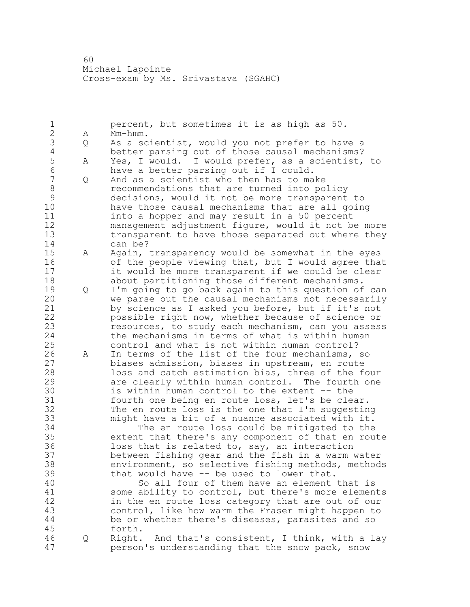percent, but sometimes it is as high as 50. A Mm-hmm. Q As a scientist, would you not prefer to have a 4 better parsing out of those causal mechanisms?<br>5 A Yes, I would. I would prefer, as a scientist, 5 A Yes, I would. I would prefer, as a scientist, to<br>6 have a better parsing out if I could. have a better parsing out if I could. Q And as a scientist who then has to make 8 recommendations that are turned into policy<br>9 decisions, would it not be more transparent 9 decisions, would it not be more transparent to<br>10 have those causal mechanisms that are all goine have those causal mechanisms that are all going into a hopper and may result in a 50 percent management adjustment figure, would it not be more transparent to have those separated out where they can be? A Again, transparency would be somewhat in the eyes of the people viewing that, but I would agree that it would be more transparent if we could be clear about partitioning those different mechanisms. 19 Q I'm going to go back again to this question of can<br>20 we parse out the causal mechanisms not necessarily we parse out the causal mechanisms not necessarily by science as I asked you before, but if it's not possible right now, whether because of science or resources, to study each mechanism, can you assess the mechanisms in terms of what is within human control and what is not within human control? 26 A In terms of the list of the four mechanisms, so<br>27 biases admission, biases in upstream, en route biases admission, biases in upstream, en route loss and catch estimation bias, three of the four are clearly within human control. The fourth one 30 is within human control to the extent -- the<br>31 fourth one being en route loss, let's be clea 31 fourth one being en route loss, let's be clear.<br>32 The en route loss is the one that I'm suggestin The en route loss is the one that  $I'm$  suggesting might have a bit of a nuance associated with it. 34 The en route loss could be mitigated to the extent that there's any component of that en route loss that is related to, say, an interaction between fishing gear and the fish in a warm water environment, so selective fishing methods, methods that would have -- be used to lower that. 40 So all four of them have an element that is 41 some ability to control, but there's more elements<br>42 in the en route loss category that are out of our in the en route loss category that are out of our control, like how warm the Fraser might happen to be or whether there's diseases, parasites and so forth. Q Right. And that's consistent, I think, with a lay person's understanding that the snow pack, snow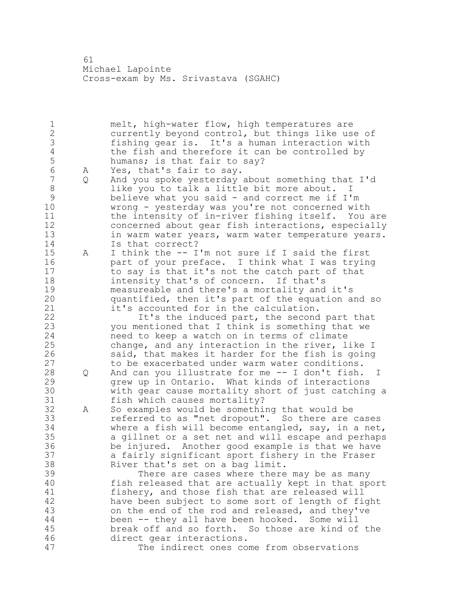melt, high-water flow, high temperatures are currently beyond control, but things like use of fishing gear is. It's a human interaction with 4 the fish and therefore it can be controlled by<br>5 humans; is that fair to say? 5 humans; is that fair to say?<br>6 A Yes, that's fair to sav. A Yes, that's fair to say. Q And you spoke yesterday about something that I'd 8 like you to talk a little bit more about. I<br>9 believe what you said - and correct me if I' 9 believe what you said - and correct me if I'm<br>10 wrong - vesterdav was vou're not concerned wi wrong - yesterday was you're not concerned with the intensity of in-river fishing itself. You are concerned about gear fish interactions, especially in warm water years, warm water temperature years. Is that correct? A I think the -- I'm not sure if I said the first part of your preface. I think what I was trying to say is that it's not the catch part of that intensity that's of concern. If that's 19 measureable and there's a mortality and it's<br>20 quantified, then it's part of the equation a quantified, then it's part of the equation and so it's accounted for in the calculation. 22 It's the induced part, the second part that you mentioned that I think is something that we need to keep a watch on in terms of climate change, and any interaction in the river, like I 26 said, that makes it harder for the fish is going<br>27 to be exacerbated under warm water conditions. to be exacerbated under warm water conditions. Q And can you illustrate for me -- I don't fish. I grew up in Ontario. What kinds of interactions with gear cause mortality short of just catching a fish which causes mortality? A So examples would be something that would be referred to as "net dropout". So there are cases where a fish will become entangled, say, in a net, a gillnet or a set net and will escape and perhaps be injured. Another good example is that we have a fairly significant sport fishery in the Fraser River that's set on a bag limit. 39 There are cases where there may be as many fish released that are actually kept in that sport 41 fishery, and those fish that are released will<br>42 have been subject to some sort of length of fi have been subject to some sort of length of fight on the end of the rod and released, and they've been -- they all have been hooked. Some will break off and so forth. So those are kind of the direct gear interactions. 47 The indirect ones come from observations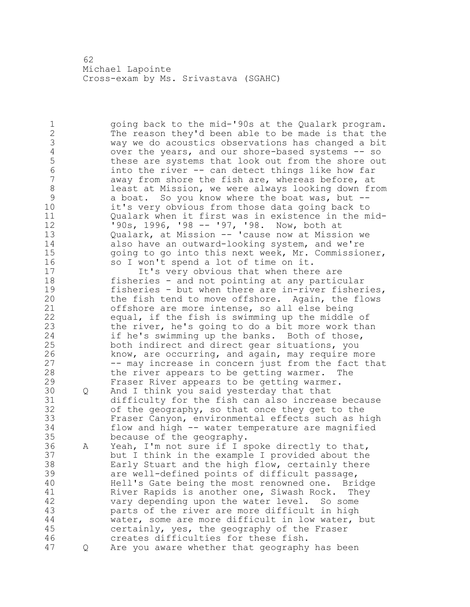going back to the mid-'90s at the Qualark program. The reason they'd been able to be made is that the 3 way we do acoustics observations has changed a bit<br>4 over the years, and our shore-based systems -- so 4 over the years, and our shore-based systems -- so<br>5 these are systems that look out from the shore ou 5 these are systems that look out from the shore out<br>6 into the river -- can detect things like how far 6 into the river -- can detect things like how far<br>7 away from shore the fish are, whereas before, at away from shore the fish are, whereas before, at 8 least at Mission, we were always looking down from<br>9 a boat. So you know where the boat was, but --9 a boat. So you know where the boat was, but --<br>10 it's very obvious from those data going back to it's very obvious from those data going back to Qualark when it first was in existence in the mid- '90s, 1996, '98 -- '97, '98. Now, both at Qualark, at Mission -- 'cause now at Mission we also have an outward-looking system, and we're going to go into this next week, Mr. Commissioner, so I won't spend a lot of time on it. 17 It's very obvious that when there are fisheries - and not pointing at any particular 19 fisheries - but when there are in-river fisheries,<br>20 the fish tend to move offshore. Again, the flows the fish tend to move offshore. Again, the flows offshore are more intense, so all else being equal, if the fish is swimming up the middle of the river, he's going to do a bit more work than if he's swimming up the banks. Both of those, both indirect and direct gear situations, you 26 know, are occurring, and again, may require more<br>27 - may increase in concern just from the fact the -- may increase in concern just from the fact that the river appears to be getting warmer. The Fraser River appears to be getting warmer. 30 Q And I think you said yesterday that that<br>31 difficulty for the fish can also increas difficulty for the fish can also increase because of the geography, so that once they get to the Fraser Canyon, environmental effects such as high flow and high -- water temperature are magnified because of the geography. A Yeah, I'm not sure if I spoke directly to that, but I think in the example I provided about the Early Stuart and the high flow, certainly there are well-defined points of difficult passage, Hell's Gate being the most renowned one. Bridge 41 River Rapids is another one, Siwash Rock. They<br>42 vary depending upon the water level. So some vary depending upon the water level. So some parts of the river are more difficult in high water, some are more difficult in low water, but certainly, yes, the geography of the Fraser creates difficulties for these fish. Q Are you aware whether that geography has been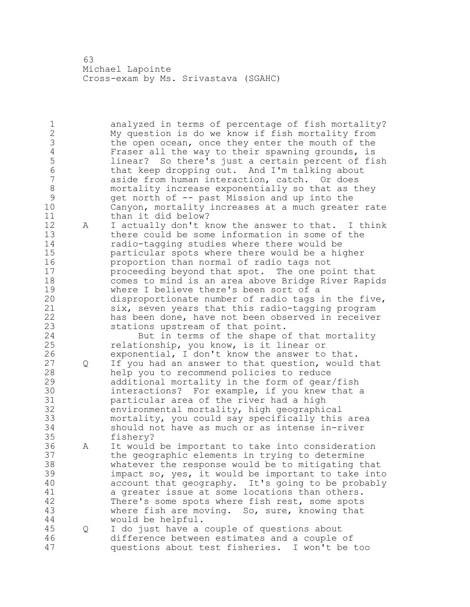analyzed in terms of percentage of fish mortality? My question is do we know if fish mortality from 3 the open ocean, once they enter the mouth of the<br>4 Fraser all the way to their spawning grounds, is 4 Fraser all the way to their spawning grounds, is<br>5 linear? So there's just a certain percent of fi 5 linear? So there's just a certain percent of fish<br>6 that keep dropping out. And I'm talking about that keep dropping out. And I'm talking about aside from human interaction, catch. Or does 8 mortality increase exponentially so that as they<br>9 get north of -- past Mission and up into the 9 9 get north of -- past Mission and up into the<br>10 Canvon, mortality increases at a much greate Canyon, mortality increases at a much greater rate 11 than it did below? A I actually don't know the answer to that. I think there could be some information in some of the radio-tagging studies where there would be particular spots where there would be a higher proportion than normal of radio tags not **proceeding beyond that spot.** The one point that comes to mind is an area above Bridge River Rapids 19 where I believe there's been sort of a<br>20 disproportionate number of radio tags: disproportionate number of radio tags in the five, six, seven years that this radio-tagging program has been done, have not been observed in receiver stations upstream of that point. 24 But in terms of the shape of that mortality relationship, you know, is it linear or 26 exponential, I don't know the answer to that.<br>27 0 If you had an answer to that question, would Q If you had an answer to that question, would that help you to recommend policies to reduce additional mortality in the form of gear/fish 30 interactions? For example, if you knew that a<br>31 barticular area of the river had a high **particular area of the river had a high**<br>32 **budge environmental mortality, high geographi** environmental mortality, high geographical mortality, you could say specifically this area should not have as much or as intense in-river fishery? A It would be important to take into consideration the geographic elements in trying to determine whatever the response would be to mitigating that impact so, yes, it would be important to take into account that geography. It's going to be probably 41 a greater issue at some locations than others.<br>42 There's some spots where fish rest, some spots There's some spots where fish rest, some spots where fish are moving. So, sure, knowing that would be helpful. Q I do just have a couple of questions about difference between estimates and a couple of questions about test fisheries. I won't be too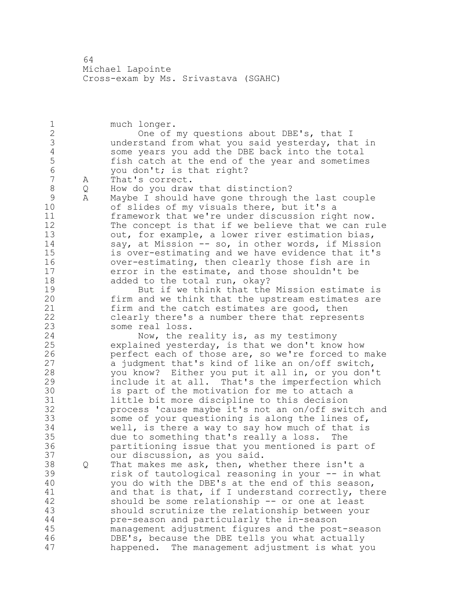1 much longer. 2 One of my questions about DBE's, that I 3 understand from what you said yesterday, that in 4 some years you add the DBE back into the total<br>5 fish catch at the end of the year and sometime 5 fish catch at the end of the year and sometimes<br>6 vou don't: is that right? 6 you don't; is that right?<br>7 A That's correct. A That's correct. 8 Q How do you draw that distinction?<br>9 A Maybe I should have gone through 9 A Maybe I should have gone through the last couple<br>10 of slides of my visuals there, but it's a of slides of my visuals there, but it's a 11 framework that we're under discussion right now. 12 The concept is that if we believe that we can rule 13 out, for example, a lower river estimation bias, 14 say, at Mission -- so, in other words, if Mission 15 is over-estimating and we have evidence that it's 16 over-estimating, then clearly those fish are in 17 error in the estimate, and those shouldn't be 18 added to the total run, okay? 19 But if we think that the Mission estimate is<br>20 firm and we think that the upstream estimates are firm and we think that the upstream estimates are 21 firm and the catch estimates are good, then 22 clearly there's a number there that represents 23 some real loss. 24 Now, the reality is, as my testimony 25 explained yesterday, is that we don't know how 26 perfect each of those are, so we're forced to make<br>27 a judgment that's kind of like an on/off switch, a judgment that's kind of like an on/off switch, 28 you know? Either you put it all in, or you don't 29 include it at all. That's the imperfection which 30 is part of the motivation for me to attach a<br>31 little bit more discipline to this decision 31 little bit more discipline to this decision<br>32 process 'cause maybe it's not an on/off swit process 'cause maybe it's not an on/off switch and 33 some of your questioning is along the lines of, 34 well, is there a way to say how much of that is 35 due to something that's really a loss. The 36 partitioning issue that you mentioned is part of 37 our discussion, as you said. 38 Q That makes me ask, then, whether there isn't a 39 risk of tautological reasoning in your -- in what 40 you do with the DBE's at the end of this season, 41 and that is that, if I understand correctly, there<br>42 should be some relationship -- or one at least should be some relationship -- or one at least 43 should scrutinize the relationship between your 44 pre-season and particularly the in-season 45 management adjustment figures and the post-season 46 DBE's, because the DBE tells you what actually 47 happened. The management adjustment is what you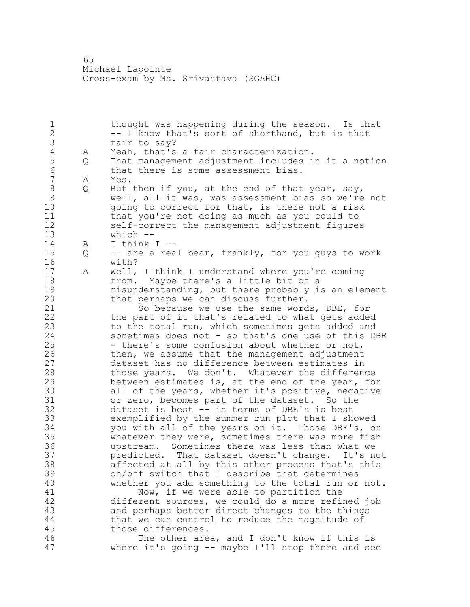thought was happening during the season. Is that 2 -- I know that's sort of shorthand, but is that 3 fair to say?<br>4 A Yeah, that's 4 A Yeah, that's a fair characterization.<br>5 Q That management adjustment includes i Q That management adjustment includes in it a notion 6 that there is some assessment bias.<br>7 A Yes. A Yes. Q But then if you, at the end of that year, say, 9 well, all it was, was assessment bias so we're not<br>10 oping to correct for that, is there not a risk going to correct for that, is there not a risk that you're not doing as much as you could to self-correct the management adjustment figures which -- A I think I -- Q -- are a real bear, frankly, for you guys to work with? A Well, I think I understand where you're coming from. Maybe there's a little bit of a 19 misunderstanding, but there probably is an element<br>20 that perhaps we can discuss further. that perhaps we can discuss further. 21 So because we use the same words, DBE, for the part of it that's related to what gets added to the total run, which sometimes gets added and sometimes does not - so that's one use of this DBE - there's some confusion about whether or not, 26 then, we assume that the management adjustment<br>27 dataset has no difference between estimates in dataset has no difference between estimates in those years. We don't. Whatever the difference between estimates is, at the end of the year, for 30 all of the years, whether it's positive, negative<br>31 or zero, becomes part of the dataset. So the 31 or zero, becomes part of the dataset. So the<br>32 dataset is best -- in terms of DBE's is best dataset is best  $-$  in terms of DBE's is best exemplified by the summer run plot that I showed you with all of the years on it. Those DBE's, or whatever they were, sometimes there was more fish upstream. Sometimes there was less than what we predicted. That dataset doesn't change. It's not affected at all by this other process that's this on/off switch that I describe that determines whether you add something to the total run or not. 41 Now, if we were able to partition the different sources, we could do a more refined job and perhaps better direct changes to the things that we can control to reduce the magnitude of those differences. 46 The other area, and I don't know if this is where it's going -- maybe I'll stop there and see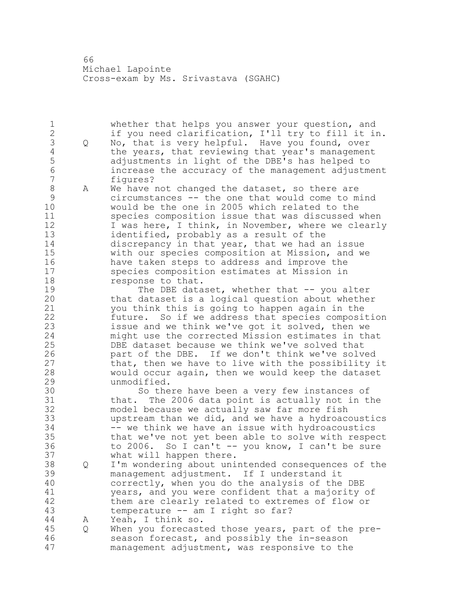whether that helps you answer your question, and if you need clarification, I'll try to fill it in. 3 Q No, that is very helpful. Have you found, over<br>4 the years, that reviewing that year's managemen 4 the years, that reviewing that year's management<br>5 adjustments in light of the DBE's has helped to adjustments in light of the DBE's has helped to increase the accuracy of the management adjustment figures? 8 A We have not changed the dataset, so there are<br>9 circumstances -- the one that would come to m circumstances -- the one that would come to mind would be the one in 2005 which related to the species composition issue that was discussed when 12 I was here, I think, in November, where we clearly identified, probably as a result of the discrepancy in that year, that we had an issue with our species composition at Mission, and we have taken steps to address and improve the species composition estimates at Mission in 18 response to that. 19 The DBE dataset, whether that -- you alter<br>20 that dataset is a logical question about whethe that dataset is a logical question about whether you think this is going to happen again in the future. So if we address that species composition issue and we think we've got it solved, then we might use the corrected Mission estimates in that DBE dataset because we think we've solved that 26 part of the DBE. If we don't think we've solved<br>27 that, then we have to live with the possibility that, then we have to live with the possibility it would occur again, then we would keep the dataset unmodified. 30 So there have been a very few instances of<br>31 that. The 2006 data point is actually not in t 31 that. The 2006 data point is actually not in the<br>32 model because we actually saw far more fish model because we actually saw far more fish upstream than we did, and we have a hydroacoustics 34 -- we think we have an issue with hydroacoustics that we've not yet been able to solve with respect to 2006. So I can't -- you know, I can't be sure what will happen there. Q I'm wondering about unintended consequences of the management adjustment. If I understand it correctly, when you do the analysis of the DBE 41 years, and you were confident that a majority of<br>42 them are clearly related to extremes of flow or them are clearly related to extremes of flow or temperature -- am I right so far? A Yeah, I think so. Q When you forecasted those years, part of the pre- season forecast, and possibly the in-season management adjustment, was responsive to the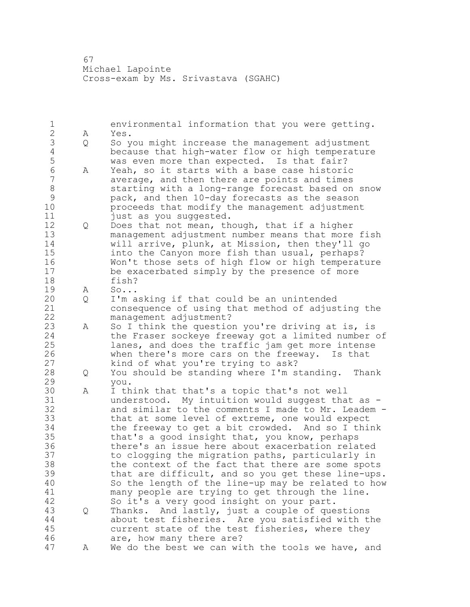1 environmental information that you were getting.<br>2 A Yes. A Yes. 3 Q So you might increase the management adjustment<br>4 because that high-water flow or high temperature 4 because that high-water flow or high temperature<br>5 was even more than expected. Is that fair? 5 was even more than expected. Is that fair?<br>6 A Yeah, so it starts with a base case histori 6 A Yeah, so it starts with a base case historic average, and then there are points and times 8 starting with a long-range forecast based on snow<br>9 pack, and then 10-day forecasts as the season 9 pack, and then 10-day forecasts as the season proceeds that modify the management adjustment 11 iust as you suggested. 12 Q Does that not mean, though, that if a higher 13 management adjustment number means that more fish 14 will arrive, plunk, at Mission, then they'll go 15 into the Canyon more fish than usual, perhaps? 16 Won't those sets of high flow or high temperature 17 be exacerbated simply by the presence of more 18 fish? 19 A So...<br>20 Q I'ma 20 Q I'm asking if that could be an unintended 21 consequence of using that method of adjusting the 22 management adjustment? 23 A So I think the question you're driving at is, is 24 the Fraser sockeye freeway got a limited number of 25 lanes, and does the traffic jam get more intense 26 when there's more cars on the freeway. Is that<br>27 kind of what you're trying to ask? kind of what you're trying to ask? 28 Q You should be standing where I'm standing. Thank 29 you. 30 A I think that that's a topic that's not well<br>31 understood. My intuition would suggest that 31 understood. My intuition would suggest that as -<br>32 and similar to the comments I made to Mr. Leadem and similar to the comments I made to Mr. Leadem -33 that at some level of extreme, one would expect 34 the freeway to get a bit crowded. And so I think 35 that's a good insight that, you know, perhaps 36 there's an issue here about exacerbation related 37 to clogging the migration paths, particularly in 38 the context of the fact that there are some spots 39 that are difficult, and so you get these line-ups. 40 So the length of the line-up may be related to how 41 many people are trying to get through the line.<br>42 So it's a very good insight on your part. So it's a very good insight on your part. 43 Q Thanks. And lastly, just a couple of questions 44 about test fisheries. Are you satisfied with the 45 current state of the test fisheries, where they 46 are, how many there are? 47 A We do the best we can with the tools we have, and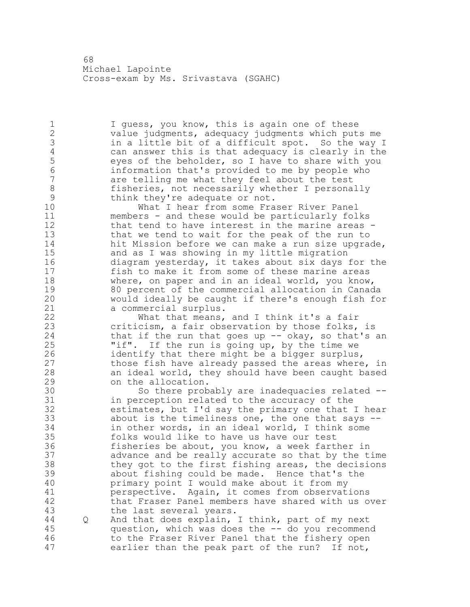1 I guess, you know, this is again one of these 2 value judgments, adequacy judgments which puts me 3 in a little bit of a difficult spot. So the way I<br>4 can answer this is that adequacy is clearly in the 4 can answer this is that adequacy is clearly in the<br>5 eyes of the beholder, so I have to share with you 5 eyes of the beholder, so I have to share with you<br>6 information that's provided to me by people who 6 information that's provided to me by people who are telling me what they feel about the test 8 fisheries, not necessarily whether I personally<br>9 think they're adequate or not. 9 think they're adequate or not.<br>10 What I hear from some Fra

What I hear from some Fraser River Panel members - and these would be particularly folks that tend to have interest in the marine areas - that we tend to wait for the peak of the run to hit Mission before we can make a run size upgrade, and as I was showing in my little migration diagram yesterday, it takes about six days for the fish to make it from some of these marine areas where, on paper and in an ideal world, you know, 19 80 percent of the commercial allocation in Canada<br>20 would ideally be caught if there's enough fish for would ideally be caught if there's enough fish for a commercial surplus.

22 What that means, and I think it's a fair 23 criticism, a fair observation by those folks, is 24 that if the run that goes up -- okay, so that's an 25 "if". If the run is going up, by the time we 26 identify that there might be a bigger surplus,<br>27 those fish have already passed the areas where those fish have already passed the areas where, in 28 an ideal world, they should have been caught based 29 on the allocation.

30 So there probably are inadequacies related --<br>31 in perception related to the accuracy of the 31 in perception related to the accuracy of the<br>32 estimates, but I'd say the primary one that estimates, but I'd say the primary one that I hear about is the timeliness one, the one that says -- in other words, in an ideal world, I think some folks would like to have us have our test fisheries be about, you know, a week farther in advance and be really accurate so that by the time they got to the first fishing areas, the decisions about fishing could be made. Hence that's the primary point I would make about it from my 41 perspective. Again, it comes from observations<br>42 that Fraser Panel members have shared with us o that Fraser Panel members have shared with us over the last several years.

 Q And that does explain, I think, part of my next question, which was does the -- do you recommend to the Fraser River Panel that the fishery open earlier than the peak part of the run? If not,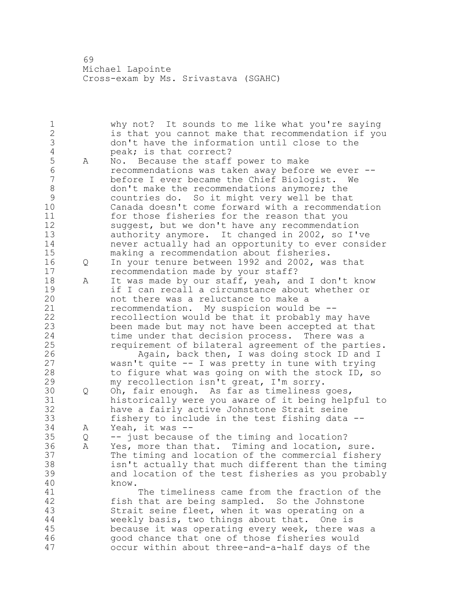why not? It sounds to me like what you're saying is that you cannot make that recommendation if you 3 don't have the information until close to the<br>4 peak; is that correct? 4 peak; is that correct?<br>5 A No. Because the staff 5 A No. Because the staff power to make<br>6 commendations was taken away before recommendations was taken away before we ever - before I ever became the Chief Biologist. We 8 don't make the recommendations anymore; the<br>9 countries do. So it might very well be that 9 countries do. So it might very well be that<br>10 Canada doesn't come forward with a recommend Canada doesn't come forward with a recommendation for those fisheries for the reason that you suggest, but we don't have any recommendation authority anymore. It changed in 2002, so I've never actually had an opportunity to ever consider making a recommendation about fisheries. Q In your tenure between 1992 and 2002, was that recommendation made by your staff? A It was made by our staff, yeah, and I don't know if I can recall a circumstance about whether or not there was a reluctance to make a recommendation. My suspicion would be -- recollection would be that it probably may have been made but may not have been accepted at that time under that decision process. There was a requirement of bilateral agreement of the parties. 26 Again, back then, I was doing stock ID and I<br>27 wasn't quite -- I was pretty in tune with trying  $wasn't quite -- I was pretty in tune with trying$  to figure what was going on with the stock ID, so my recollection isn't great, I'm sorry. 30 Q Oh, fair enough. As far as timeliness goes,<br>31 historically were you aware of it being help historically were you aware of it being helpful to have a fairly active Johnstone Strait seine fishery to include in the test fishing data -- A Yeah, it was -- Q -- just because of the timing and location? A Yes, more than that. Timing and location, sure. The timing and location of the commercial fishery isn't actually that much different than the timing and location of the test fisheries as you probably know. 41 The timeliness came from the fraction of the<br>42 fish that are being sampled. So the Johnstone fish that are being sampled. So the Johnstone Strait seine fleet, when it was operating on a weekly basis, two things about that. One is because it was operating every week, there was a good chance that one of those fisheries would occur within about three-and-a-half days of the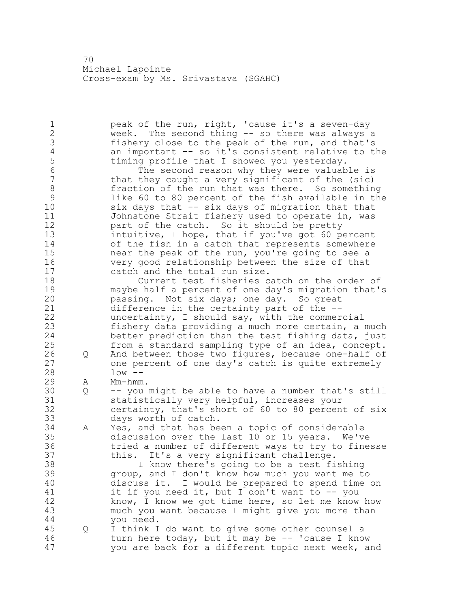1 peak of the run, right, 'cause it's a seven-day 2 week. The second thing -- so there was always a 3 fishery close to the peak of the run, and that's<br>4 an important -- so it's consistent relative to the 4 an important -- so it's consistent relative to the<br>5 timing profile that I showed you yesterday. 5 timing profile that I showed you yesterday.<br>6 The second reason why they were valuab 6 The second reason why they were valuable is<br>7 that they caught a very significant of the (sic) that they caught a very significant of the (sic) 8 fraction of the run that was there. So something<br>9 1ike 60 to 80 percent of the fish available in the 9 like 60 to 80 percent of the fish available in the<br>10 six davs that -- six davs of migration that that six days that  $-$ - six days of migration that that 11 Johnstone Strait fishery used to operate in, was 12 **part of the catch.** So it should be pretty 13 intuitive, I hope, that if you've got 60 percent 14 of the fish in a catch that represents somewhere 15 near the peak of the run, you're going to see a 16 very good relationship between the size of that 17 catch and the total run size. 18 Current test fisheries catch on the order of 19 maybe half a percent of one day's migration that's<br>20 massing. Not six days; one day. So great passing. Not six days; one day. So great 21 difference in the certainty part of the -- 22 uncertainty, I should say, with the commercial 23 fishery data providing a much more certain, a much 24 better prediction than the test fishing data, just 25 from a standard sampling type of an idea, concept. 26 Q And between those two figures, because one-half of<br>27 one percent of one day's catch is quite extremely one percent of one day's catch is quite extremely 28 low -- 29 A Mm-hmm. 30 Q -- you might be able to have a number that's still 31 statistically very helpful, increases your<br>32 certainty, that's short of 60 to 80 percen  $certainty$ , that's short of 60 to 80 percent of six 33 days worth of catch. 34 A Yes, and that has been a topic of considerable 35 discussion over the last 10 or 15 years. We've 36 tried a number of different ways to try to finesse 37 this. It's a very significant challenge. 38 I know there's going to be a test fishing 39 group, and I don't know how much you want me to 40 discuss it. I would be prepared to spend time on 41 it if you need it, but I don't want to -- you<br>42 know, I know we got time here, so let me know know, I know we got time here, so let me know how 43 much you want because I might give you more than 44 you need. 45 Q I think I do want to give some other counsel a 46 turn here today, but it may be -- 'cause I know 47 you are back for a different topic next week, and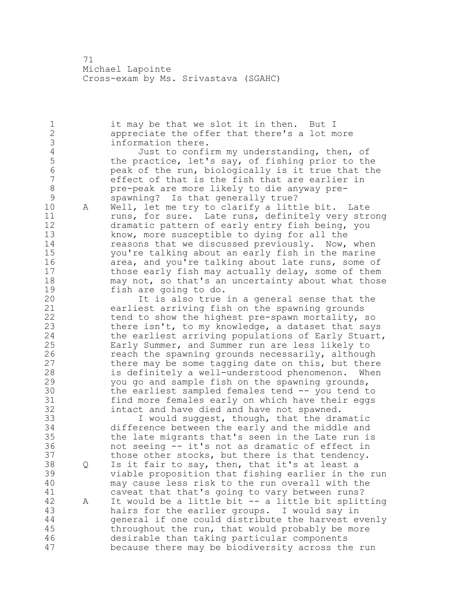1 it may be that we slot it in then. But I 2 appreciate the offer that there's a lot more 3 information there.<br>4 Just to confi 4 Just to confirm my understanding, then, of<br>5 the practice, let's say, of fishing prior to the 5 the practice, let's say, of fishing prior to the<br>6 beak of the run, biologically is it true that the 6 peak of the run, biologically is it true that the effect of that is the fish that are earlier in 8 pre-peak are more likely to die anyway pre-<br>9 spawning? Is that generally true? 9 spawning? Is that generally true?<br>10 A Well, let me try to clarify a litt A Well, let me try to clarify a little bit. Late 11 runs, for sure. Late runs, definitely very strong 12 dramatic pattern of early entry fish being, you 13 know, more susceptible to dying for all the 14 **reasons that we discussed previously.** Now, when 15 you're talking about an early fish in the marine 16 area, and you're talking about late runs, some of 17 those early fish may actually delay, some of them 18 may not, so that's an uncertainty about what those 19 fish are going to do.<br>20 It is also true It is also true in a general sense that the 21 earliest arriving fish on the spawning grounds 22 tend to show the highest pre-spawn mortality, so 23 there isn't, to my knowledge, a dataset that says 24 the earliest arriving populations of Early Stuart, 25 Early Summer, and Summer run are less likely to 26 reach the spawning grounds necessarily, although<br>27 there may be some tagging date on this, but there there may be some tagging date on this, but there 28 is definitely a well-understood phenomenon. When 29 you go and sample fish on the spawning grounds, 30 the earliest sampled females tend -- you tend to<br>31 find more females early on which have their eggs 31 find more females early on which have their eggs<br>32 intact and have died and have not spawned. intact and have died and have not spawned. 33 I would suggest, though, that the dramatic 34 difference between the early and the middle and 35 the late migrants that's seen in the Late run is 36 not seeing -- it's not as dramatic of effect in 37 those other stocks, but there is that tendency. 38 Q Is it fair to say, then, that it's at least a 39 viable proposition that fishing earlier in the run 40 may cause less risk to the run overall with the 41 caveat that that's going to vary between runs?<br>42 A It would be a little bit -- a little bit split A It would be a little bit -- a little bit splitting 43 hairs for the earlier groups. I would say in 44 general if one could distribute the harvest evenly 45 throughout the run, that would probably be more 46 desirable than taking particular components 47 because there may be biodiversity across the run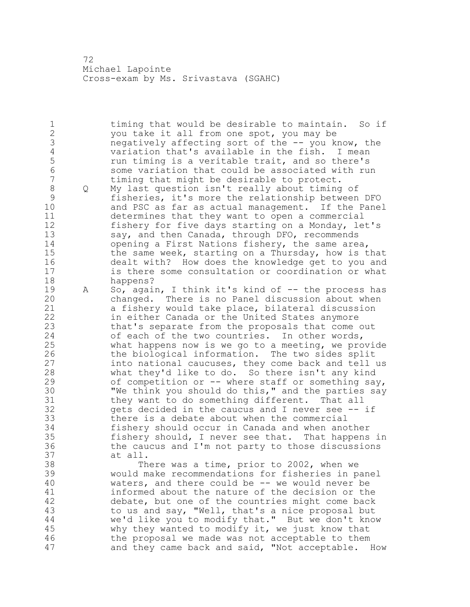1 timing that would be desirable to maintain. So if you take it all from one spot, you may be 3 negatively affecting sort of the -- you know, the<br>4 variation that's available in the fish. I mean 4 variation that's available in the fish. I mean<br>5 Tun timing is a veritable trait, and so there's run timing is a veritable trait, and so there's 6 some variation that could be associated with run<br>7 timing that might be desirable to protect. timing that might be desirable to protect. Q My last question isn't really about timing of 9 fisheries, it's more the relationship between DFO<br>10 and PSC as far as actual management. If the Pane and PSC as far as actual management. If the Panel determines that they want to open a commercial fishery for five days starting on a Monday, let's say, and then Canada, through DFO, recommends opening a First Nations fishery, the same area, the same week, starting on a Thursday, how is that dealt with? How does the knowledge get to you and is there some consultation or coordination or what happens? 19 A So, again, I think it's kind of -- the process has<br>20 changed. There is no Panel discussion about when changed. There is no Panel discussion about when a fishery would take place, bilateral discussion in either Canada or the United States anymore that's separate from the proposals that come out of each of the two countries. In other words, what happens now is we go to a meeting, we provide 26 the biological information. The two sides split<br>27 into national caucuses, they come back and tell into national caucuses, they come back and tell us what they'd like to do. So there isn't any kind of competition or -- where staff or something say, 30 "We think you should do this," and the parties say<br>31 they want to do something different. That all 31 they want to do something different. That all<br>32 oets decided in the caucus and I never see -gets decided in the caucus and I never see -- if there is a debate about when the commercial fishery should occur in Canada and when another fishery should, I never see that. That happens in the caucus and I'm not party to those discussions at all. 38 There was a time, prior to 2002, when we would make recommendations for fisheries in panel waters, and there could be -- we would never be 41 informed about the nature of the decision or the<br>42 debate, but one of the countries might come back debate, but one of the countries might come back to us and say, "Well, that's a nice proposal but we'd like you to modify that." But we don't know why they wanted to modify it, we just know that the proposal we made was not acceptable to them and they came back and said, "Not acceptable. How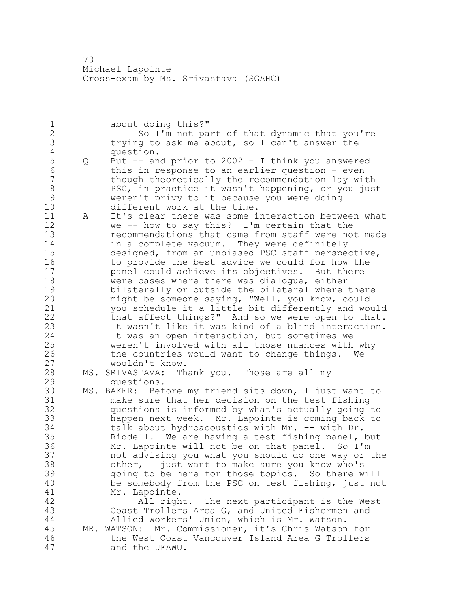about doing this?" 2 So I'm not part of that dynamic that you're trying to ask me about, so I can't answer the 4 question.<br>5 Q But -- an Q But -- and prior to 2002 - I think you answered this in response to an earlier question - even though theoretically the recommendation lay with 8 PSC, in practice it wasn't happening, or you just<br>9 Weren't privy to it because you were doing weren't privy to it because you were doing different work at the time. A It's clear there was some interaction between what we -- how to say this? I'm certain that the recommendations that came from staff were not made **in a complete vacuum.** They were definitely designed, from an unbiased PSC staff perspective, 16 to provide the best advice we could for how the panel could achieve its objectives. But there were cases where there was dialogue, either 19 bilaterally or outside the bilateral where there<br>20 might be someone saying, "Well, you know, could might be someone saying, "Well, you know, could you schedule it a little bit differently and would that affect things?" And so we were open to that. It wasn't like it was kind of a blind interaction. It was an open interaction, but sometimes we weren't involved with all those nuances with why 26 the countries would want to change things. We<br>27 wouldn't know. wouldn't know. MS. SRIVASTAVA: Thank you. Those are all my questions. MS. BAKER: Before my friend sits down, I just want to 31 make sure that her decision on the test fishing<br>32 ouestions is informed by what's actually going questions is informed by what's actually going to happen next week. Mr. Lapointe is coming back to talk about hydroacoustics with Mr. -- with Dr. Riddell. We are having a test fishing panel, but Mr. Lapointe will not be on that panel. So I'm not advising you what you should do one way or the other, I just want to make sure you know who's going to be here for those topics. So there will be somebody from the PSC on test fishing, just not 41 Mr. Lapointe.<br>42 All righ All right. The next participant is the West Coast Trollers Area G, and United Fishermen and Allied Workers' Union, which is Mr. Watson. MR. WATSON: Mr. Commissioner, it's Chris Watson for the West Coast Vancouver Island Area G Trollers and the UFAWU.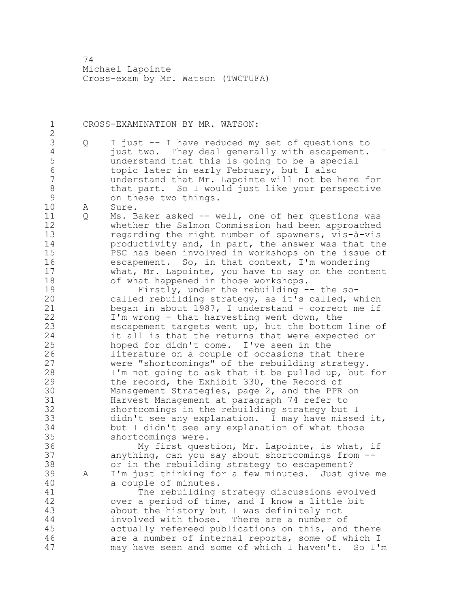CROSS-EXAMINATION BY MR. WATSON: 3 Q I just -- I have reduced my set of questions to<br>4 iust two. They deal generally with escapement. 4 just two. They deal generally with escapement. I<br>5 understand that this is going to be a special 5 understand that this is going to be a special<br>6 topic later in early February, but I also topic later in early February, but I also understand that Mr. Lapointe will not be here for 8 that part. So I would just like your perspective<br>9 on these two things. 9 on these two things.<br>10 A Sure. A Sure. Q Ms. Baker asked -- well, one of her questions was whether the Salmon Commission had been approached regarding the right number of spawners, vis-à-vis **productivity and, in part, the answer was that the**  PSC has been involved in workshops on the issue of escapement. So, in that context, I'm wondering what, Mr. Lapointe, you have to say on the content of what happened in those workshops. 19 Firstly, under the rebuilding -- the so-<br>20 called rebuilding strategy, as it's called, w called rebuilding strategy, as it's called, which began in about 1987, I understand - correct me if I'm wrong - that harvesting went down, the escapement targets went up, but the bottom line of it all is that the returns that were expected or hoped for didn't come. I've seen in the 26 literature on a couple of occasions that there<br>27 were "shortcomings" of the rebuilding strategy were "shortcomings" of the rebuilding strategy. I'm not going to ask that it be pulled up, but for the record, the Exhibit 330, the Record of 30 Management Strategies, page 2, and the PPR on<br>31 Harvest Management at paragraph 74 refer to Harvest Management at paragraph 74 refer to shortcomings in the rebuilding strategy but I didn't see any explanation. I may have missed it, but I didn't see any explanation of what those shortcomings were. 36 My first question, Mr. Lapointe, is what, if anything, can you say about shortcomings from -- or in the rebuilding strategy to escapement? A I'm just thinking for a few minutes. Just give me a couple of minutes. 41 The rebuilding strategy discussions evolved<br>42 over a period of time, and I know a little bit over a period of time, and I know a little bit about the history but I was definitely not involved with those. There are a number of actually refereed publications on this, and there are a number of internal reports, some of which I may have seen and some of which I haven't. So I'm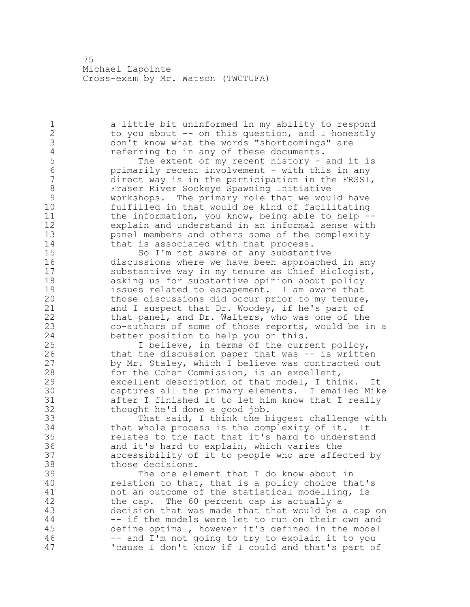1 a little bit uninformed in my ability to respond 2 to you about -- on this question, and I honestly 3 don't know what the words "shortcomings" are 4 referring to in any of these documents.<br>5 The extent of my recent history -5 The extent of my recent history - and it is<br>6 The extent involvement - with this in any 6 primarily recent involvement - with this in any direct way is in the participation in the FRSSI, 8 Fraser River Sockeye Spawning Initiative<br>9 Workshops. The primary role that we wou. 9 workshops. The primary role that we would have<br>10 fulfilled in that would be kind of facilitating fulfilled in that would be kind of facilitating 11 the information, you know, being able to help -- 12 explain and understand in an informal sense with 13 panel members and others some of the complexity 14 that is associated with that process. 15 So I'm not aware of any substantive 16 discussions where we have been approached in any 17 substantive way in my tenure as Chief Biologist, 18 asking us for substantive opinion about policy 19 issues related to escapement. I am aware that<br>20 those discussions did occur prior to my tenure those discussions did occur prior to my tenure, 21 and I suspect that Dr. Woodey, if he's part of 22 that panel, and Dr. Walters, who was one of the 23 co-authors of some of those reports, would be in a 24 better position to help you on this. 25 I believe, in terms of the current policy, 26 that the discussion paper that was -- is written<br>27 by Mr. Staley, which I believe was contracted ou by Mr. Staley, which I believe was contracted out 28 for the Cohen Commission, is an excellent, 29 excellent description of that model, I think. It 30 captures all the primary elements. I emailed Mike 31 after I finished it to let him know that I really<br>32 thought he'd done a good job. thought he'd done a good job. 33 That said, I think the biggest challenge with 34 that whole process is the complexity of it. It 35 relates to the fact that it's hard to understand 36 and it's hard to explain, which varies the 37 accessibility of it to people who are affected by 38 those decisions. 39 The one element that I do know about in 40 relation to that, that is a policy choice that's 41 not an outcome of the statistical modelling, is<br>42 the cap. The 60 percent cap is actually a the cap. The 60 percent cap is actually a 43 decision that was made that that would be a cap on 44 -- if the models were let to run on their own and 45 define optimal, however it's defined in the model 46 -- and I'm not going to try to explain it to you 47 'cause I don't know if I could and that's part of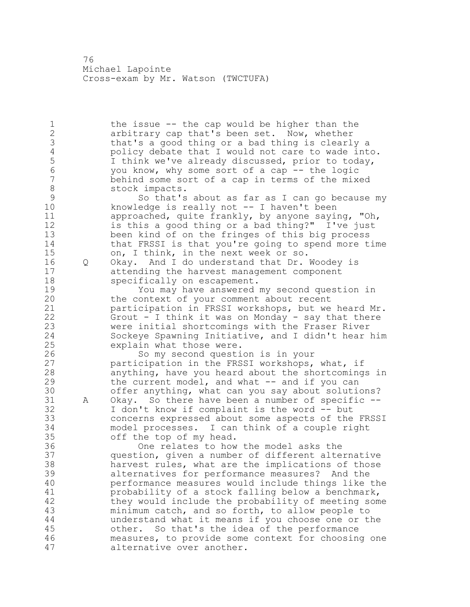1 the issue -- the cap would be higher than the

 arbitrary cap that's been set. Now, whether 3 that's a good thing or a bad thing is clearly a<br>4 bolicy debate that I would not care to wade inte 4 policy debate that I would not care to wade into.<br>5 1 think we've already discussed, prior to today, I think we've already discussed, prior to today, you know, why some sort of a cap -- the logic behind some sort of a cap in terms of the mixed 8 stock impacts.<br>9 So that's 9 So that's about as far as I can go because my<br>10 knowledge is really not -- I haven't been knowledge is really not  $-$  I haven't been approached, quite frankly, by anyone saying, "Oh, is this a good thing or a bad thing?" I've just been kind of on the fringes of this big process that FRSSI is that you're going to spend more time on, I think, in the next week or so. Q Okay. And I do understand that Dr. Woodey is attending the harvest management component 18 specifically on escapement. 19 You may have answered my second question in<br>20 the context of your comment about recent the context of your comment about recent participation in FRSSI workshops, but we heard Mr. Grout - I think it was on Monday - say that there were initial shortcomings with the Fraser River Sockeye Spawning Initiative, and I didn't hear him explain what those were. 26 So my second question is in your<br>27 marticipation in the FRSSI workshops, participation in the FRSSI workshops, what, if anything, have you heard about the shortcomings in the current model, and what -- and if you can 30 offer anything, what can you say about solutions?<br>31 A Okav. So there have been a number of specific --A Okay. So there have been a number of specific -- I don't know if complaint is the word -- but concerns expressed about some aspects of the FRSSI model processes. I can think of a couple right off the top of my head. 36 One relates to how the model asks the question, given a number of different alternative harvest rules, what are the implications of those alternatives for performance measures? And the performance measures would include things like the 41 probability of a stock falling below a benchmark,<br>42 they would include the probability of meeting som they would include the probability of meeting some minimum catch, and so forth, to allow people to understand what it means if you choose one or the other. So that's the idea of the performance measures, to provide some context for choosing one alternative over another.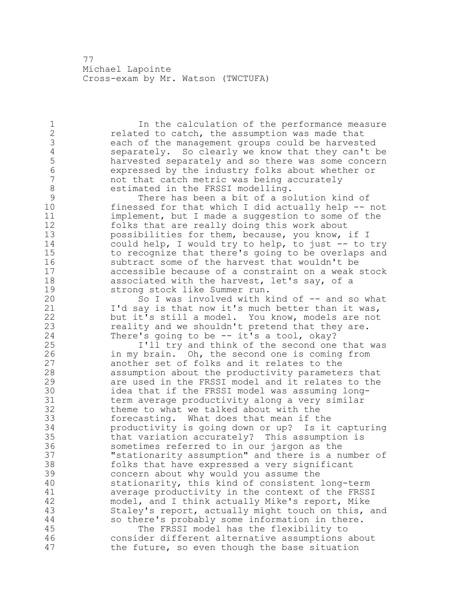1 In the calculation of the performance measure 2 **related to catch, the assumption was made that** 3 each of the management groups could be harvested 4 separately. So clearly we know that they can't be 5 harvested separately and so there was some concern 6 expressed by the industry folks about whether or not that catch metric was being accurately 8 estimated in the FRSSI modelling.<br>9 There has been a bit of a so 9 There has been a bit of a solution kind of<br>10 finessed for that which I did actually help -finessed for that which I did actually help  $-$  not 11 implement, but I made a suggestion to some of the 12 folks that are really doing this work about<br>13 bossibilities for them, because, you know, possibilities for them, because, you know, if I 14 could help, I would try to help, to just -- to try 15 to recognize that there's going to be overlaps and<br>16 subtract some of the harvest that wouldn't be 16 subtract some of the harvest that wouldn't be<br>17 accessible because of a constraint on a weak accessible because of a constraint on a weak stock 18 associated with the harvest, let's say, of a 19 strong stock like Summer run.<br>20 So I was involved with k So I was involved with kind of -- and so what 21 I'd say is that now it's much better than it was, 22 but it's still a model. You know, models are not 23 reality and we shouldn't pretend that they are. 24 There's going to be -- it's a tool, okay? 25 I'll try and think of the second one that was 26 in my brain. Oh, the second one is coming from<br>27 another set of folks and it relates to the another set of folks and it relates to the 28 assumption about the productivity parameters that 29 are used in the FRSSI model and it relates to the 30 idea that if the FRSSI model was assuming long-<br>31 term average productivity along a very similar 31 term average productivity along a very similar<br>32 theme to what we talked about with the theme to what we talked about with the 33 forecasting. What does that mean if the 34 productivity is going down or up? Is it capturing 35 that variation accurately? This assumption is 36 sometimes referred to in our jargon as the 37 "stationarity assumption" and there is a number of 38 folks that have expressed a very significant 39 concern about why would you assume the 40 stationarity, this kind of consistent long-term 41 average productivity in the context of the FRSSI<br>42 model, and I think actually Mike's report, Mike model, and I think actually Mike's report, Mike 43 Staley's report, actually might touch on this, and 44 so there's probably some information in there. 45 The FRSSI model has the flexibility to 46 consider different alternative assumptions about 47 the future, so even though the base situation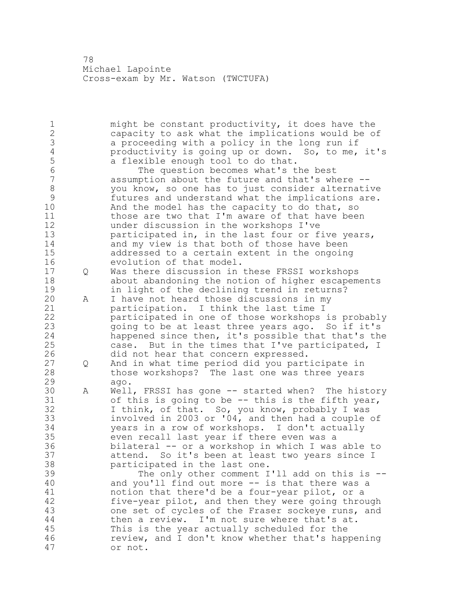might be constant productivity, it does have the capacity to ask what the implications would be of 3 a proceeding with a policy in the long run if<br>4 productivity is going up or down. So, to me, 4 productivity is going up or down. So, to me, it's<br>5 a flexible enough tool to do that. 5 a flexible enough tool to do that.<br>6 The question becomes what's t 6 The question becomes what's the best assumption about the future and that's where --8 you know, so one has to just consider alternative<br>9 futures and understand what the implications are. 9 futures and understand what the implications are.<br>10 and the model has the capacity to do that, so And the model has the capacity to do that, so those are two that I'm aware of that have been under discussion in the workshops I've participated in, in the last four or five years, and my view is that both of those have been addressed to a certain extent in the ongoing evolution of that model. Q Was there discussion in these FRSSI workshops about abandoning the notion of higher escapements 19 in light of the declining trend in returns?<br>20 A I have not heard those discussions in my A I have not heard those discussions in my participation. I think the last time I participated in one of those workshops is probably going to be at least three years ago. So if it's happened since then, it's possible that that's the case. But in the times that I've participated, I 26 did not hear that concern expressed.<br>27 Q And in what time period did you part Q And in what time period did you participate in those workshops? The last one was three years ago. 30 A Well, FRSSI has gone -- started when? The history<br>31 of this is going to be -- this is the fifth year. 31 of this is going to be -- this is the fifth year,<br>32 I think, of that. So, you know, probably I was I think, of that. So, you know, probably I was involved in 2003 or '04, and then had a couple of years in a row of workshops. I don't actually even recall last year if there even was a bilateral -- or a workshop in which I was able to attend. So it's been at least two years since I participated in the last one. 39 The only other comment I'll add on this is -- and you'll find out more -- is that there was a 41 notion that there'd be a four-year pilot, or a<br>42 five-year pilot, and then they were going throw five-year pilot, and then they were going through one set of cycles of the Fraser sockeye runs, and then a review. I'm not sure where that's at. This is the year actually scheduled for the review, and I don't know whether that's happening or not.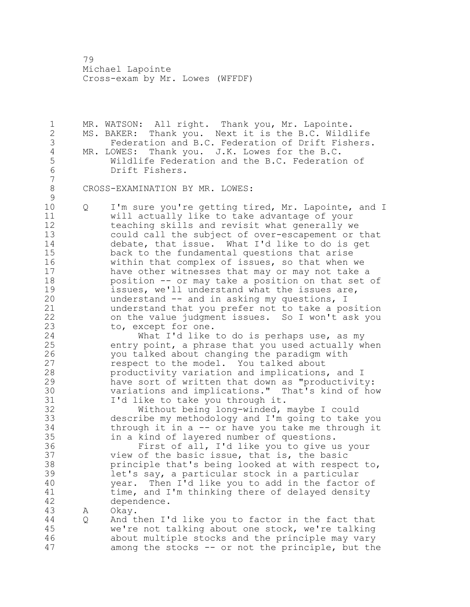MR. WATSON: All right. Thank you, Mr. Lapointe. MS. BAKER: Thank you. Next it is the B.C. Wildlife 3 Federation and B.C. Federation of Drift Fishers.<br>4 MR. LOWES: Thank you. J.K. Lowes for the B.C. 4 MR. LOWES: Thank you. J.K. Lowes for the B.C.<br>5 Wildlife Federation and the B.C. Federatio Wildlife Federation and the B.C. Federation of Drift Fishers. CROSS-EXAMINATION BY MR. LOWES:  $\begin{array}{c} 9 \\ 10 \end{array}$  Q I'm sure you're getting tired, Mr. Lapointe, and I will actually like to take advantage of your teaching skills and revisit what generally we could call the subject of over-escapement or that debate, that issue. What I'd like to do is get back to the fundamental questions that arise within that complex of issues, so that when we have other witnesses that may or may not take a position -- or may take a position on that set of 19 issues, we'll understand what the issues are,<br>20 understand -- and in asking my questions, I understand  $--$  and in asking my questions, I understand that you prefer not to take a position on the value judgment issues. So I won't ask you to, except for one. 24 What I'd like to do is perhaps use, as my entry point, a phrase that you used actually when 26 you talked about changing the paradigm with<br>27 sespect to the model. You talked about respect to the model. You talked about productivity variation and implications, and I have sort of written that down as "productivity: 30 variations and implications." That's kind of how<br>31 I'd like to take you through it. 31 I'd like to take you through it.<br>32 Without being long-winded. Without being long-winded, maybe I could describe my methodology and I'm going to take you through it in a -- or have you take me through it in a kind of layered number of questions. 36 First of all, I'd like you to give us your view of the basic issue, that is, the basic principle that's being looked at with respect to, let's say, a particular stock in a particular year. Then I'd like you to add in the factor of 41 time, and I'm thinking there of delayed density<br>42 dependence. dependence. A Okay. Q And then I'd like you to factor in the fact that we're not talking about one stock, we're talking about multiple stocks and the principle may vary among the stocks -- or not the principle, but the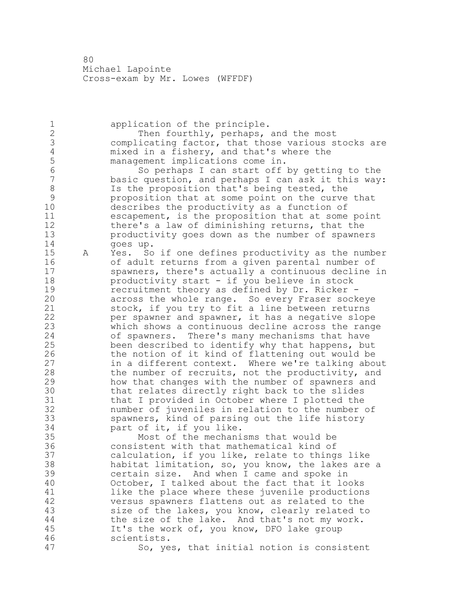1 application of the principle. 2 Then fourthly, perhaps, and the most 3 complicating factor, that those various stocks are<br>4 mixed in a fishery, and that's where the 4 mixed in a fishery, and that's where the<br>5 management implications come in. 5 management implications come in. 6 So perhaps I can start off by getting to the basic question, and perhaps I can ask it this way: 8 Is the proposition that's being tested, the<br>9 proposition that at some point on the curve 9 9 proposition that at some point on the curve that<br>10 describes the productivity as a function of describes the productivity as a function of 11 escapement, is the proposition that at some point 12 there's a law of diminishing returns, that the 13 productivity goes down as the number of spawners 14 goes up. 15 A Yes. So if one defines productivity as the number 16 of adult returns from a given parental number of 17 spawners, there's actually a continuous decline in 18 productivity start - if you believe in stock 19 19 recruitment theory as defined by Dr. Ricker -<br>20 11 across the whole range. So every Fraser sock across the whole range. So every Fraser sockeye 21 stock, if you try to fit a line between returns 22 per spawner and spawner, it has a negative slope 23 which shows a continuous decline across the range 24 of spawners. There's many mechanisms that have 25 been described to identify why that happens, but 26 the notion of it kind of flattening out would be<br>27 in a different context. Where we're talking abo in a different context. Where we're talking about 28 the number of recruits, not the productivity, and 29 how that changes with the number of spawners and 30 that relates directly right back to the slides<br>31 that I provided in October where I plotted the that I provided in October where I plotted the 32 number of juveniles in relation to the number of 33 spawners, kind of parsing out the life history 34 part of it, if you like. 35 Most of the mechanisms that would be 36 consistent with that mathematical kind of 37 calculation, if you like, relate to things like 38 habitat limitation, so, you know, the lakes are a 39 certain size. And when I came and spoke in 40 October, I talked about the fact that it looks 41 like the place where these juvenile productions<br>42 versus spawners flattens out as related to the versus spawners flattens out as related to the 43 size of the lakes, you know, clearly related to 44 the size of the lake. And that's not my work. 45 It's the work of, you know, DFO lake group 46 scientists. 47 So, yes, that initial notion is consistent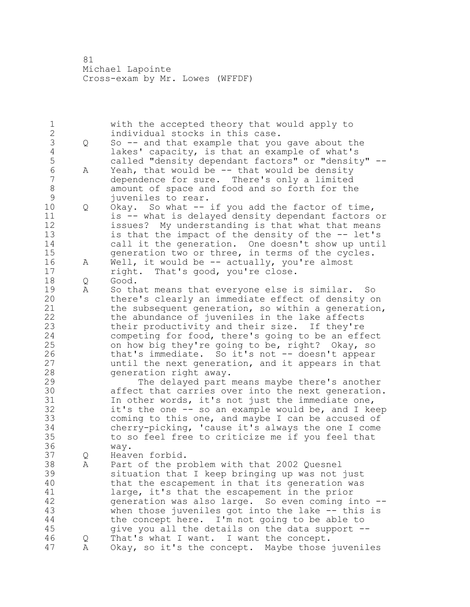1 with the accepted theory that would apply to 2 individual stocks in this case. 3 Q So -- and that example that you gave about the<br>4 lakes' capacity, is that an example of what's 4 lakes' capacity, is that an example of what's<br>5 called "density dependant factors" or "densit 5 called "density dependant factors" or "density" --<br>6 A Yeah, that would be -- that would be density 6 A Yeah, that would be -- that would be density dependence for sure. There's only a limited 8 amount of space and food and so forth for the<br>9 juveniles to rear. 9 juveniles to rear.<br>10 0 Okay. So what --Q Okay. So what -- if you add the factor of time, 11 is -- what is delayed density dependant factors or 12 issues? My understanding is that what that means 13 is that the impact of the density of the -- let's 14 call it the generation. One doesn't show up until 15 generation two or three, in terms of the cycles. 16 A Well, it would be -- actually, you're almost 17 right. That's good, you're close. 18 Q Good. 19 A So that means that everyone else is similar. So<br>20 there's clearly an immediate effect of density of there's clearly an immediate effect of density on 21 the subsequent generation, so within a generation, 22 the abundance of juveniles in the lake affects 23 their productivity and their size. If they're 24 competing for food, there's going to be an effect 25 on how big they're going to be, right? Okay, so 26 that's immediate. So it's not -- doesn't appear<br>27 until the next generation, and it appears in tha until the next generation, and it appears in that 28 generation right away. 29 The delayed part means maybe there's another 30 affect that carries over into the next generation.<br>31 In other words, it's not just the immediate one, In other words, it's not just the immediate one, 32 it's the one -- so an example would be, and I keep 33 coming to this one, and maybe I can be accused of 34 cherry-picking, 'cause it's always the one I come 35 to so feel free to criticize me if you feel that 36 way. 37 Q Heaven forbid. 38 A Part of the problem with that 2002 Quesnel 39 situation that I keep bringing up was not just 40 that the escapement in that its generation was 41 large, it's that the escapement in the prior<br>42 generation was also large. So even coming i generation was also large. So even coming into --43 when those juveniles got into the lake -- this is 44 the concept here. I'm not going to be able to 45 give you all the details on the data support -- 46 Q That's what I want. I want the concept. 47 A Okay, so it's the concept. Maybe those juveniles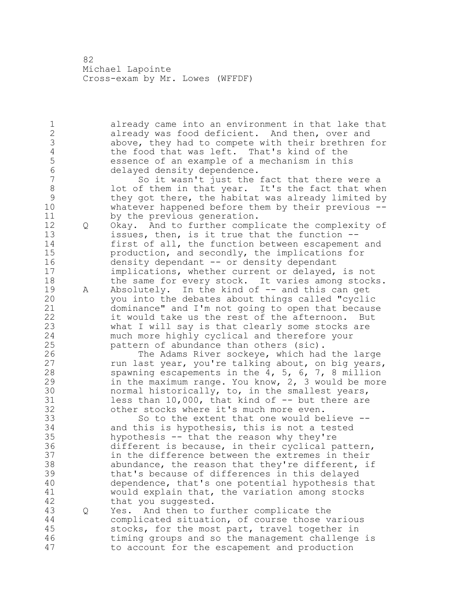1 already came into an environment in that lake that 2 already was food deficient. And then, over and 3 above, they had to compete with their brethren for<br>4 the food that was left. That's kind of the 4 the food that was left. That's kind of the<br>5 sessence of an example of a mechanism in thim 5 essence of an example of a mechanism in this<br>6 delaved density dependence. 6 delayed density dependence. So it wasn't just the fact that there were a 8 lot of them in that year. It's the fact that when<br>9 they got there, the habitat was already limited by 9 they got there, the habitat was already limited by<br>10 whatever happened before them by their previous -whatever happened before them by their previous  $-$ -11 by the previous generation. 12 Q Okay. And to further complicate the complexity of 13 issues, then, is it true that the function -- 14 first of all, the function between escapement and 15 production, and secondly, the implications for 16 density dependant -- or density dependant 17 implications, whether current or delayed, is not 18 the same for every stock. It varies among stocks. 19 A Absolutely. In the kind of -- and this can get<br>20 you into the debates about things called "cyclig you into the debates about things called "cyclic 21 dominance" and I'm not going to open that because 22 it would take us the rest of the afternoon. But 23 what I will say is that clearly some stocks are 24 much more highly cyclical and therefore your 25 pattern of abundance than others (sic). 26 The Adams River sockeye, which had the large<br>27 Tun last year, you're talking about, on big years run last year, you're talking about, on big years, 28 spawning escapements in the  $\overline{4}$ , 5, 6, 7, 8 million 29 in the maximum range. You know, 2, 3 would be more 30 normal historically, to, in the smallest years,<br>31 less than 10,000, that kind of -- but there are 31 less than 10,000, that kind of -- but there are<br>32 other stocks where it's much more even. other stocks where it's much more even. 33 So to the extent that one would believe -- 34 and this is hypothesis, this is not a tested 35 hypothesis -- that the reason why they're 36 different is because, in their cyclical pattern, 37 in the difference between the extremes in their 38 abundance, the reason that they're different, if 39 that's because of differences in this delayed 40 dependence, that's one potential hypothesis that 41 would explain that, the variation among stocks<br>42 that you suqqested. that you suggested. 43 Q Yes. And then to further complicate the 44 complicated situation, of course those various 45 stocks, for the most part, travel together in 46 timing groups and so the management challenge is 47 to account for the escapement and production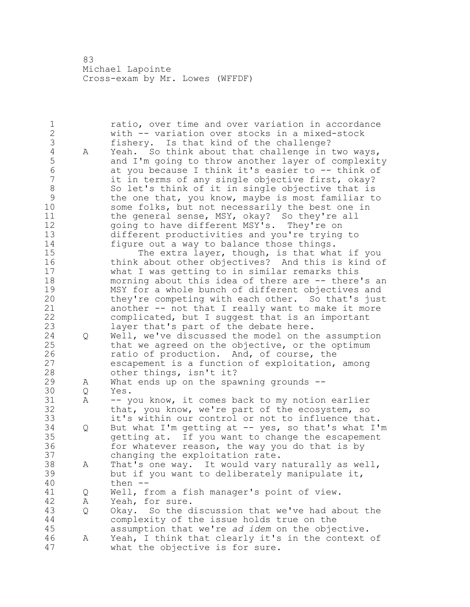1 ratio, over time and over variation in accordance<br>2 with -- variation over stocks in a mixed-stock with -- variation over stocks in a mixed-stock 3 fishery. Is that kind of the challenge?<br>4 A Yeah. So think about that challenge in 4 A Yeah. So think about that challenge in two ways,<br>5 and I'm going to throw another layer of complexit 5 and I'm going to throw another layer of complexity 6 at you because I think it's easier to -- think of it in terms of any single objective first, okay? 8 So let's think of it in single objective that is<br>9 the one that, you know, maybe is most familiar t 9 the one that, you know, maybe is most familiar to<br>10 some folks, but not necessarily the best one in some folks, but not necessarily the best one in 11 the general sense, MSY, okay? So they're all 12 going to have different MSY's. They're on 13 different productivities and you're trying to 14 figure out a way to balance those things. 15 The extra layer, though, is that what if you 16 think about other objectives? And this is kind of 17 what I was getting to in similar remarks this 18 morning about this idea of there are -- there's an 19 MSY for a whole bunch of different objectives and<br>20 they're competing with each other. So that's just they're competing with each other. So that's just 21 another -- not that I really want to make it more 22 complicated, but I suggest that is an important 23 layer that's part of the debate here. 24 Q Well, we've discussed the model on the assumption 25 that we agreed on the objective, or the optimum 26 ratio of production. And, of course, the<br>27 escapement is a function of exploitation, escapement is a function of exploitation, among 28 other things, isn't it? 29 A What ends up on the spawning grounds -- 30 Q Yes.<br>31 A -- y 31 A -- you know, it comes back to my notion earlier<br>32 that, you know, we're part of the ecosystem, so that, you know, we're part of the ecosystem, so 33 it's within our control or not to influence that. 34 Q But what I'm getting at -- yes, so that's what I'm 35 getting at. If you want to change the escapement 36 for whatever reason, the way you do that is by 37 changing the exploitation rate. 38 A That's one way. It would vary naturally as well, 39 but if you want to deliberately manipulate it, 40 then -- 41 Q Well, from a fish manager's point of view.<br>42 A Yeah, for sure. A Yeah, for sure. 43 Q Okay. So the discussion that we've had about the 44 complexity of the issue holds true on the 45 assumption that we're *ad idem* on the objective. 46 A Yeah, I think that clearly it's in the context of 47 what the objective is for sure.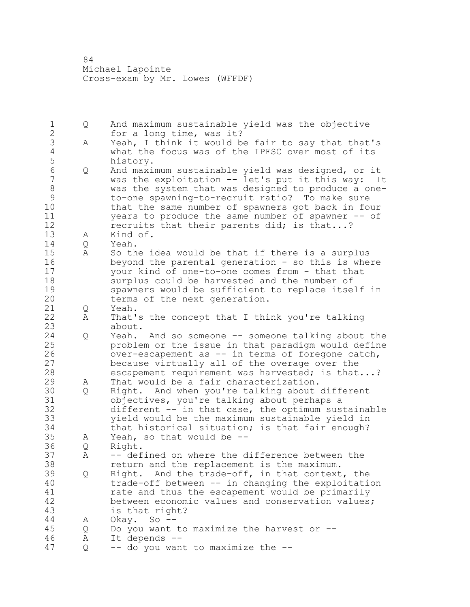Q And maximum sustainable yield was the objective for a long time, was it? A Yeah, I think it would be fair to say that that's 4 what the focus was of the IPFSC over most of its<br>5 history. history. Q And maximum sustainable yield was designed, or it was the exploitation -- let's put it this way: It 8 was the system that was designed to produce a one-<br>9 to-one spawning-to-recruit ratio? To make sure 9 to-one spawning-to-recruit ratio? To make sure<br>10 that the same number of spawners got back in for that the same number of spawners got back in four years to produce the same number of spawner -- of **recruits that their parents did; is that...**? A Kind of. Q Yeah. A So the idea would be that if there is a surplus beyond the parental generation - so this is where your kind of one-to-one comes from - that that surplus could be harvested and the number of 19 spawners would be sufficient to replace itself in<br>20 terms of the next generation. terms of the next generation. Q Yeah. A That's the concept that I think you're talking about. Q Yeah. And so someone -- someone talking about the problem or the issue in that paradigm would define 26 over-escapement as -- in terms of foregone catch,<br>27 because virtually all of the overage over the because virtually all of the overage over the escapement requirement was harvested; is that...? A That would be a fair characterization. 30 Q Right. And when you're talking about different<br>31 objectives, you're talking about perhaps a 31 objectives, you're talking about perhaps a<br>32 different -- in that case, the optimum sus different  $-$  in that case, the optimum sustainable yield would be the maximum sustainable yield in that historical situation; is that fair enough? A Yeah, so that would be -- Q Right. A -- defined on where the difference between the return and the replacement is the maximum. Q Right. And the trade-off, in that context, the trade-off between -- in changing the exploitation 41 rate and thus the escapement would be primarily<br>42 between economic values and conservation values between economic values and conservation values; is that right? A Okay. So -- Q Do you want to maximize the harvest or -- A It depends -- Q -- do you want to maximize the --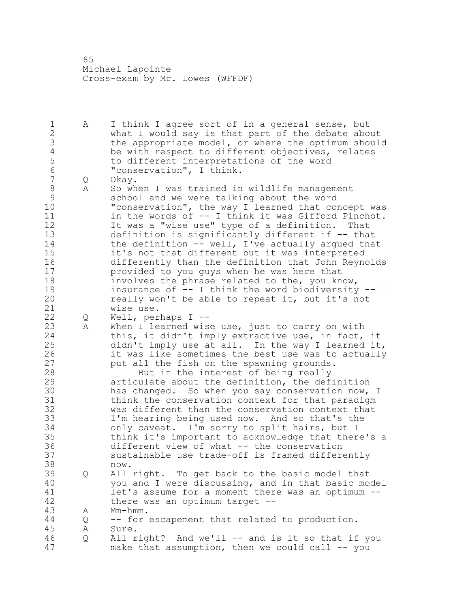1 A I think I agree sort of in a general sense, but 2 what I would say is that part of the debate about 3 the appropriate model, or where the optimum should<br>4 be with respect to different objectives, relates 4 be with respect to different objectives, relates<br>5 to different interpretations of the word 5 to different interpretations of the word<br>6 The servation", I think. 6 "conservation", I think.<br>7 0 Okay. Q Okay. 8 A So when I was trained in wildlife management<br>9 school and we were talking about the word 9 school and we were talking about the word<br>10 Tonservation", the way I learned that com "conservation", the way I learned that concept was 11 in the words of -- I think it was Gifford Pinchot. 12 It was a "wise use" type of a definition. That 13 definition is significantly different if -- that 14 the definition -- well, I've actually argued that 15 it's not that different but it was interpreted 16 differently than the definition that John Reynolds 17 provided to you guys when he was here that 18 involves the phrase related to the, you know, 19 insurance of -- I think the word biodiversity -- I<br>20 ceally won't be able to repeat it, but it's not really won't be able to repeat it, but it's not 21 wise use. 22 Q Well, perhaps I -- 23 A When I learned wise use, just to carry on with 24 this, it didn't imply extractive use, in fact, it 25 didn't imply use at all. In the way I learned it, 26 it was like sometimes the best use was to actually<br>27 but all the fish on the spawning grounds. put all the fish on the spawning grounds. 28 But in the interest of being really 29 articulate about the definition, the definition 30 has changed. So when you say conservation now, I<br>31 think the conservation context for that paradigm 31 think the conservation context for that paradigm<br>32 was different than the conservation context that was different than the conservation context that 33 I'm hearing being used now. And so that's the 34 only caveat. I'm sorry to split hairs, but I 35 think it's important to acknowledge that there's a 36 different view of what -- the conservation 37 sustainable use trade-off is framed differently 38 now. 39 Q All right. To get back to the basic model that 40 you and I were discussing, and in that basic model 41 let's assume for a moment there was an optimum --<br>42 there was an optimum target -there was an optimum target  $-$ -43 A Mm-hmm. 44 Q -- for escapement that related to production. 45 A Sure. 46 Q All right? And we'll -- and is it so that if you 47 make that assumption, then we could call -- you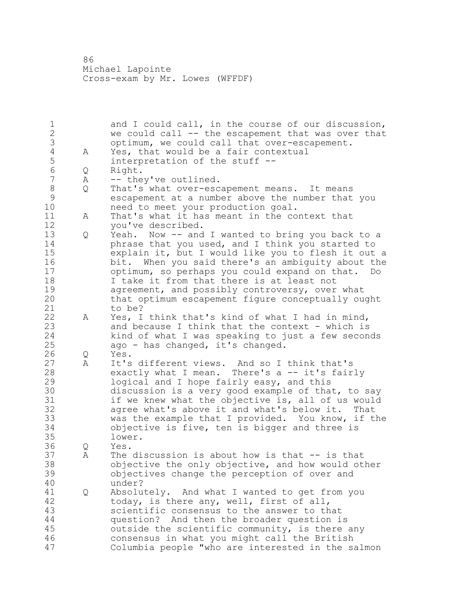1 and I could call, in the course of our discussion, 2 we could call -- the escapement that was over that 3 optimum, we could call that over-escapement.<br>4 A Yes, that would be a fair contextual 4 A Yes, that would be a fair contextual<br>5 interpretation of the stuff --5 interpretation of the stuff --<br>6 0 Right. 6 Q Right. A -- they've outlined. 8 Q That's what over-escapement means. It means<br>9 escapement at a number above the number that 9 escapement at a number above the number that you<br>10 meed to meet your production goal. need to meet your production goal. 11 A That's what it has meant in the context that 12 you've described. 13 Q Yeah. Now -- and I wanted to bring you back to a 14 phrase that you used, and I think you started to 15 explain it, but I would like you to flesh it out a 16 bit. When you said there's an ambiguity about the 17 optimum, so perhaps you could expand on that. Do 18 I take it from that there is at least not 19 agreement, and possibly controversy, over what<br>20 that optimum escapement figure conceptually ou that optimum escapement figure conceptually ought 21 to be? 22 A Yes, I think that's kind of what I had in mind, 23 and because I think that the context - which is 24 kind of what I was speaking to just a few seconds 25 ago - has changed, it's changed. 26 Q Yes.<br>27 A It's A It's different views. And so I think that's 28 exactly what I mean. There's a -- it's fairly 29 logical and I hope fairly easy, and this 30 discussion is a very good example of that, to say<br>31 if we knew what the objective is, all of us would 31 if we knew what the objective is, all of us would<br>32 agree what's above it and what's below it. That agree what's above it and what's below it. That 33 was the example that I provided. You know, if the 34 objective is five, ten is bigger and three is 35 lower. 36 Q Yes. 37 A The discussion is about how is that -- is that 38 objective the only objective, and how would other 39 objectives change the perception of over and 40 under? 41 Q Absolutely. And what I wanted to get from you<br>42 todav, is there any, well, first of all, today, is there any, well, first of all, 43 scientific consensus to the answer to that 44 question? And then the broader question is 45 outside the scientific community, is there any 46 consensus in what you might call the British 47 Columbia people "who are interested in the salmon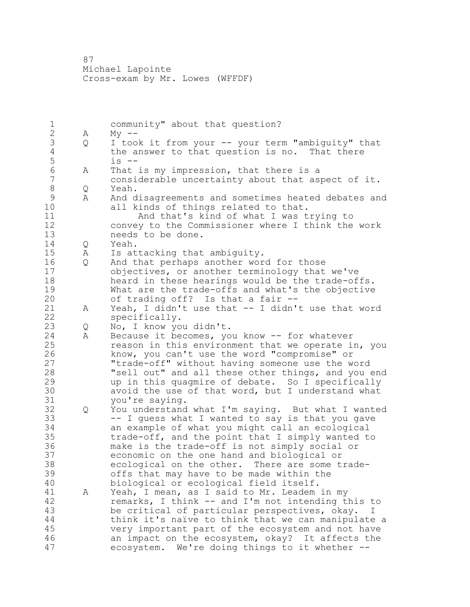1 community" about that question?<br>2 A Mv -- $A$  My  $-$ 3 Q I took it from your -- your term "ambiguity" that 4 the answer to that question is no. That there<br>5 is --5 is --<br>6 A That 6 A That is my impression, that there is a<br>7 considerable uncertainty about that as considerable uncertainty about that aspect of it. 8 Q Yeah.<br>9 A Andd 9 A And disagreements and sometimes heated debates and<br>10 all kinds of things related to that. all kinds of things related to that. 11 And that's kind of what I was trying to 12 convey to the Commissioner where I think the work 13 needs to be done. 14 Q Yeah. 15 A Is attacking that ambiguity. 16 Q And that perhaps another word for those 17 objectives, or another terminology that we've 18 heard in these hearings would be the trade-offs. 19 What are the trade-offs and what's the objective<br>20 of trading off? Is that a fair -of trading off? Is that a fair --21 A Yeah, I didn't use that -- I didn't use that word 22 specifically. 23 Q No, I know you didn't. 24 A Because it becomes, you know -- for whatever 25 reason in this environment that we operate in, you 26 know, you can't use the word "compromise" or<br>27 The alterative without having someone use the w "trade-off" without having someone use the word 28 "sell out" and all these other things, and you end 29 up in this quagmire of debate. So I specifically 30 avoid the use of that word, but I understand what<br>31 vou're saving. you're saying. 32 Q You understand what I'm saying. But what I wanted 33 -- I guess what I wanted to say is that you gave 34 an example of what you might call an ecological 35 trade-off, and the point that I simply wanted to 36 make is the trade-off is not simply social or 37 economic on the one hand and biological or 38 ecological on the other. There are some trade-39 offs that may have to be made within the 40 biological or ecological field itself. 41 A Yeah, I mean, as I said to Mr. Leadem in my<br>42 Temarks, I think -- and I'm not intending the remarks, I think -- and I'm not intending this to 43 be critical of particular perspectives, okay. I 44 think it's naïve to think that we can manipulate a 45 very important part of the ecosystem and not have 46 an impact on the ecosystem, okay? It affects the 47 ecosystem. We're doing things to it whether --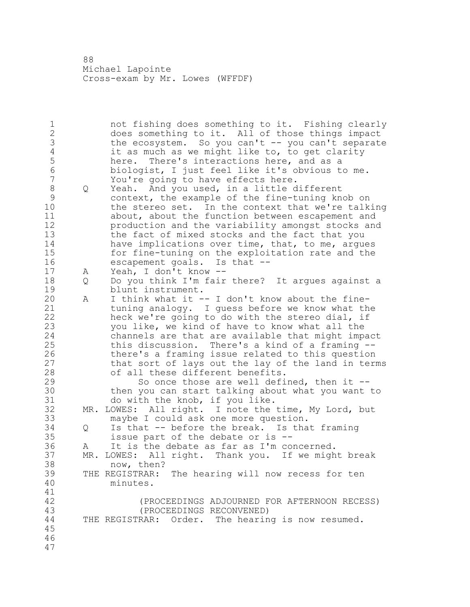1 not fishing does something to it. Fishing clearly 2 does something to it. All of those things impact 3 the ecosystem. So you can't -- you can't separate<br>4 it as much as we might like to, to get clarity 4 it as much as we might like to, to get clarity<br>5 here. There's interactions here, and as a 5 here. There's interactions here, and as a<br>6 biologist, I just feel like it's obvious to 6 biologist, I just feel like it's obvious to me. 7 You're going to have effects here. 8 Q Yeah. And you used, in a little different<br>9 context, the example of the fine-tuning kn 9 context, the example of the fine-tuning knob on<br>10 the stereo set. In the context that we're talk the stereo set. In the context that we're talking 11 about, about the function between escapement and 12 production and the variability amongst stocks and 13 the fact of mixed stocks and the fact that you 14 have implications over time, that, to me, argues<br>15 for fine-tuning on the exploitation rate and the for fine-tuning on the exploitation rate and the 16 escapement goals. Is that -- 17 A Yeah, I don't know -- 18 Q Do you think I'm fair there? It argues against a 19 blunt instrument.<br>20 A I think what it -A I think what it -- I don't know about the fine-21 tuning analogy. I guess before we know what the 22 heck we're going to do with the stereo dial, if 23 you like, we kind of have to know what all the 24 channels are that are available that might impact 25 this discussion. There's a kind of a framing -- 26 there's a framing issue related to this question<br>27 that sort of lays out the lay of the land in term 27 that sort of lays out the lay of the land in terms<br>28 of all these different benefits. of all these different benefits. 29 So once those are well defined, then it -- 30 then you can start talking about what you want to<br>31 do with the knob, if you like. 31 do with the knob, if you like.<br>32 MR. LOWES: All right. I note the MR. LOWES: All right. I note the time, My Lord, but 33 maybe I could ask one more question. 34 Q Is that -- before the break. Is that framing 35 issue part of the debate or is -- 36 A It is the debate as far as I'm concerned. 37 MR. LOWES: All right. Thank you. If we might break 38 now, then? 39 THE REGISTRAR: The hearing will now recess for ten 40 minutes. 41<br>42 42 (PROCEEDINGS ADJOURNED FOR AFTERNOON RECESS)<br>43 (PROCEEDINGS RECONVENED) 43 (PROCEEDINGS RECONVENED) 44 THE REGISTRAR: Order. The hearing is now resumed. 45 46 47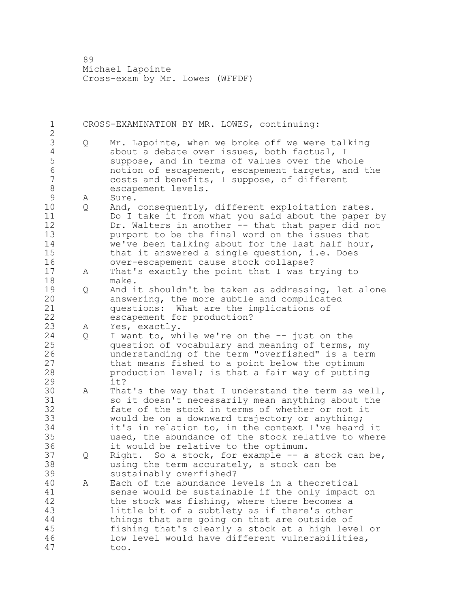| 1<br>$\mathbf{2}$                                                | CROSS-EXAMINATION BY MR. LOWES, continuing: |                                                                                                                                                                                                                                                                                                                                                                   |
|------------------------------------------------------------------|---------------------------------------------|-------------------------------------------------------------------------------------------------------------------------------------------------------------------------------------------------------------------------------------------------------------------------------------------------------------------------------------------------------------------|
| $\mathcal{S}$<br>$\sqrt{4}$<br>5<br>$\sqrt{6}$<br>$\overline{7}$ | Q                                           | Mr. Lapointe, when we broke off we were talking<br>about a debate over issues, both factual, I<br>suppose, and in terms of values over the whole<br>notion of escapement, escapement targets, and the<br>costs and benefits, I suppose, of different                                                                                                              |
| $\,8\,$<br>$\mathcal{G}$                                         |                                             | escapement levels.                                                                                                                                                                                                                                                                                                                                                |
|                                                                  | A                                           | Sure.                                                                                                                                                                                                                                                                                                                                                             |
| 10<br>11<br>12<br>13<br>14<br>15<br>16                           | Q                                           | And, consequently, different exploitation rates.<br>Do I take it from what you said about the paper by<br>Dr. Walters in another -- that that paper did not<br>purport to be the final word on the issues that<br>we've been talking about for the last half hour,<br>that it answered a single question, i.e. Does<br>over-escapement cause stock collapse?      |
| 17<br>18                                                         | А                                           | That's exactly the point that I was trying to<br>make.                                                                                                                                                                                                                                                                                                            |
| 19<br>20<br>21<br>22                                             | Q                                           | And it shouldn't be taken as addressing, let alone<br>answering, the more subtle and complicated<br>questions: What are the implications of<br>escapement for production?                                                                                                                                                                                         |
| 23                                                               | Α                                           | Yes, exactly.                                                                                                                                                                                                                                                                                                                                                     |
| 24<br>25<br>26<br>27<br>28<br>29                                 | Q                                           | I want to, while we're on the -- just on the<br>question of vocabulary and meaning of terms, my<br>understanding of the term "overfished" is a term<br>that means fished to a point below the optimum<br>production level; is that a fair way of putting<br>it?                                                                                                   |
| 30<br>31<br>32<br>33<br>34<br>35<br>36                           | A                                           | That's the way that I understand the term as well,<br>so it doesn't necessarily mean anything about the<br>fate of the stock in terms of whether or not it<br>would be on a downward trajectory or anything;<br>it's in relation to, in the context I've heard it<br>used, the abundance of the stock relative to where<br>it would be relative to the optimum.   |
| 37<br>38<br>39                                                   | Q                                           | Right. So a stock, for example -- a stock can be,<br>using the term accurately, a stock can be<br>sustainably overfished?                                                                                                                                                                                                                                         |
| 40<br>41<br>42<br>43<br>44<br>45<br>46<br>47                     | A                                           | Each of the abundance levels in a theoretical<br>sense would be sustainable if the only impact on<br>the stock was fishing, where there becomes a<br>little bit of a subtlety as if there's other<br>things that are going on that are outside of<br>fishing that's clearly a stock at a high level or<br>low level would have different vulnerabilities,<br>too. |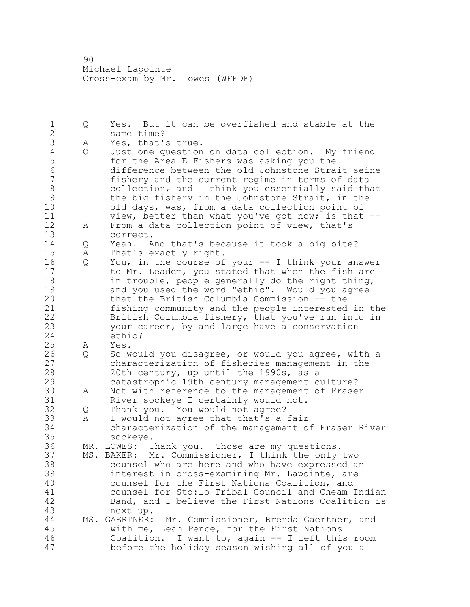Q Yes. But it can be overfished and stable at the same time? 3 A Yes, that's true.<br>4 Q Just one question 4 Q Just one question on data collection. My friend<br>5 for the Area E Fishers was asking you the 5 for the Area E Fishers was asking you the<br>6 difference between the old Johnstone Stra difference between the old Johnstone Strait seine fishery and the current regime in terms of data 8 collection, and I think you essentially said that<br>9 the big fishery in the Johnstone Strait, in the 9 the big fishery in the Johnstone Strait, in the<br>10 old davs, was, from a data collection point of old days, was, from a data collection point of view, better than what you've got now; is that -- A From a data collection point of view, that's correct. Q Yeah. And that's because it took a big bite? A That's exactly right. Q You, in the course of your -- I think your answer to Mr. Leadem, you stated that when the fish are 18 in trouble, people generally do the right thing, 19 and you used the word "ethic". Would you agree<br>20 that the British Columbia Commission -- the that the British Columbia Commission -- the fishing community and the people interested in the British Columbia fishery, that you've run into in your career, by and large have a conservation ethic? A Yes. 26 Q So would you disagree, or would you agree, with a<br>27 characterization of fisheries management in the characterization of fisheries management in the 20th century, up until the 1990s, as a catastrophic 19th century management culture? 30 A Not with reference to the management of Fraser<br>31 River sockeye I certainly would not. River sockeye I certainly would not. Q Thank you. You would not agree? A I would not agree that that's a fair characterization of the management of Fraser River sockeye. MR. LOWES: Thank you. Those are my questions. MS. BAKER: Mr. Commissioner, I think the only two counsel who are here and who have expressed an interest in cross-examining Mr. Lapointe, are counsel for the First Nations Coalition, and 41 counsel for Sto:lo Tribal Council and Cheam Indian<br>42 Band, and I believe the First Nations Coalition is Band, and I believe the First Nations Coalition is next up. MS. GAERTNER: Mr. Commissioner, Brenda Gaertner, and with me, Leah Pence, for the First Nations Coalition. I want to, again -- I left this room before the holiday season wishing all of you a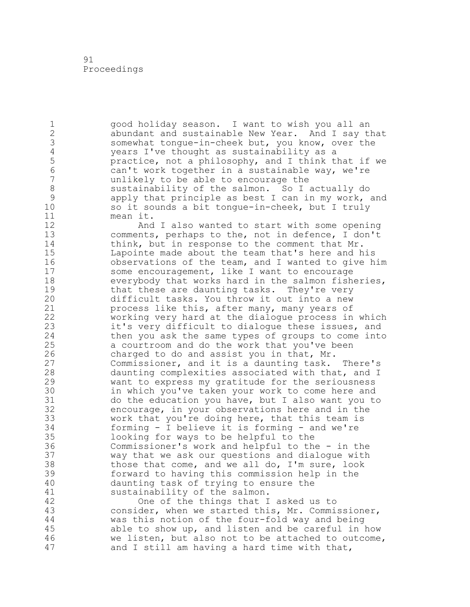1 good holiday season. I want to wish you all an 2 abundant and sustainable New Year. And I say that 3 somewhat tongue-in-cheek but, you know, over the<br>4 vears I've thought as sustainability as a 4 years I've thought as sustainability as a<br>5 practice, not a philosophy, and I think t 5 practice, not a philosophy, and I think that if we<br>6 can't work together in a sustainable way, we're 6 can't work together in a sustainable way, we're unlikely to be able to encourage the 8 sustainability of the salmon. So I actually do<br>9 apply that principle as best I can in my work, 9 apply that principle as best I can in my work, and<br>10 so it sounds a bit tonque-in-cheek, but I truly so it sounds a bit tonque-in-cheek, but I truly 11 mean it.

12 12 And I also wanted to start with some opening<br>13 comments, perhaps to the, not in defence, I don't comments, perhaps to the, not in defence, I don't 14 think, but in response to the comment that Mr. 15 Lapointe made about the team that's here and his<br>16 observations of the team, and I wanted to give h 16 bobservations of the team, and I wanted to give him<br>17 some encouragement, like I want to encourage some encouragement, like I want to encourage 18 everybody that works hard in the salmon fisheries, 19 that these are daunting tasks. They're very<br>20 difficult tasks. You throw it out into a new difficult tasks. You throw it out into a new 21 process like this, after many, many years of 22 working very hard at the dialogue process in which 23 it's very difficult to dialogue these issues, and 24 then you ask the same types of groups to come into 25 a courtroom and do the work that you've been 26 charged to do and assist you in that, Mr.<br>27 Commissioner, and it is a daunting task. Commissioner, and it is a daunting task. There's 28 daunting complexities associated with that, and I 29 want to express my gratitude for the seriousness 30 in which you've taken your work to come here and<br>31 do the education you have, but I also want you to  $31$  do the education you have, but I also want you to  $32$  encourage, in your observations here and in the encourage, in your observations here and in the 33 work that you're doing here, that this team is 34 forming - I believe it is forming - and we're 35 looking for ways to be helpful to the 36 Commissioner's work and helpful to the - in the 37 way that we ask our questions and dialogue with 38 those that come, and we all do, I'm sure, look 39 forward to having this commission help in the 40 daunting task of trying to ensure the 41 sustainability of the salmon.<br>42 One of the things that I

One of the things that I asked us to consider, when we started this, Mr. Commissioner, was this notion of the four-fold way and being able to show up, and listen and be careful in how we listen, but also not to be attached to outcome, and I still am having a hard time with that,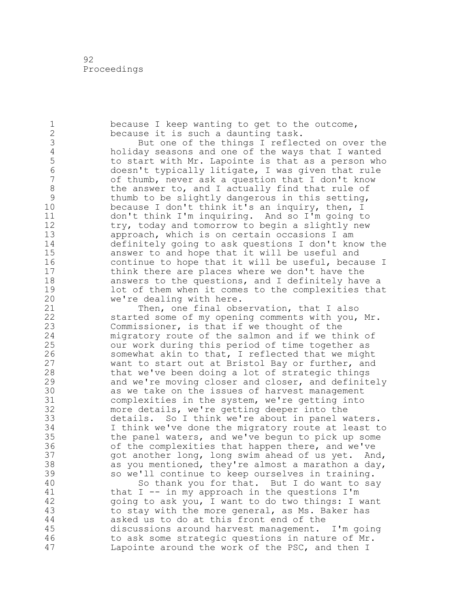1 because I keep wanting to get to the outcome, 2 because it is such a daunting task. 3 But one of the things I reflected on over the<br>4 holiday seasons and one of the ways that I wanted 4 holiday seasons and one of the ways that I wanted<br>5 to start with Mr. Lapointe is that as a person who 5 to start with Mr. Lapointe is that as a person who<br>6 (doesn't typically litigate, I was given that rule 6 doesn't typically litigate, I was given that rule of thumb, never ask a question that I don't know 8 the answer to, and I actually find that rule of<br>9 thumb to be slightly dangerous in this setting, 9 thumb to be slightly dangerous in this setting,<br>10 because I don't think it's an inquiry, then, I because I don't think it's an inquiry, then, I 11 don't think I'm inquiring. And so I'm going to 12 try, today and tomorrow to begin a slightly new 13 approach, which is on certain occasions I am 14 definitely going to ask questions I don't know the 15 answer to and hope that it will be useful and 16 continue to hope that it will be useful, because I 17 think there are places where we don't have the 18 answers to the questions, and I definitely have a 19 lot of them when it comes to the complexities that<br>20 we're dealing with here. we're dealing with here. 21 Then, one final observation, that I also 22 started some of my opening comments with you, Mr. 23 Commissioner, is that if we thought of the 24 migratory route of the salmon and if we think of 25 our work during this period of time together as 26 somewhat akin to that, I reflected that we might<br>27 want to start out at Bristol Bay or further, and 27 want to start out at Bristol Bay or further, and<br>28 that we've been doing a lot of strategic things that we've been doing a lot of strategic things 29 and we're moving closer and closer, and definitely 30 as we take on the issues of harvest management<br>31 complexities in the system, we're getting into 31 complexities in the system, we're getting into<br>32 more details, we're getting deeper into the more details, we're getting deeper into the 33 details. So I think we're about in panel waters. 34 I think we've done the migratory route at least to 35 the panel waters, and we've begun to pick up some 36 of the complexities that happen there, and we've 37 got another long, long swim ahead of us yet. And, 38 as you mentioned, they're almost a marathon a day, 39 so we'll continue to keep ourselves in training. 40 So thank you for that. But I do want to say 41 that I -- in my approach in the questions I'm<br>42 qoing to ask you, I want to do two things: I going to ask you, I want to do two things: I want 43 to stay with the more general, as Ms. Baker has 44 asked us to do at this front end of the 45 discussions around harvest management. I'm going 46 to ask some strategic questions in nature of Mr. 47 Lapointe around the work of the PSC, and then I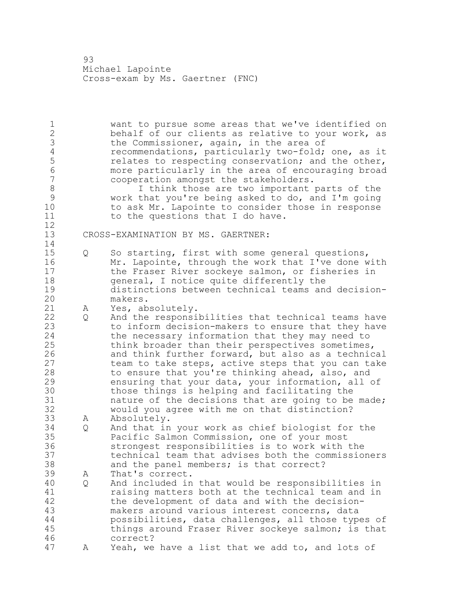want to pursue some areas that we've identified on behalf of our clients as relative to your work, as 3 the Commissioner, again, in the area of<br>4 recommendations, particularly two-fold; 4 recommendations, particularly two-fold; one, as it<br>5 relates to respecting conservation; and the other, 5 5 relates to respecting conservation; and the other,<br>6 6 more particularly in the area of encouraging broad more particularly in the area of encouraging broad cooperation amongst the stakeholders. 8 I think those are two important parts of the work that you're being asked to do, and I'm going to ask Mr. Lapointe to consider those in response 11 to the questions that I do have. CROSS-EXAMINATION BY MS. GAERTNER: Q So starting, first with some general questions, Mr. Lapointe, through the work that I've done with the Fraser River sockeye salmon, or fisheries in general, I notice quite differently the distinctions between technical teams and decisionmakers. A Yes, absolutely. Q And the responsibilities that technical teams have to inform decision-makers to ensure that they have the necessary information that they may need to think broader than their perspectives sometimes, 26 and think further forward, but also as a technical<br>27 team to take steps, active steps that you can take team to take steps, active steps that you can take to ensure that you're thinking ahead, also, and ensuring that your data, your information, all of 30 those things is helping and facilitating the<br>31 hature of the decisions that are going to be 31 mature of the decisions that are going to be made;<br>32 would you agree with me on that distinction? would you agree with me on that distinction? A Absolutely. Q And that in your work as chief biologist for the Pacific Salmon Commission, one of your most strongest responsibilities is to work with the technical team that advises both the commissioners and the panel members; is that correct? A That's correct. Q And included in that would be responsibilities in 41 raising matters both at the technical team and in<br>42 the development of data and with the decisionthe development of data and with the decision- makers around various interest concerns, data possibilities, data challenges, all those types of things around Fraser River sockeye salmon; is that correct? A Yeah, we have a list that we add to, and lots of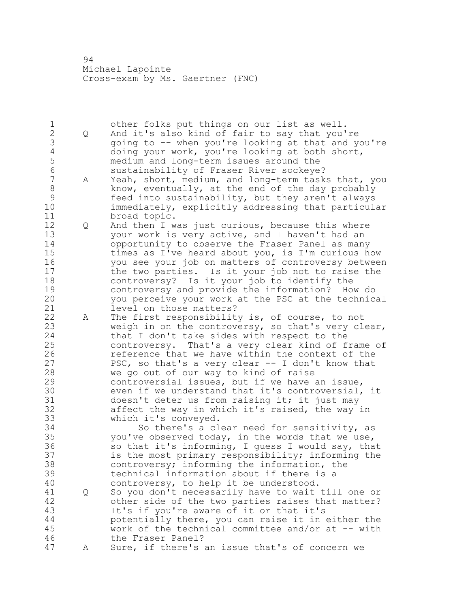1 other folks put things on our list as well.<br>2 0 And it's also kind of fair to say that you' Q And it's also kind of fair to say that you're 3 going to -- when you're looking at that and you're<br>4 doing your work, you're looking at both short, 4 doing your work, you're looking at both short,<br>5 medium and long-term issues around the medium and long-term issues around the 6 sustainability of Fraser River sockeye?<br>7 A Yeah, short, medium, and long-term task A Yeah, short, medium, and long-term tasks that, you 8 know, eventually, at the end of the day probably<br>9 feed into sustainability, but they aren't always feed into sustainability, but they aren't always immediately, explicitly addressing that particular broad topic. Q And then I was just curious, because this where your work is very active, and I haven't had an opportunity to observe the Fraser Panel as many times as I've heard about you, is I'm curious how you see your job on matters of controversy between the two parties. Is it your job not to raise the controversy? Is it your job to identify the 19 controversy and provide the information? How do<br>20 you perceive your work at the PSC at the technic you perceive your work at the PSC at the technical level on those matters? A The first responsibility is, of course, to not weigh in on the controversy, so that's very clear, that I don't take sides with respect to the controversy. That's a very clear kind of frame of 26 reference that we have within the context of the<br>27 PSC, so that's a very clear -- I don't know that PSC, so that's a very clear  $--$  I don't know that we go out of our way to kind of raise controversial issues, but if we have an issue, 30 even if we understand that it's controversial, it<br>31 doesn't deter us from raising it; it just may 31 doesn't deter us from raising it; it just may<br>32 affect the way in which it's raised, the way affect the way in which it's raised, the way in which it's conveyed. 34 So there's a clear need for sensitivity, as you've observed today, in the words that we use, so that it's informing, I guess I would say, that is the most primary responsibility; informing the controversy; informing the information, the technical information about if there is a controversy, to help it be understood. Q So you don't necessarily have to wait till one or other side of the two parties raises that matter? It's if you're aware of it or that it's potentially there, you can raise it in either the work of the technical committee and/or at -- with the Fraser Panel? A Sure, if there's an issue that's of concern we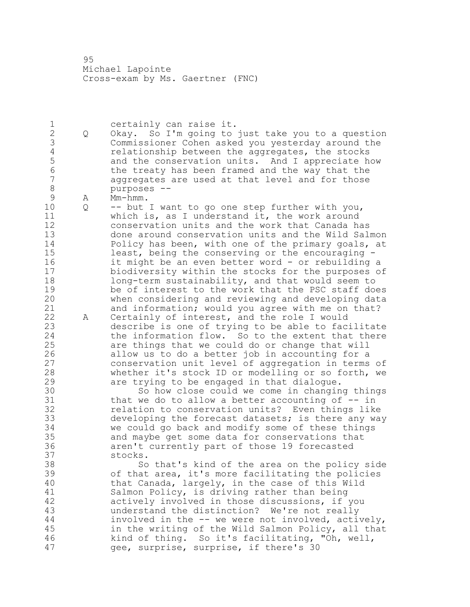certainly can raise it. Q Okay. So I'm going to just take you to a question Commissioner Cohen asked you yesterday around the 4 relationship between the aggregates, the stocks<br>5 and the conservation units. And I appreciate h 5 and the conservation units. And I appreciate how<br>6 the treaty has been framed and the way that the the treaty has been framed and the way that the aggregates are used at that level and for those 8 purposes --<br>9 A Mm-hmm. 9 A Mm-hmm.<br>10 Q -- but  $0 - -$  but I want to go one step further with you, which is, as I understand it, the work around conservation units and the work that Canada has done around conservation units and the Wild Salmon Policy has been, with one of the primary goals, at least, being the conserving or the encouraging - it might be an even better word - or rebuilding a biodiversity within the stocks for the purposes of long-term sustainability, and that would seem to 19 be of interest to the work that the PSC staff does<br>20 when considering and reviewing and developing data when considering and reviewing and developing data and information; would you agree with me on that? A Certainly of interest, and the role I would describe is one of trying to be able to facilitate the information flow. So to the extent that there are things that we could do or change that will 26 allow us to do a better job in accounting for a<br>27 conservation unit level of aggregation in terms conservation unit level of aggregation in terms of whether it's stock ID or modelling or so forth, we are trying to be engaged in that dialogue. 30 So how close could we come in changing things<br>31 that we do to allow a better accounting of -- in 31 that we do to allow a better accounting of -- in<br>32 felation to conservation units? Even things like relation to conservation units? Even things like developing the forecast datasets; is there any way we could go back and modify some of these things and maybe get some data for conservations that aren't currently part of those 19 forecasted stocks. 38 So that's kind of the area on the policy side of that area, it's more facilitating the policies that Canada, largely, in the case of this Wild 41 Salmon Policy, is driving rather than being<br>42 actively involved in those discussions, if actively involved in those discussions, if you understand the distinction? We're not really involved in the -- we were not involved, actively, in the writing of the Wild Salmon Policy, all that kind of thing. So it's facilitating, "Oh, well, gee, surprise, surprise, if there's 30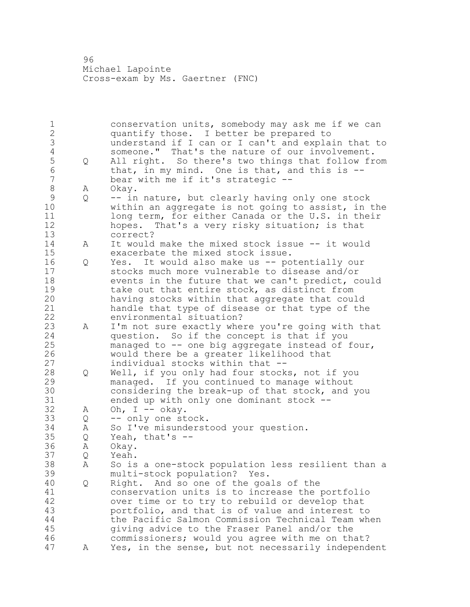conservation units, somebody may ask me if we can quantify those. I better be prepared to understand if I can or I can't and explain that to 4 someone." That's the nature of our involvement.<br>5 0 All right. So there's two things that follow fr 5 Q All right. So there's two things that follow from<br>6 that, in my mind. One is that, and this is --6 that, in my mind. One is that, and this is --<br>7 bear with me if it's strategic -bear with me if it's strategic --8 A Okay.<br>9 Q -- in 9 Q -- in nature, but clearly having only one stock<br>10 within an aggregate is not going to assist, in within an aggregate is not going to assist, in the 11 long term, for either Canada or the U.S. in their hopes. That's a very risky situation; is that correct? A It would make the mixed stock issue -- it would exacerbate the mixed stock issue. Q Yes. It would also make us -- potentially our stocks much more vulnerable to disease and/or events in the future that we can't predict, could 19 take out that entire stock, as distinct from<br>20 having stocks within that aggregate that coul having stocks within that aggregate that could handle that type of disease or that type of the environmental situation? A I'm not sure exactly where you're going with that question. So if the concept is that if you managed to -- one big aggregate instead of four, 26 would there be a greater likelihood that<br>27 individual stocks within that -individual stocks within that -- Q Well, if you only had four stocks, not if you managed. If you continued to manage without 30 considering the break-up of that stock, and you<br>31 ended up with only one dominant stock --31 ended up with only one dominant stock --<br>32 A Oh, I -- okav.  $A$  Oh, I -- okay. Q -- only one stock. A So I've misunderstood your question. Q Yeah, that's -- A Okay. Q Yeah. A So is a one-stock population less resilient than a multi-stock population? Yes. Q Right. And so one of the goals of the 41 conservation units is to increase the portfolio<br>42 over time or to try to rebuild or develop that over time or to try to rebuild or develop that portfolio, and that is of value and interest to the Pacific Salmon Commission Technical Team when giving advice to the Fraser Panel and/or the commissioners; would you agree with me on that? A Yes, in the sense, but not necessarily independent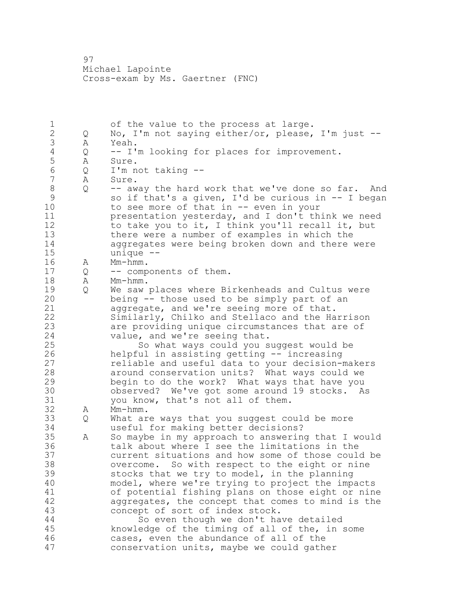1 of the value to the process at large.<br>2 0 No. I'm not saving either/or. please. Q No, I'm not saying either/or, please, I'm just -- 3 A Yeah.<br>4 Q --I' Q -- I'm looking for places for improvement. 5 A Sure.<br>6 O I'm n Q I'm not taking -- A Sure. 8 Q -- away the hard work that we've done so far. And<br>9 so if that's a given, I'd be curious in -- I began 9 so if that's a given, I'd be curious in -- I began<br>10 to see more of that in -- even in your to see more of that in -- even in your presentation yesterday, and I don't think we need to take you to it, I think you'll recall it, but there were a number of examples in which the aggregates were being broken down and there were unique -- A Mm-hmm. Q -- components of them. A Mm-hmm. 19 Q We saw places where Birkenheads and Cultus were<br>20 being -- those used to be simply part of an being -- those used to be simply part of an aggregate, and we're seeing more of that. Similarly, Chilko and Stellaco and the Harrison are providing unique circumstances that are of value, and we're seeing that. 25 So what ways could you suggest would be 26 helpful in assisting getting -- increasing<br>27 heliable and useful data to your decisionreliable and useful data to your decision-makers around conservation units? What ways could we begin to do the work? What ways that have you 30 observed? We've got some around 19 stocks. As<br>31 vou know, that's not all of them. 31 you know, that's not all of them.<br>32 A Mm-hmm. A Mm-hmm. Q What are ways that you suggest could be more useful for making better decisions? A So maybe in my approach to answering that I would talk about where I see the limitations in the current situations and how some of those could be overcome. So with respect to the eight or nine stocks that we try to model, in the planning model, where we're trying to project the impacts 41 of potential fishing plans on those eight or nine<br>42 aggregates, the concept that comes to mind is the aggregates, the concept that comes to mind is the concept of sort of index stock. 44 So even though we don't have detailed knowledge of the timing of all of the, in some cases, even the abundance of all of the conservation units, maybe we could gather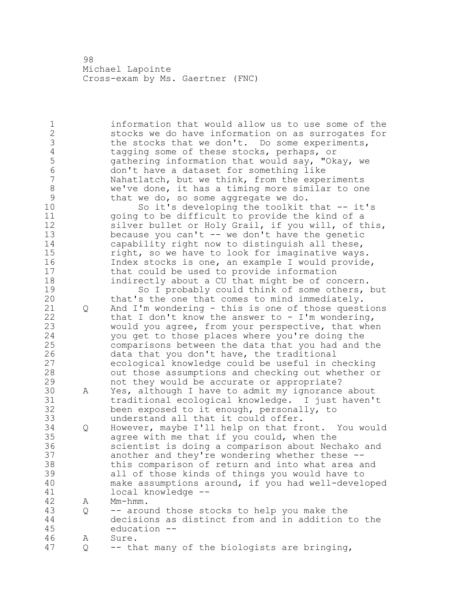information that would allow us to use some of the stocks we do have information on as surrogates for 3 the stocks that we don't. Do some experiments,<br>4 tagging some of these stocks, perhaps, or 4 tagging some of these stocks, perhaps, or<br>5 (athering information that would say, "Ok 5 5 gathering information that would say, "Okay, we<br>6 6 don't have a dataset for something like don't have a dataset for something like Nahatlatch, but we think, from the experiments 8 we've done, it has a timing more similar to one<br>9 that we do, so some aggregate we do. 9 that we do, so some aggregate we do.<br>10 So it's developing the toolkit So it's developing the toolkit that  $-$  it's going to be difficult to provide the kind of a silver bullet or Holy Grail, if you will, of this, because you can't -- we don't have the genetic capability right now to distinguish all these, right, so we have to look for imaginative ways. Index stocks is one, an example I would provide, that could be used to provide information indirectly about a CU that might be of concern. 19 So I probably could think of some others, but<br>20 that's the one that comes to mind immediately. that's the one that comes to mind immediately. Q And I'm wondering - this is one of those questions that I don't know the answer to - I'm wondering, would you agree, from your perspective, that when you get to those places where you're doing the comparisons between the data that you had and the 26 data that you don't have, the traditional<br>27 ecological knowledge could be useful in c ecological knowledge could be useful in checking out those assumptions and checking out whether or not they would be accurate or appropriate? 30 A Yes, although I have to admit my ignorance about<br>31 traditional ecological knowledge. I just haven' 31 traditional ecological knowledge. I just haven't<br>32 been exposed to it enough, personally, to been exposed to it enough, personally, to understand all that it could offer. Q However, maybe I'll help on that front. You would agree with me that if you could, when the scientist is doing a comparison about Nechako and another and they're wondering whether these -- this comparison of return and into what area and all of those kinds of things you would have to make assumptions around, if you had well-developed 41 local knowledge --<br>42 A Mm-hmm. A Mm-hmm. Q -- around those stocks to help you make the decisions as distinct from and in addition to the education -- A Sure. Q -- that many of the biologists are bringing,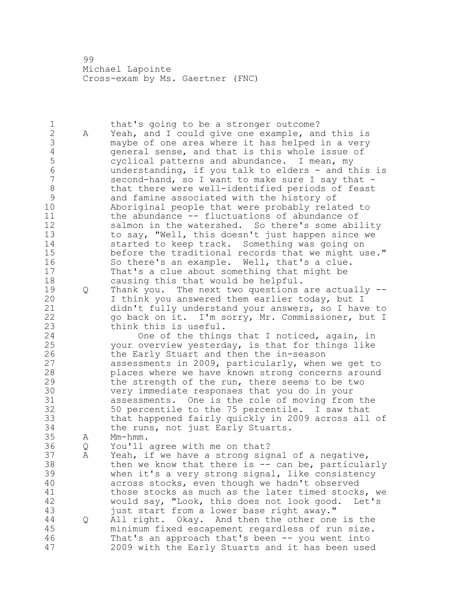1 that's going to be a stronger outcome? A Yeah, and I could give one example, and this is maybe of one area where it has helped in a very 4 general sense, and that is this whole issue of<br>5 cyclical patterns and abundance. I mean, my cyclical patterns and abundance. I mean, my 6 understanding, if you talk to elders - and this is<br>7 second-hand, so I want to make sure I sav that  $second$ -hand, so I want to make sure I say that  $-$ 8 that there were well-identified periods of feast and famine associated with the history of Aboriginal people that were probably related to the abundance -- fluctuations of abundance of salmon in the watershed. So there's some ability to say, "Well, this doesn't just happen since we started to keep track. Something was going on before the traditional records that we might use." So there's an example. Well, that's a clue. That's a clue about something that might be causing this that would be helpful. 19 Q Thank you. The next two questions are actually --<br>20 I think you answered them earlier today, but I I think you answered them earlier today, but I didn't fully understand your answers, so I have to go back on it. I'm sorry, Mr. Commissioner, but I think this is useful. 24 One of the things that I noticed, again, in your overview yesterday, is that for things like 26 the Early Stuart and then the in-season<br>27 assessments in 2009, particularly, when assessments in 2009, particularly, when we get to places where we have known strong concerns around the strength of the run, there seems to be two very immediate responses that you do in your 31 assessments. One is the role of moving from the<br>32 50 percentile to the 75 percentile. I saw that 50 percentile to the 75 percentile. I saw that that happened fairly quickly in 2009 across all of the runs, not just Early Stuarts. A Mm-hmm. Q You'll agree with me on that? A Yeah, if we have a strong signal of a negative, then we know that there is -- can be, particularly when it's a very strong signal, like consistency across stocks, even though we hadn't observed 41 those stocks as much as the later timed stocks, we<br>42 would say, "Look, this does not look good. Let's would say, "Look, this does not look good. Let's just start from a lower base right away." Q All right. Okay. And then the other one is the minimum fixed escapement regardless of run size. That's an approach that's been -- you went into 2009 with the Early Stuarts and it has been used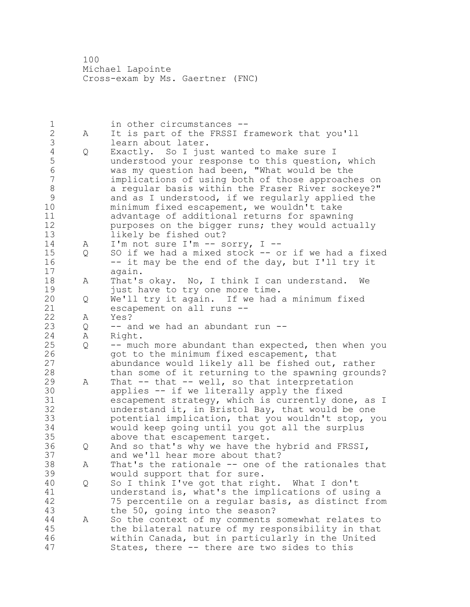1 in other circumstances --<br>2 A It is part of the FRSSI f A It is part of the FRSSI framework that you'll 3 learn about later.<br>4 Q Exactly. So I jus 4 Q Exactly. So I just wanted to make sure I<br>5 anderstood your response to this question 5 understood your response to this question, which<br>6 was my question had been. "What would be the was my question had been, "What would be the implications of using both of those approaches on 8 a regular basis within the Fraser River sockeye?"<br>9 and as I understood, if we regularly applied the 9 and as I understood, if we regularly applied the<br>10 minimum fixed escapement, we wouldn't take minimum fixed escapement, we wouldn't take advantage of additional returns for spawning purposes on the bigger runs; they would actually likely be fished out? A I'm not sure I'm -- sorry, I -- Q SO if we had a mixed stock -- or if we had a fixed -- it may be the end of the day, but I'll try it again. A That's okay. No, I think I can understand. We 19 just have to try one more time.<br>20 0 We'll try it again. If we had Q We'll try it again. If we had a minimum fixed escapement on all runs -- A Yes?  $Q \rightarrow -a$  and we had an abundant run  $-$  A Right. Q -- much more abundant than expected, then when you 26 got to the minimum fixed escapement, that<br>27 abundance would likely all be fished out, abundance would likely all be fished out, rather than some of it returning to the spawning grounds? A That -- that -- well, so that interpretation 30 applies -- if we literally apply the fixed<br>31 escapement strategy, which is currently don 31 escapement strategy, which is currently done, as I<br>32 understand it, in Bristol Bay, that would be one understand it, in Bristol Bay, that would be one potential implication, that you wouldn't stop, you would keep going until you got all the surplus above that escapement target. Q And so that's why we have the hybrid and FRSSI, and we'll hear more about that? A That's the rationale -- one of the rationales that would support that for sure. Q So I think I've got that right. What I don't 41 understand is, what's the implications of using a<br>42 35 percentile on a regular basis, as distinct from 75 percentile on a regular basis, as distinct from the 50, going into the season? A So the context of my comments somewhat relates to the bilateral nature of my responsibility in that within Canada, but in particularly in the United States, there -- there are two sides to this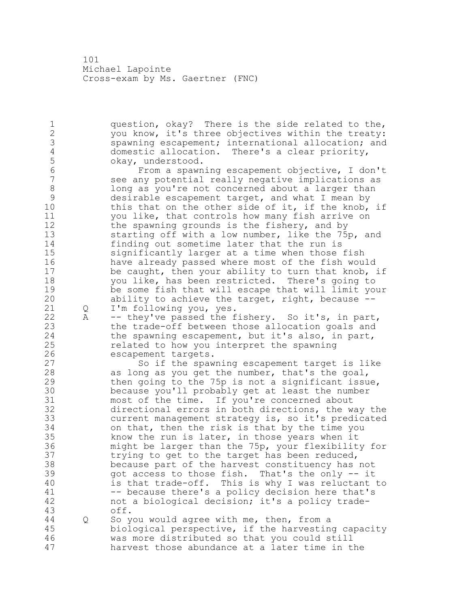1 question, okay? There is the side related to the, 2 you know, it's three objectives within the treaty: 3 spawning escapement; international allocation; and<br>4 domestic allocation. There's a clear priority, 4 domestic allocation. There's a clear priority,<br>5 okay, understood. 5 okay, understood.<br>6 From a spawn 6 From a spawning escapement objective, I don't see any potential really negative implications as 8 long as you're not concerned about a larger than<br>9 desirable escapement target, and what I mean by 9 desirable escapement target, and what I mean by<br>10 this that on the other side of it, if the knob, this that on the other side of it, if the knob, if 11 you like, that controls how many fish arrive on 12 the spawning grounds is the fishery, and by 13 starting off with a low number, like the 75p, and<br>14 finding out sometime later that the run is finding out sometime later that the run is 15 significantly larger at a time when those fish 16 have already passed where most of the fish would 17 be caught, then your ability to turn that knob, if 18 you like, has been restricted. There's going to 19 be some fish that will escape that will limit your<br>20 ability to achieve the target, right, because -ability to achieve the target, right, because  $--$ 21 Q I'm following you, yes. 22 A -- they've passed the fishery. So it's, in part, 23 the trade-off between those allocation goals and 24 the spawning escapement, but it's also, in part, 25 related to how you interpret the spawning 26 escapement targets.<br>27 So if the spaw So if the spawning escapement target is like 28 as long as you get the number, that's the goal, 29 then going to the 75p is not a significant issue, 30 because you'll probably get at least the number most of the time. If you're concerned about 32 directional errors in both directions, the way the 33 current management strategy is, so it's predicated 34 on that, then the risk is that by the time you 35 know the run is later, in those years when it 36 might be larger than the 75p, your flexibility for 37 trying to get to the target has been reduced, 38 because part of the harvest constituency has not 39 got access to those fish. That's the only -- it 40 is that trade-off. This is why I was reluctant to 41 -- because there's a policy decision here that's<br>42 mot a biological decision; it's a policy tradenot a biological decision; it's a policy trade-43 off. 44 Q So you would agree with me, then, from a 45 biological perspective, if the harvesting capacity 46 was more distributed so that you could still 47 harvest those abundance at a later time in the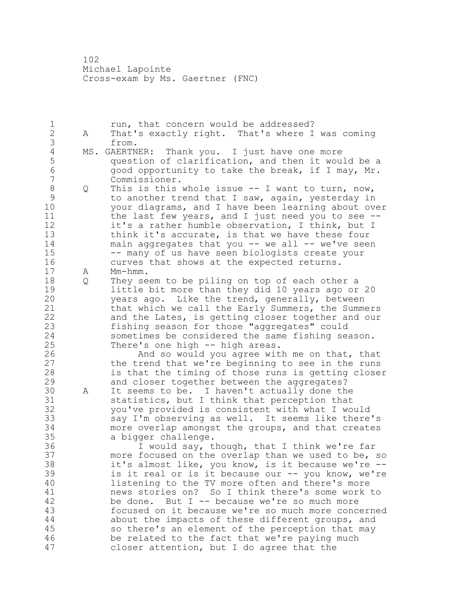1 run, that concern would be addressed? 2 A That's exactly right. That's where I was coming 3 from.<br>4 MS. GAERTN 4 MS. GAERTNER: Thank you. I just have one more<br>5 question of clarification, and then it wou. 5 question of clarification, and then it would be a<br>6 (6 acood opportunity to take the break, if I may, Mr. 6 good opportunity to take the break, if I may, Mr. Commissioner. 8 Q This is this whole issue -- I want to turn, now,<br>9 to another trend that I saw, again, yesterday in 9 to another trend that I saw, again, yesterday in<br>10 vour diagrams, and I have been learning about over your diagrams, and I have been learning about over 11 the last few years, and I just need you to see -- 12 it's a rather humble observation, I think, but I 13 think it's accurate, is that we have these four 14 main aggregates that you -- we all -- we've seen 15 -- many of us have seen biologists create your 16 curves that shows at the expected returns. 17 A Mm-hmm. 18 Q They seem to be piling on top of each other a 19 little bit more than they did 10 years ago or 20<br>20 years ago. Like the trend, generally, between years ago. Like the trend, generally, between 21 that which we call the Early Summers, the Summers 22 and the Lates, is getting closer together and our 23 fishing season for those "aggregates" could 24 sometimes be considered the same fishing season. 25 There's one high -- high areas. 26 And so would you agree with me on that, that<br>27 the trend that we're beginning to see in the runs the trend that we're beginning to see in the runs 28 is that the timing of those runs is getting closer 29 and closer together between the aggregates? 30 A It seems to be. I haven't actually done the<br>31 statistics, but I think that perception that 31 statistics, but I think that perception that<br>32 vou've provided is consistent with what I wo you've provided is consistent with what I would 33 say I'm observing as well. It seems like there's 34 more overlap amongst the groups, and that creates 35 a bigger challenge. 36 I would say, though, that I think we're far 37 more focused on the overlap than we used to be, so 38 it's almost like, you know, is it because we're -- 39 is it real or is it because our -- you know, we're 40 listening to the TV more often and there's more 41 news stories on? So I think there's some work to<br>42 be done. But I -- because we're so much more be done. But  $I$  -- because we're so much more 43 focused on it because we're so much more concerned 44 about the impacts of these different groups, and 45 so there's an element of the perception that may 46 be related to the fact that we're paying much 47 closer attention, but I do agree that the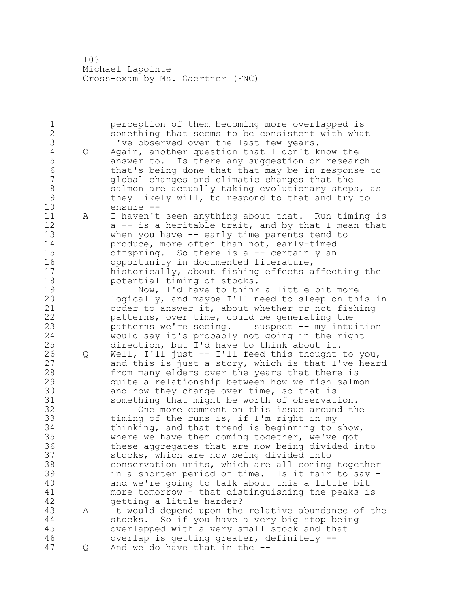**1** perception of them becoming more overlapped is<br>2 **1** something that seems to be consistent with wha something that seems to be consistent with what 3 I've observed over the last few years.<br>4 Q Again, another question that I don't k 4 Q Again, another question that I don't know the<br>5 answer to. Is there any suggestion or resear 5 answer to. Is there any suggestion or research<br>6 that's being done that that may be in response t that's being done that that may be in response to global changes and climatic changes that the 8 salmon are actually taking evolutionary steps, as<br>9 they likely will, to respond to that and try to 9 they likely will, to respond to that and try to<br>10 ensure -ensure -- A I haven't seen anything about that. Run timing is 12 a -- is a heritable trait, and by that I mean that when you have -- early time parents tend to produce, more often than not, early-timed 15 offspring. So there is a -- certainly an opportunity in documented literature, historically, about fishing effects affecting the potential timing of stocks. 19 Now, I'd have to think a little bit more<br>20 10 logically, and maybe I'll need to sleep on th logically, and maybe I'll need to sleep on this in order to answer it, about whether or not fishing patterns, over time, could be generating the patterns we're seeing. I suspect -- my intuition would say it's probably not going in the right direction, but I'd have to think about it. 26 Q Well, I'll just -- I'll feed this thought to you,<br>27 and this is just a story, which is that I've hear and this is just a story, which is that I've heard from many elders over the years that there is quite a relationship between how we fish salmon 30 and how they change over time, so that is<br>31 something that might be worth of observat 31 something that might be worth of observation.<br>32 One more comment on this issue around th One more comment on this issue around the timing of the runs is, if I'm right in my thinking, and that trend is beginning to show, where we have them coming together, we've got these aggregates that are now being divided into stocks, which are now being divided into conservation units, which are all coming together in a shorter period of time. Is it fair to say - and we're going to talk about this a little bit 41 more tomorrow - that distinguishing the peaks is<br>42 detting a little harder? getting a little harder? A It would depend upon the relative abundance of the stocks. So if you have a very big stop being overlapped with a very small stock and that overlap is getting greater, definitely -- Q And we do have that in the --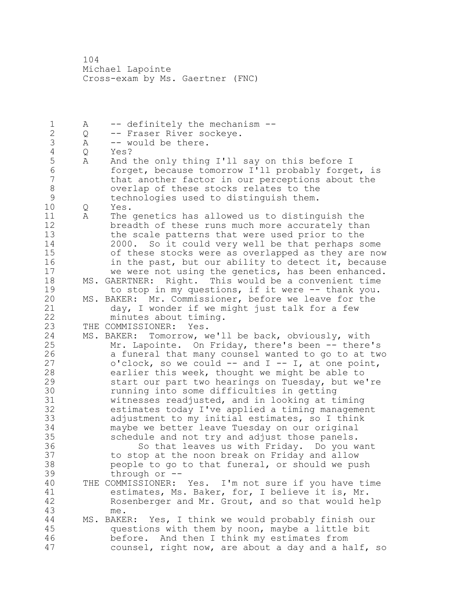Michael Lapointe Cross-exam by Ms. Gaertner (FNC)

1 A -- definitely the mechanism --<br>2 O -- Fraser River sockeve. Q -- Fraser River sockeye. A  $-$  would be there.<br>4 Q Yes? Q Yes? 5 A And the only thing I'll say on this before I<br>6 6 forget, because tomorrow I'll probably forge forget, because tomorrow I'll probably forget, is that another factor in our perceptions about the 8 overlap of these stocks relates to the<br>9 technologies used to distinguish them. 9 technologies used to distinguish them.<br>10 0 Yes. Q Yes. A The genetics has allowed us to distinguish the breadth of these runs much more accurately than the scale patterns that were used prior to the 2000. So it could very well be that perhaps some of these stocks were as overlapped as they are now in the past, but our ability to detect it, because we were not using the genetics, has been enhanced. MS. GAERTNER: Right. This would be a convenient time 19 to stop in my questions, if it were -- thank you.<br>20 MS. BAKER: Mr. Commissioner, before we leave for the MS. BAKER: Mr. Commissioner, before we leave for the day, I wonder if we might just talk for a few minutes about timing. THE COMMISSIONER: Yes. MS. BAKER: Tomorrow, we'll be back, obviously, with Mr. Lapointe. On Friday, there's been -- there's 26 a funeral that many counsel wanted to go to at two<br>27 c'clock, so we could -- and I -- I, at one point, o'clock, so we could  $--$  and I  $--$  I, at one point, earlier this week, thought we might be able to start our part two hearings on Tuesday, but we're 30 running into some difficulties in getting<br>31 witnesses readjusted, and in looking at t 31 witnesses readjusted, and in looking at timing<br>32 estimates today I've applied a timing manageme estimates today I've applied a timing management adjustment to my initial estimates, so I think maybe we better leave Tuesday on our original schedule and not try and adjust those panels. 36 So that leaves us with Friday. Do you want to stop at the noon break on Friday and allow people to go to that funeral, or should we push through or -- THE COMMISSIONER: Yes. I'm not sure if you have time 41 estimates, Ms. Baker, for, I believe it is, Mr.<br>42 Rosenberger and Mr. Grout, and so that would he Rosenberger and Mr. Grout, and so that would help me. MS. BAKER: Yes, I think we would probably finish our questions with them by noon, maybe a little bit before. And then I think my estimates from counsel, right now, are about a day and a half, so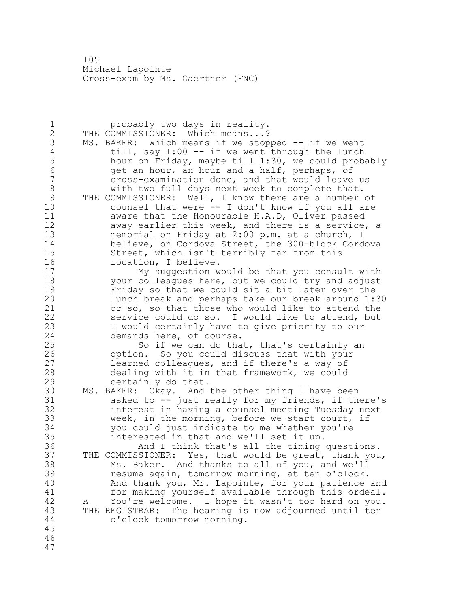105 Michael Lapointe Cross-exam by Ms. Gaertner (FNC)

1 probably two days in reality.<br>2 THE COMMISSIONER: Which means...? THE COMMISSIONER: Which means...? 3 MS. BAKER: Which means if we stopped -- if we went<br>4 till, say 1:00 -- if we went through the lunch 4 till, say 1:00 -- if we went through the lunch<br>5 hour on Friday, maybe till 1:30, we could proba 5 hour on Friday, maybe till 1:30, we could probably<br>6 and the man hour, an hour and a half, perhaps, of 6 6 get an hour, an hour and a half, perhaps, of 6 and that would leave 7 cross-examination done, and that would leave us 8 with two full days next week to complete that.<br>9 THE COMMISSIONER: Well, I know there are a number 9 THE COMMISSIONER: Well, I know there are a number of<br>10 counsel that were -- I don't know if you all are counsel that were  $--$  I don't know if you all are 11 aware that the Honourable H.A.D, Oliver passed 12 away earlier this week, and there is a service, a 13 memorial on Friday at 2:00 p.m. at a church, I 14 believe, on Cordova Street, the 300-block Cordova 15 Street, which isn't terribly far from this 16 location, I believe.<br>17 My suggestion w My suggestion would be that you consult with 18 your colleagues here, but we could try and adjust 19 Friday so that we could sit a bit later over the<br>20 1unch break and perhaps take our break around 1: lunch break and perhaps take our break around 1:30 21 or so, so that those who would like to attend the 22 service could do so. I would like to attend, but 23 I would certainly have to give priority to our 24 demands here, of course. 25 So if we can do that, that's certainly an 26 option. So you could discuss that with your<br>27 learned colleagues, and if there's a way of 27 1earned colleagues, and if there's a way of<br>28 1ealing with it in that framework, we could dealing with it in that framework, we could 29 certainly do that. 30 MS. BAKER: Okay. And the other thing I have been<br>31 asked to -- just really for my friends, if the 31 asked to -- just really for my friends, if there's<br>32 interest in having a counsel meeting Tuesday next interest in having a counsel meeting Tuesday next 33 week, in the morning, before we start court, if 34 you could just indicate to me whether you're 35 interested in that and we'll set it up. 36 And I think that's all the timing questions. 37 THE COMMISSIONER: Yes, that would be great, thank you, 38 Ms. Baker. And thanks to all of you, and we'll 39 resume again, tomorrow morning, at ten o'clock. 40 And thank you, Mr. Lapointe, for your patience and 41 for making yourself available through this ordeal.<br>42 A You're welcome. I hope it wasn't too hard on you. A You're welcome. I hope it wasn't too hard on you. 43 THE REGISTRAR: The hearing is now adjourned until ten 44 o'clock tomorrow morning. 45 46 47